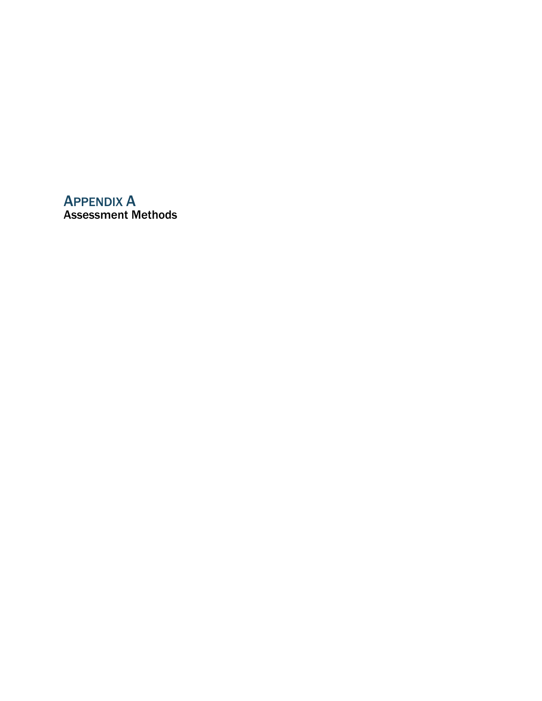# APPENDIX A Assessment Methods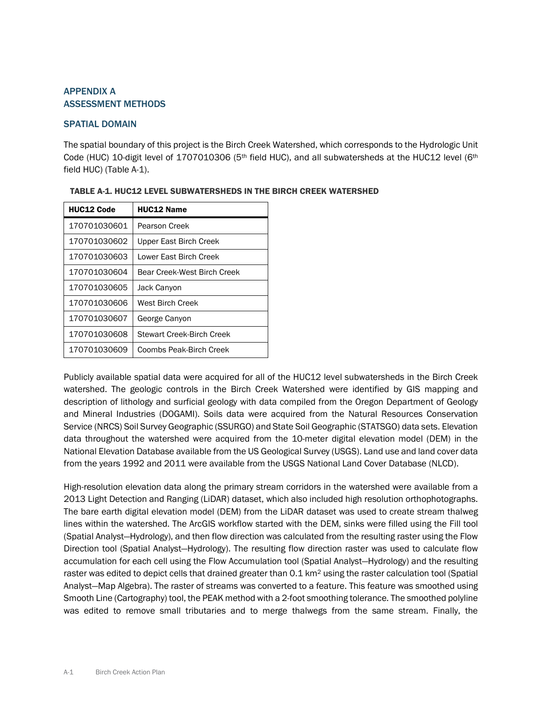# APPENDIX A ASSESSMENT METHODS

# SPATIAL DOMAIN

The spatial boundary of this project is the Birch Creek Watershed, which corresponds to the Hydrologic Unit Code (HUC) 10-digit level of 1707010306 (5<sup>th</sup> field HUC), and all subwatersheds at the HUC12 level (6<sup>th</sup> field HUC) (Table A-1).

| <b>HUC12 Code</b> | <b>HUC12 Name</b>           |
|-------------------|-----------------------------|
| 170701030601      | Pearson Creek               |
| 170701030602      | Upper East Birch Creek      |
| 170701030603      | Lower East Birch Creek      |
| 170701030604      | Bear Creek-West Birch Creek |
| 170701030605      | Jack Canyon                 |
| 170701030606      | West Birch Creek            |
| 170701030607      | George Canyon               |
| 170701030608      | Stewart Creek-Birch Creek   |
| 170701030609      | Coombs Peak-Birch Creek     |

Publicly available spatial data were acquired for all of the HUC12 level subwatersheds in the Birch Creek watershed. The geologic controls in the Birch Creek Watershed were identified by GIS mapping and description of lithology and surficial geology with data compiled from the Oregon Department of Geology and Mineral Industries (DOGAMI). Soils data were acquired from the Natural Resources Conservation Service (NRCS) Soil Survey Geographic (SSURGO) and State Soil Geographic (STATSGO) data sets. Elevation data throughout the watershed were acquired from the 10-meter digital elevation model (DEM) in the National Elevation Database available from the US Geological Survey (USGS). Land use and land cover data from the years 1992 and 2011 were available from the USGS National Land Cover Database (NLCD).

High-resolution elevation data along the primary stream corridors in the watershed were available from a 2013 Light Detection and Ranging (LiDAR) dataset, which also included high resolution orthophotographs. The bare earth digital elevation model (DEM) from the LiDAR dataset was used to create stream thalweg lines within the watershed. The ArcGIS workflow started with the DEM, sinks were filled using the Fill tool (Spatial Analyst—Hydrology), and then flow direction was calculated from the resulting raster using the Flow Direction tool (Spatial Analyst—Hydrology). The resulting flow direction raster was used to calculate flow accumulation for each cell using the Flow Accumulation tool (Spatial Analyst—Hydrology) and the resulting raster was edited to depict cells that drained greater than 0.1 km<sup>2</sup> using the raster calculation tool (Spatial Analyst—Map Algebra). The raster of streams was converted to a feature. This feature was smoothed using Smooth Line (Cartography) tool, the PEAK method with a 2-foot smoothing tolerance. The smoothed polyline was edited to remove small tributaries and to merge thalwegs from the same stream. Finally, the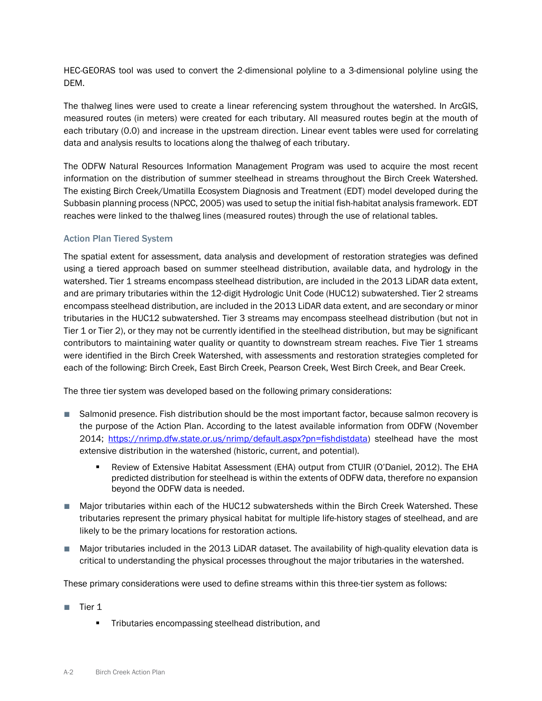HEC-GEORAS tool was used to convert the 2-dimensional polyline to a 3-dimensional polyline using the DEM.

The thalweg lines were used to create a linear referencing system throughout the watershed. In ArcGIS, measured routes (in meters) were created for each tributary. All measured routes begin at the mouth of each tributary (0.0) and increase in the upstream direction. Linear event tables were used for correlating data and analysis results to locations along the thalweg of each tributary.

The ODFW Natural Resources Information Management Program was used to acquire the most recent information on the distribution of summer steelhead in streams throughout the Birch Creek Watershed. The existing Birch Creek/Umatilla Ecosystem Diagnosis and Treatment (EDT) model developed during the Subbasin planning process (NPCC, 2005) was used to setup the initial fish-habitat analysis framework. EDT reaches were linked to the thalweg lines (measured routes) through the use of relational tables.

# Action Plan Tiered System

The spatial extent for assessment, data analysis and development of restoration strategies was defined using a tiered approach based on summer steelhead distribution, available data, and hydrology in the watershed. Tier 1 streams encompass steelhead distribution, are included in the 2013 LiDAR data extent, and are primary tributaries within the 12-digit Hydrologic Unit Code (HUC12) subwatershed. Tier 2 streams encompass steelhead distribution, are included in the 2013 LiDAR data extent, and are secondary or minor tributaries in the HUC12 subwatershed. Tier 3 streams may encompass steelhead distribution (but not in Tier 1 or Tier 2), or they may not be currently identified in the steelhead distribution, but may be significant contributors to maintaining water quality or quantity to downstream stream reaches. Five Tier 1 streams were identified in the Birch Creek Watershed, with assessments and restoration strategies completed for each of the following: Birch Creek, East Birch Creek, Pearson Creek, West Birch Creek, and Bear Creek.

The three tier system was developed based on the following primary considerations:

- Salmonid presence. Fish distribution should be the most important factor, because salmon recovery is the purpose of the Action Plan. According to the latest available information from ODFW (November 2014; [https://nrimp.dfw.state.or.us/nrimp/default.aspx?pn=fishdistdata\)](https://nrimp.dfw.state.or.us/nrimp/default.aspx?pn=fishdistdata) steelhead have the most extensive distribution in the watershed (historic, current, and potential).
	- Review of Extensive Habitat Assessment (EHA) output from CTUIR (O'Daniel, 2012). The EHA predicted distribution for steelhead is within the extents of ODFW data, therefore no expansion beyond the ODFW data is needed.
- Major tributaries within each of the HUC12 subwatersheds within the Birch Creek Watershed. These tributaries represent the primary physical habitat for multiple life-history stages of steelhead, and are likely to be the primary locations for restoration actions.
- Major tributaries included in the 2013 LiDAR dataset. The availability of high-quality elevation data is critical to understanding the physical processes throughout the major tributaries in the watershed.

These primary considerations were used to define streams within this three-tier system as follows:

- Tier 1
	- **Tributaries encompassing steelhead distribution, and**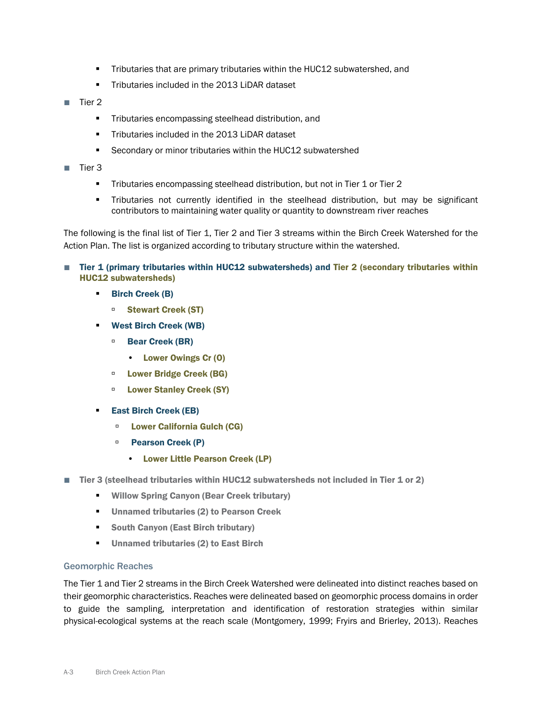- **Tributaries that are primary tributaries within the HUC12 subwatershed, and**
- **Tributaries included in the 2013 LiDAR dataset**
- Tier 2
	- **Tributaries encompassing steelhead distribution, and**
	- **Tributaries included in the 2013 LiDAR dataset**
	- **Secondary or minor tributaries within the HUC12 subwatershed**
- Tier 3
	- **Tributaries encompassing steelhead distribution, but not in Tier 1 or Tier 2**
	- Tributaries not currently identified in the steelhead distribution, but may be significant contributors to maintaining water quality or quantity to downstream river reaches

The following is the final list of Tier 1, Tier 2 and Tier 3 streams within the Birch Creek Watershed for the Action Plan. The list is organized according to tributary structure within the watershed.

- Tier 1 (primary tributaries within HUC12 subwatersheds) and Tier 2 (secondary tributaries within HUC12 subwatersheds)
	- **Birch Creek (B)** 
		- Stewart Creek (ST)
	- West Birch Creek (WB)
		- Bear Creek (BR)
			- Lower Owings Cr (O)
		- **Example 2 Lower Bridge Creek (BG)**
		- **E** Lower Stanley Creek (SY)
	- **East Birch Creek (EB)** 
		- □ Lower California Gulch (CG)
		- **Pearson Creek (P)** 
			- Lower Little Pearson Creek (LP)
- Tier 3 (steelhead tributaries within HUC12 subwatersheds not included in Tier 1 or 2)
	- **Willow Spring Canyon (Bear Creek tributary)**
	- **Unnamed tributaries (2) to Pearson Creek**
	- **South Canyon (East Birch tributary)**
	- **Unnamed tributaries (2) to East Birch**

#### Geomorphic Reaches

The Tier 1 and Tier 2 streams in the Birch Creek Watershed were delineated into distinct reaches based on their geomorphic characteristics. Reaches were delineated based on geomorphic process domains in order to guide the sampling, interpretation and identification of restoration strategies within similar physical-ecological systems at the reach scale (Montgomery, 1999; Fryirs and Brierley, 2013). Reaches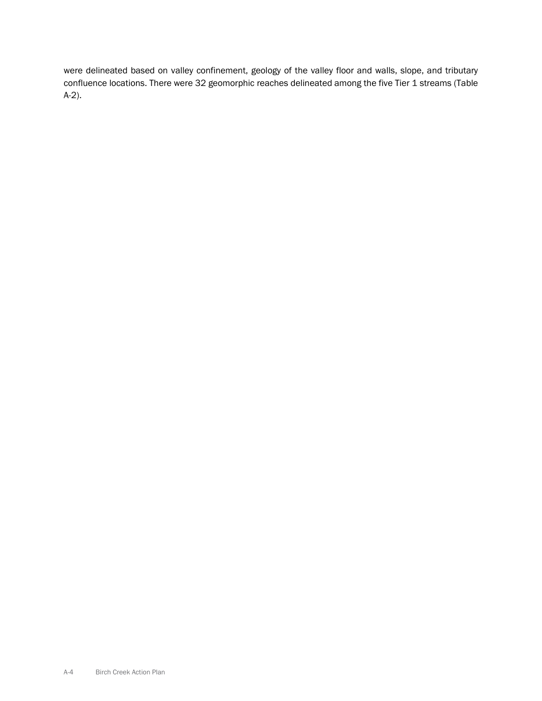were delineated based on valley confinement, geology of the valley floor and walls, slope, and tributary confluence locations. There were 32 geomorphic reaches delineated among the five Tier 1 streams (Table A-2).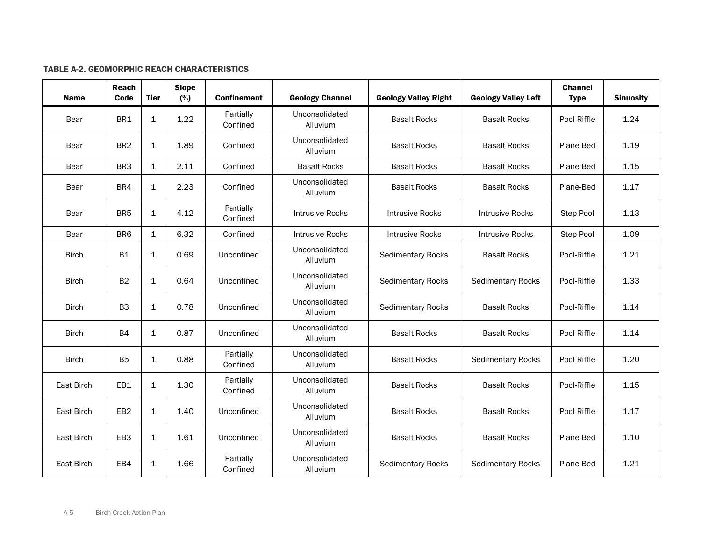### TABLE A-2. GEOMORPHIC REACH CHARACTERISTICS

| Name         | Reach<br>Code   | <b>Tier</b>  | <b>Slope</b><br>(%) | <b>Confinement</b>    | <b>Geology Channel</b>     | <b>Geology Valley Right</b> | <b>Geology Valley Left</b> | <b>Channel</b><br><b>Type</b> | <b>Sinuosity</b> |
|--------------|-----------------|--------------|---------------------|-----------------------|----------------------------|-----------------------------|----------------------------|-------------------------------|------------------|
| Bear         | BR1             | $\mathbf 1$  | 1.22                | Partially<br>Confined | Unconsolidated<br>Alluvium | <b>Basalt Rocks</b>         | <b>Basalt Rocks</b>        | Pool-Riffle                   | 1.24             |
| Bear         | BR <sub>2</sub> | 1            | 1.89                | Confined              | Unconsolidated<br>Alluvium | <b>Basalt Rocks</b>         | <b>Basalt Rocks</b>        | Plane-Bed                     | 1.19             |
| Bear         | BR <sub>3</sub> | $\mathbf{1}$ | 2.11                | Confined              | <b>Basalt Rocks</b>        | <b>Basalt Rocks</b>         | <b>Basalt Rocks</b>        | Plane-Bed                     | 1.15             |
| Bear         | BR4             | $\mathbf 1$  | 2.23                | Confined              | Unconsolidated<br>Alluvium | <b>Basalt Rocks</b>         | <b>Basalt Rocks</b>        | Plane-Bed                     | 1.17             |
| Bear         | BR <sub>5</sub> | $\mathbf 1$  | 4.12                | Partially<br>Confined | <b>Intrusive Rocks</b>     | <b>Intrusive Rocks</b>      | <b>Intrusive Rocks</b>     | Step-Pool                     | 1.13             |
| Bear         | BR <sub>6</sub> | $\mathbf{1}$ | 6.32                | Confined              | <b>Intrusive Rocks</b>     | <b>Intrusive Rocks</b>      | <b>Intrusive Rocks</b>     | Step-Pool                     | 1.09             |
| <b>Birch</b> | <b>B1</b>       | $\mathbf{1}$ | 0.69                | Unconfined            | Unconsolidated<br>Alluvium | <b>Sedimentary Rocks</b>    | <b>Basalt Rocks</b>        | Pool-Riffle                   | 1.21             |
| <b>Birch</b> | <b>B2</b>       | $\mathbf 1$  | 0.64                | Unconfined            | Unconsolidated<br>Alluvium | <b>Sedimentary Rocks</b>    | <b>Sedimentary Rocks</b>   | Pool-Riffle                   | 1.33             |
| <b>Birch</b> | B <sub>3</sub>  | 1            | 0.78                | Unconfined            | Unconsolidated<br>Alluvium | <b>Sedimentary Rocks</b>    | <b>Basalt Rocks</b>        | Pool-Riffle                   | 1.14             |
| Birch        | <b>B4</b>       | 1            | 0.87                | Unconfined            | Unconsolidated<br>Alluvium | <b>Basalt Rocks</b>         | <b>Basalt Rocks</b>        | Pool-Riffle                   | 1.14             |
| <b>Birch</b> | <b>B5</b>       | $\mathbf 1$  | 0.88                | Partially<br>Confined | Unconsolidated<br>Alluvium | <b>Basalt Rocks</b>         | <b>Sedimentary Rocks</b>   | Pool-Riffle                   | 1.20             |
| East Birch   | EB1             | 1            | 1.30                | Partially<br>Confined | Unconsolidated<br>Alluvium | <b>Basalt Rocks</b>         | <b>Basalt Rocks</b>        | Pool-Riffle                   | 1.15             |
| East Birch   | EB <sub>2</sub> | $\mathbf 1$  | 1.40                | Unconfined            | Unconsolidated<br>Alluvium | <b>Basalt Rocks</b>         | <b>Basalt Rocks</b>        | Pool-Riffle                   | 1.17             |
| East Birch   | EB <sub>3</sub> | 1            | 1.61                | Unconfined            | Unconsolidated<br>Alluvium | <b>Basalt Rocks</b>         | <b>Basalt Rocks</b>        | Plane-Bed                     | 1.10             |
| East Birch   | EB4             | 1            | 1.66                | Partially<br>Confined | Unconsolidated<br>Alluvium | <b>Sedimentary Rocks</b>    | <b>Sedimentary Rocks</b>   | Plane-Bed                     | 1.21             |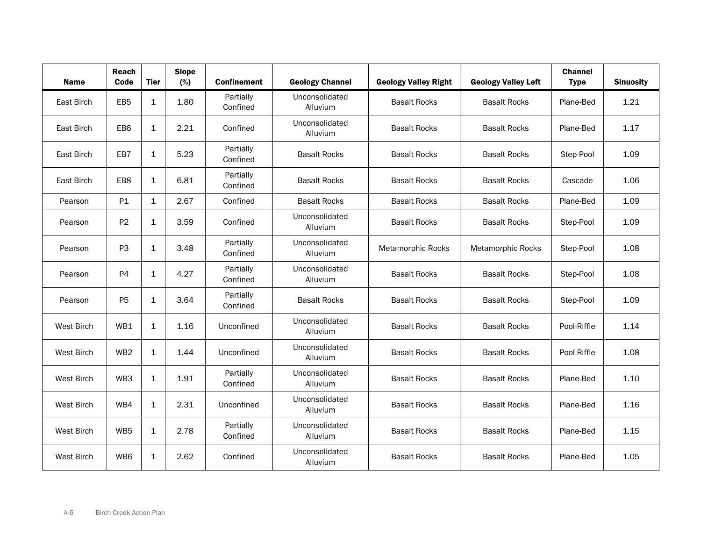| <b>Name</b>       | Reach<br>Code   | <b>Tier</b> | <b>Slope</b><br>(%) | <b>Confinement</b>    | <b>Geology Channel</b>     | <b>Geology Valley Right</b> | <b>Geology Valley Left</b> | <b>Channel</b><br><b>Type</b> | <b>Sinuosity</b> |
|-------------------|-----------------|-------------|---------------------|-----------------------|----------------------------|-----------------------------|----------------------------|-------------------------------|------------------|
| East Birch        | EB <sub>5</sub> | $\mathbf 1$ | 1.80                | Partially<br>Confined | Unconsolidated<br>Alluvium | <b>Basalt Rocks</b>         | <b>Basalt Rocks</b>        | Plane-Bed                     | 1.21             |
| East Birch        | EB <sub>6</sub> | 1           | 2.21                | Confined              | Unconsolidated<br>Alluvium | <b>Basalt Rocks</b>         | <b>Basalt Rocks</b>        | Plane-Bed                     | 1.17             |
| East Birch        | EB7             | $\mathbf 1$ | 5.23                | Partially<br>Confined | <b>Basalt Rocks</b>        | <b>Basalt Rocks</b>         | <b>Basalt Rocks</b>        | Step-Pool                     | 1.09             |
| East Birch        | EB8             | 1           | 6.81                | Partially<br>Confined | <b>Basalt Rocks</b>        | <b>Basalt Rocks</b>         | <b>Basalt Rocks</b>        | Cascade                       | 1.06             |
| Pearson           | P1              | 1           | 2.67                | Confined              | <b>Basalt Rocks</b>        | <b>Basalt Rocks</b>         | <b>Basalt Rocks</b>        | Plane-Bed                     | 1.09             |
| Pearson           | P <sub>2</sub>  | $\mathbf 1$ | 3.59                | Confined              | Unconsolidated<br>Alluvium | <b>Basalt Rocks</b>         | <b>Basalt Rocks</b>        | Step-Pool                     | 1.09             |
| Pearson           | P <sub>3</sub>  | $\mathbf 1$ | 3.48                | Partially<br>Confined | Unconsolidated<br>Alluvium | Metamorphic Rocks           | Metamorphic Rocks          | Step-Pool                     | 1.08             |
| Pearson           | <b>P4</b>       | $\mathbf 1$ | 4.27                | Partially<br>Confined | Unconsolidated<br>Alluvium | <b>Basalt Rocks</b>         | <b>Basalt Rocks</b>        | Step-Pool                     | 1.08             |
| Pearson           | P <sub>5</sub>  | 1           | 3.64                | Partially<br>Confined | <b>Basalt Rocks</b>        | <b>Basalt Rocks</b>         | <b>Basalt Rocks</b>        | Step-Pool                     | 1.09             |
| <b>West Birch</b> | WB1             | 1           | 1.16                | Unconfined            | Unconsolidated<br>Alluvium | <b>Basalt Rocks</b>         | <b>Basalt Rocks</b>        | Pool-Riffle                   | 1.14             |
| West Birch        | WB <sub>2</sub> | $\mathbf 1$ | 1.44                | Unconfined            | Unconsolidated<br>Alluvium | <b>Basalt Rocks</b>         | <b>Basalt Rocks</b>        | Pool-Riffle                   | 1.08             |
| West Birch        | WB3             | 1           | 1.91                | Partially<br>Confined | Unconsolidated<br>Alluvium | <b>Basalt Rocks</b>         | <b>Basalt Rocks</b>        | Plane-Bed                     | 1.10             |
| West Birch        | WB4             | $\mathbf 1$ | 2.31                | Unconfined            | Unconsolidated<br>Alluvium | <b>Basalt Rocks</b>         | <b>Basalt Rocks</b>        | Plane-Bed                     | 1.16             |
| <b>West Birch</b> | WB <sub>5</sub> | 1           | 2.78                | Partially<br>Confined | Unconsolidated<br>Alluvium | <b>Basalt Rocks</b>         | <b>Basalt Rocks</b>        | Plane-Bed                     | 1.15             |
| West Birch        | WB6             | $\mathbf 1$ | 2.62                | Confined              | Unconsolidated<br>Alluvium | <b>Basalt Rocks</b>         | <b>Basalt Rocks</b>        | Plane-Bed                     | 1.05             |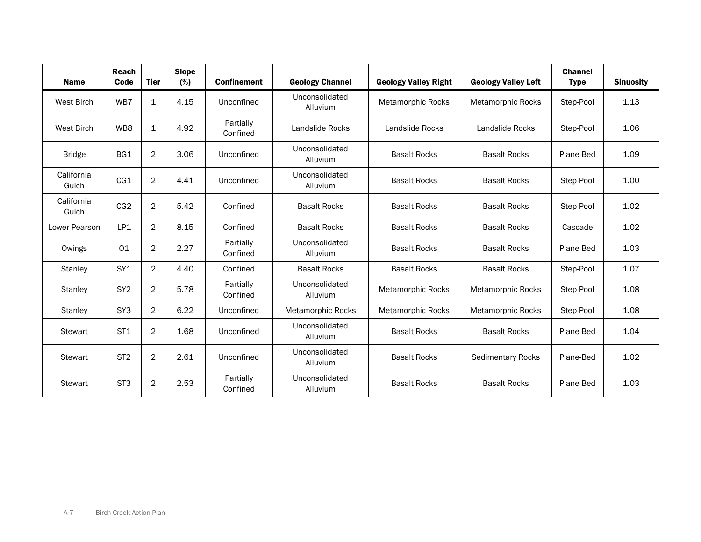| <b>Name</b>         | Reach<br>Code   | <b>Tier</b>    | <b>Slope</b><br>(%) | <b>Confinement</b>    | <b>Geology Channel</b>     | <b>Geology Valley Right</b> | <b>Geology Valley Left</b> | <b>Channel</b><br><b>Type</b> | <b>Sinuosity</b> |
|---------------------|-----------------|----------------|---------------------|-----------------------|----------------------------|-----------------------------|----------------------------|-------------------------------|------------------|
| <b>West Birch</b>   | WB7             | 1              | 4.15                | Unconfined            | Unconsolidated<br>Alluvium | <b>Metamorphic Rocks</b>    | <b>Metamorphic Rocks</b>   | Step-Pool                     | 1.13             |
| <b>West Birch</b>   | WB8             | 1              | 4.92                | Partially<br>Confined | Landslide Rocks            | Landslide Rocks             | Landslide Rocks            | Step-Pool                     | 1.06             |
| <b>Bridge</b>       | BG1             | $\overline{c}$ | 3.06                | Unconfined            | Unconsolidated<br>Alluvium | <b>Basalt Rocks</b>         | <b>Basalt Rocks</b>        | Plane-Bed                     | 1.09             |
| California<br>Gulch | CG1             | $\overline{2}$ | 4.41                | Unconfined            | Unconsolidated<br>Alluvium | <b>Basalt Rocks</b>         | <b>Basalt Rocks</b>        | Step-Pool                     | 1.00             |
| California<br>Gulch | CG2             | $\overline{2}$ | 5.42                | Confined              | <b>Basalt Rocks</b>        | <b>Basalt Rocks</b>         | <b>Basalt Rocks</b>        | Step-Pool                     | 1.02             |
| Lower Pearson       | LP1             | $\overline{2}$ | 8.15                | Confined              | <b>Basalt Rocks</b>        | <b>Basalt Rocks</b>         | <b>Basalt Rocks</b>        | Cascade                       | 1.02             |
| Owings              | 01              | $\overline{2}$ | 2.27                | Partially<br>Confined | Unconsolidated<br>Alluvium | <b>Basalt Rocks</b>         | <b>Basalt Rocks</b>        | Plane-Bed                     | 1.03             |
| Stanley             | SY <sub>1</sub> | $\overline{2}$ | 4.40                | Confined              | <b>Basalt Rocks</b>        | <b>Basalt Rocks</b>         | <b>Basalt Rocks</b>        | Step-Pool                     | 1.07             |
| Stanley             | SY <sub>2</sub> | $\overline{2}$ | 5.78                | Partially<br>Confined | Unconsolidated<br>Alluvium | <b>Metamorphic Rocks</b>    | <b>Metamorphic Rocks</b>   | Step-Pool                     | 1.08             |
| <b>Stanley</b>      | SY <sub>3</sub> | $\overline{2}$ | 6.22                | Unconfined            | Metamorphic Rocks          | <b>Metamorphic Rocks</b>    | Metamorphic Rocks          | Step-Pool                     | 1.08             |
| <b>Stewart</b>      | ST <sub>1</sub> | $\overline{2}$ | 1.68                | Unconfined            | Unconsolidated<br>Alluvium | <b>Basalt Rocks</b>         | <b>Basalt Rocks</b>        | Plane-Bed                     | 1.04             |
| <b>Stewart</b>      | ST <sub>2</sub> | $\overline{c}$ | 2.61                | Unconfined            | Unconsolidated<br>Alluvium | <b>Basalt Rocks</b>         | <b>Sedimentary Rocks</b>   | Plane-Bed                     | 1.02             |
| <b>Stewart</b>      | ST <sub>3</sub> | $\overline{2}$ | 2.53                | Partially<br>Confined | Unconsolidated<br>Alluvium | <b>Basalt Rocks</b>         | <b>Basalt Rocks</b>        | Plane-Bed                     | 1.03             |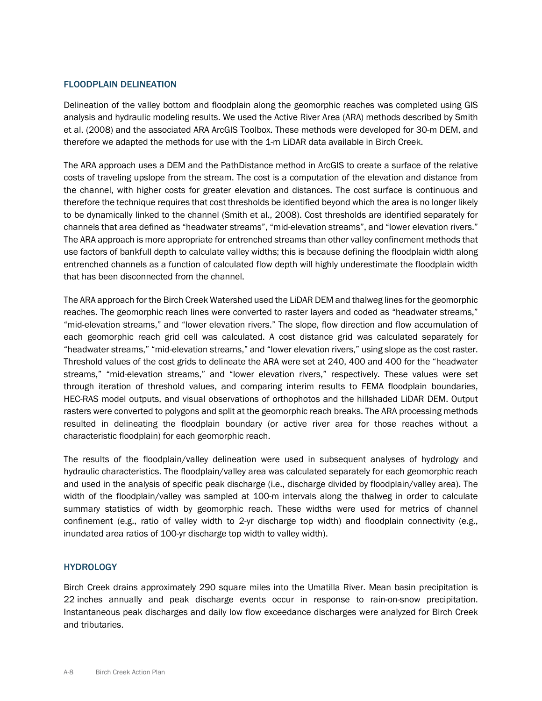#### FLOODPLAIN DELINEATION

Delineation of the valley bottom and floodplain along the geomorphic reaches was completed using GIS analysis and hydraulic modeling results. We used the Active River Area (ARA) methods described by Smith et al. (2008) and the associated ARA ArcGIS Toolbox. These methods were developed for 30-m DEM, and therefore we adapted the methods for use with the 1-m LiDAR data available in Birch Creek.

The ARA approach uses a DEM and the PathDistance method in ArcGIS to create a surface of the relative costs of traveling upslope from the stream. The cost is a computation of the elevation and distance from the channel, with higher costs for greater elevation and distances. The cost surface is continuous and therefore the technique requires that cost thresholds be identified beyond which the area is no longer likely to be dynamically linked to the channel (Smith et al., 2008). Cost thresholds are identified separately for channels that area defined as "headwater streams", "mid-elevation streams", and "lower elevation rivers." The ARA approach is more appropriate for entrenched streams than other valley confinement methods that use factors of bankfull depth to calculate valley widths; this is because defining the floodplain width along entrenched channels as a function of calculated flow depth will highly underestimate the floodplain width that has been disconnected from the channel.

The ARA approach for the Birch Creek Watershed used the LiDAR DEM and thalweg lines for the geomorphic reaches. The geomorphic reach lines were converted to raster layers and coded as "headwater streams," "mid-elevation streams," and "lower elevation rivers." The slope, flow direction and flow accumulation of each geomorphic reach grid cell was calculated. A cost distance grid was calculated separately for "headwater streams," "mid-elevation streams," and "lower elevation rivers," using slope as the cost raster. Threshold values of the cost grids to delineate the ARA were set at 240, 400 and 400 for the "headwater streams," "mid-elevation streams," and "lower elevation rivers," respectively. These values were set through iteration of threshold values, and comparing interim results to FEMA floodplain boundaries, HEC-RAS model outputs, and visual observations of orthophotos and the hillshaded LiDAR DEM. Output rasters were converted to polygons and split at the geomorphic reach breaks. The ARA processing methods resulted in delineating the floodplain boundary (or active river area for those reaches without a characteristic floodplain) for each geomorphic reach.

The results of the floodplain/valley delineation were used in subsequent analyses of hydrology and hydraulic characteristics. The floodplain/valley area was calculated separately for each geomorphic reach and used in the analysis of specific peak discharge (i.e., discharge divided by floodplain/valley area). The width of the floodplain/valley was sampled at 100-m intervals along the thalweg in order to calculate summary statistics of width by geomorphic reach. These widths were used for metrics of channel confinement (e.g., ratio of valley width to 2-yr discharge top width) and floodplain connectivity (e.g., inundated area ratios of 100-yr discharge top width to valley width).

#### **HYDROLOGY**

Birch Creek drains approximately 290 square miles into the Umatilla River. Mean basin precipitation is 22 inches annually and peak discharge events occur in response to rain-on-snow precipitation. Instantaneous peak discharges and daily low flow exceedance discharges were analyzed for Birch Creek and tributaries.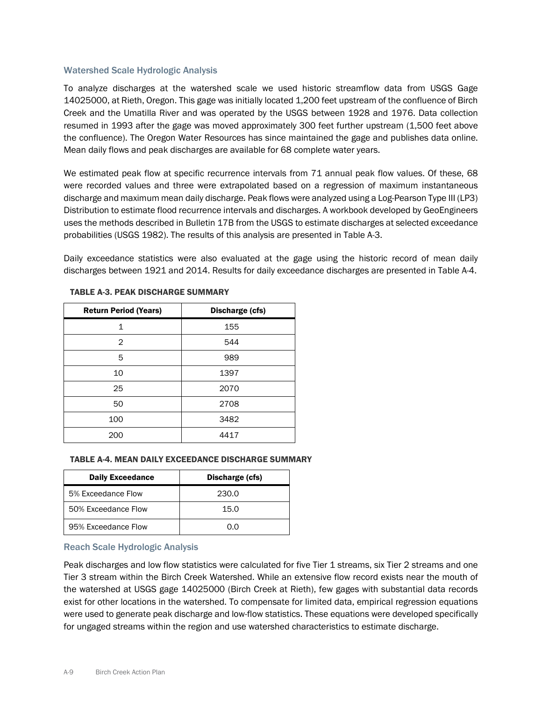#### Watershed Scale Hydrologic Analysis

To analyze discharges at the watershed scale we used historic streamflow data from USGS Gage 14025000, at Rieth, Oregon. This gage was initially located 1,200 feet upstream of the confluence of Birch Creek and the Umatilla River and was operated by the USGS between 1928 and 1976. Data collection resumed in 1993 after the gage was moved approximately 300 feet further upstream (1,500 feet above the confluence). The Oregon Water Resources has since maintained the gage and publishes data online. Mean daily flows and peak discharges are available for 68 complete water years.

We estimated peak flow at specific recurrence intervals from 71 annual peak flow values. Of these, 68 were recorded values and three were extrapolated based on a regression of maximum instantaneous discharge and maximum mean daily discharge. Peak flows were analyzed using a Log-Pearson Type III (LP3) Distribution to estimate flood recurrence intervals and discharges. A workbook developed by GeoEngineers uses the methods described in Bulletin 17B from the USGS to estimate discharges at selected exceedance probabilities (USGS 1982). The results of this analysis are presented in Table A-3.

Daily exceedance statistics were also evaluated at the gage using the historic record of mean daily discharges between 1921 and 2014. Results for daily exceedance discharges are presented in Table A-4.

| <b>Return Period (Years)</b> | Discharge (cfs) |  |  |
|------------------------------|-----------------|--|--|
| 1                            | 155             |  |  |
| 2                            | 544             |  |  |
| 5                            | 989             |  |  |
| 10                           | 1397            |  |  |
| 25                           | 2070            |  |  |
| 50                           | 2708            |  |  |
| 100                          | 3482            |  |  |
| 200                          | 4417            |  |  |

### TABLE A-3. PEAK DISCHARGE SUMMARY

#### TABLE A-4. MEAN DAILY EXCEEDANCE DISCHARGE SUMMARY

| <b>Daily Exceedance</b> | Discharge (cfs) |
|-------------------------|-----------------|
| 5% Exceedance Flow      | 230.0           |
| 50% Exceedance Flow     | 15.0            |
| 95% Exceedance Flow     | ი ი             |

#### Reach Scale Hydrologic Analysis

Peak discharges and low flow statistics were calculated for five Tier 1 streams, six Tier 2 streams and one Tier 3 stream within the Birch Creek Watershed. While an extensive flow record exists near the mouth of the watershed at USGS gage 14025000 (Birch Creek at Rieth), few gages with substantial data records exist for other locations in the watershed. To compensate for limited data, empirical regression equations were used to generate peak discharge and low-flow statistics. These equations were developed specifically for ungaged streams within the region and use watershed characteristics to estimate discharge.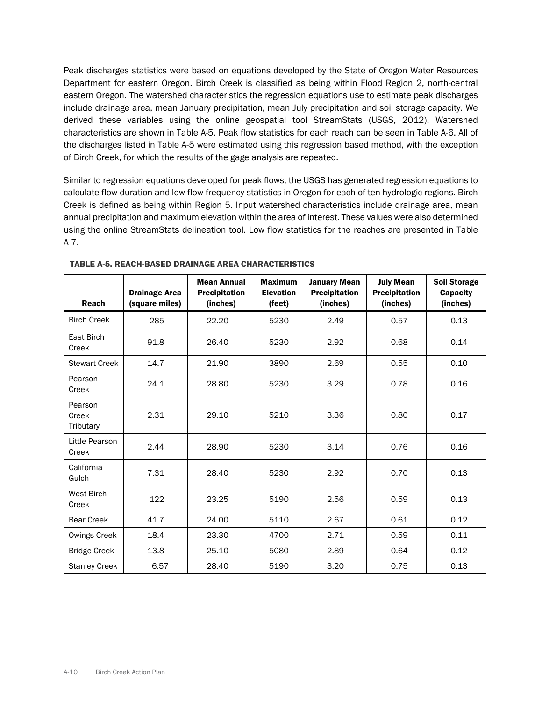Peak discharges statistics were based on equations developed by the State of Oregon Water Resources Department for eastern Oregon. Birch Creek is classified as being within Flood Region 2, north-central eastern Oregon. The watershed characteristics the regression equations use to estimate peak discharges include drainage area, mean January precipitation, mean July precipitation and soil storage capacity. We derived these variables using the online geospatial tool StreamStats (USGS, 2012). Watershed characteristics are shown in Table A-5. Peak flow statistics for each reach can be seen in Table A-6. All of the discharges listed in Table A-5 were estimated using this regression based method, with the exception of Birch Creek, for which the results of the gage analysis are repeated.

Similar to regression equations developed for peak flows, the USGS has generated regression equations to calculate flow-duration and low-flow frequency statistics in Oregon for each of ten hydrologic regions. Birch Creek is defined as being within Region 5. Input watershed characteristics include drainage area, mean annual precipitation and maximum elevation within the area of interest. These values were also determined using the online StreamStats delineation tool. Low flow statistics for the reaches are presented in Table A-7.

| <b>Reach</b>                  | <b>Drainage Area</b><br>(square miles) | <b>Mean Annual</b><br><b>Precipitation</b><br>(inches) | <b>Maximum</b><br><b>Elevation</b><br>(feet) | <b>January Mean</b><br><b>Precipitation</b><br>(inches) | <b>July Mean</b><br><b>Precipitation</b><br>(inches) | <b>Soil Storage</b><br><b>Capacity</b><br>(inches) |
|-------------------------------|----------------------------------------|--------------------------------------------------------|----------------------------------------------|---------------------------------------------------------|------------------------------------------------------|----------------------------------------------------|
| <b>Birch Creek</b>            | 285                                    | 22.20                                                  | 5230                                         | 2.49                                                    | 0.57                                                 | 0.13                                               |
| East Birch<br>Creek           | 91.8                                   | 26.40                                                  | 5230                                         | 2.92                                                    | 0.68                                                 | 0.14                                               |
| <b>Stewart Creek</b>          | 14.7                                   | 21.90                                                  | 3890                                         | 2.69                                                    | 0.55                                                 | 0.10                                               |
| Pearson<br>Creek              | 24.1                                   | 28.80                                                  | 5230                                         | 3.29                                                    | 0.78                                                 | 0.16                                               |
| Pearson<br>Creek<br>Tributary | 2.31                                   | 29.10                                                  | 5210                                         | 3.36                                                    | 0.80                                                 | 0.17                                               |
| Little Pearson<br>Creek       | 2.44                                   | 28.90                                                  | 5230                                         | 3.14                                                    | 0.76                                                 | 0.16                                               |
| California<br>Gulch           | 7.31                                   | 28.40                                                  | 5230                                         | 2.92                                                    | 0.70                                                 | 0.13                                               |
| West Birch<br>Creek           | 122                                    | 23.25                                                  | 5190                                         | 2.56                                                    | 0.59                                                 | 0.13                                               |
| <b>Bear Creek</b>             | 41.7                                   | 24.00                                                  | 5110                                         | 2.67                                                    | 0.61                                                 | 0.12                                               |
| Owings Creek                  | 18.4                                   | 23.30                                                  | 4700                                         | 2.71                                                    | 0.59                                                 | 0.11                                               |
| <b>Bridge Creek</b>           | 13.8                                   | 25.10                                                  | 5080                                         | 2.89                                                    | 0.64                                                 | 0.12                                               |
| <b>Stanley Creek</b>          | 6.57                                   | 28.40                                                  | 5190                                         | 3.20                                                    | 0.75                                                 | 0.13                                               |

TABLE A-5. REACH-BASED DRAINAGE AREA CHARACTERISTICS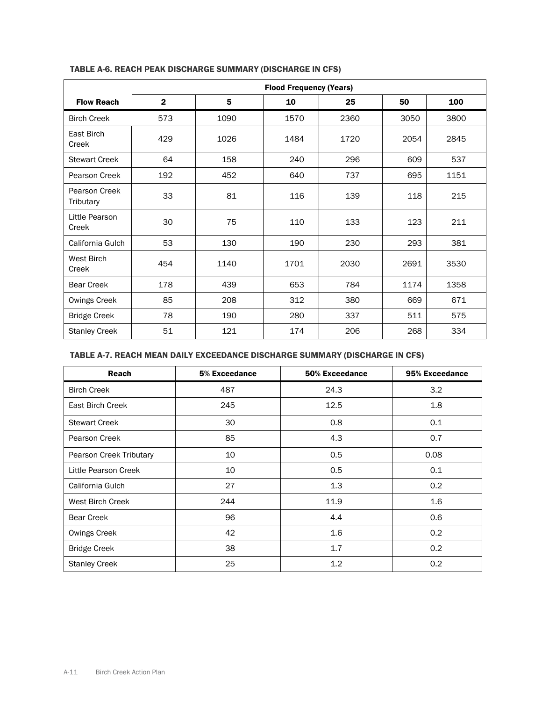|                            | <b>Flood Frequency (Years)</b> |      |      |      |      |      |  |  |
|----------------------------|--------------------------------|------|------|------|------|------|--|--|
| <b>Flow Reach</b>          | $\mathbf{2}$                   | 5    | 10   | 25   | 50   | 100  |  |  |
| <b>Birch Creek</b>         | 573                            | 1090 | 1570 | 2360 | 3050 | 3800 |  |  |
| East Birch<br>Creek        | 429                            | 1026 | 1484 | 1720 | 2054 | 2845 |  |  |
| <b>Stewart Creek</b>       | 64                             | 158  | 240  | 296  | 609  | 537  |  |  |
| Pearson Creek              | 192                            | 452  | 640  | 737  | 695  | 1151 |  |  |
| Pearson Creek<br>Tributary | 33                             | 81   | 116  | 139  | 118  | 215  |  |  |
| Little Pearson<br>Creek    | 30                             | 75   | 110  | 133  | 123  | 211  |  |  |
| California Gulch           | 53                             | 130  | 190  | 230  | 293  | 381  |  |  |
| West Birch<br>Creek        | 454                            | 1140 | 1701 | 2030 | 2691 | 3530 |  |  |
| <b>Bear Creek</b>          | 178                            | 439  | 653  | 784  | 1174 | 1358 |  |  |
| Owings Creek               | 85                             | 208  | 312  | 380  | 669  | 671  |  |  |
| <b>Bridge Creek</b>        | 78                             | 190  | 280  | 337  | 511  | 575  |  |  |
| <b>Stanley Creek</b>       | 51                             | 121  | 174  | 206  | 268  | 334  |  |  |

# TABLE A-6. REACH PEAK DISCHARGE SUMMARY (DISCHARGE IN CFS)

# TABLE A-7. REACH MEAN DAILY EXCEEDANCE DISCHARGE SUMMARY (DISCHARGE IN CFS)

| <b>Reach</b>            | 5% Exceedance | 50% Exceedance | 95% Exceedance |
|-------------------------|---------------|----------------|----------------|
| <b>Birch Creek</b>      | 487           | 24.3           | 3.2            |
| East Birch Creek        | 245           | 12.5           | 1.8            |
| <b>Stewart Creek</b>    | 30            | 0.8            | 0.1            |
| Pearson Creek           | 85            | 4.3            | 0.7            |
| Pearson Creek Tributary | 10            | 0.5            | 0.08           |
| Little Pearson Creek    | 10            | 0.5            | 0.1            |
| California Gulch        | 27            | 1.3            | 0.2            |
| West Birch Creek        | 244           | 11.9           | 1.6            |
| <b>Bear Creek</b>       | 96            | 4.4            | 0.6            |
| Owings Creek            | 42            | 1.6            | 0.2            |
| <b>Bridge Creek</b>     | 38            | 1.7            | 0.2            |
| <b>Stanley Creek</b>    | 25            | 1.2            | 0.2            |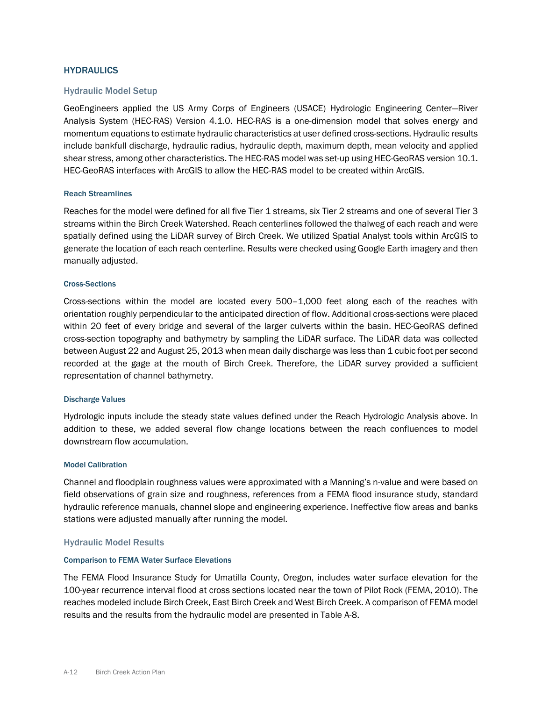### **HYDRAULICS**

#### Hydraulic Model Setup

GeoEngineers applied the US Army Corps of Engineers (USACE) Hydrologic Engineering Center—River Analysis System (HEC-RAS) Version 4.1.0. HEC-RAS is a one-dimension model that solves energy and momentum equations to estimate hydraulic characteristics at user defined cross-sections. Hydraulic results include bankfull discharge, hydraulic radius, hydraulic depth, maximum depth, mean velocity and applied shear stress, among other characteristics. The HEC-RAS model was set-up using HEC-GeoRAS version 10.1. HEC-GeoRAS interfaces with ArcGIS to allow the HEC-RAS model to be created within ArcGIS.

#### Reach Streamlines

Reaches for the model were defined for all five Tier 1 streams, six Tier 2 streams and one of several Tier 3 streams within the Birch Creek Watershed. Reach centerlines followed the thalweg of each reach and were spatially defined using the LiDAR survey of Birch Creek. We utilized Spatial Analyst tools within ArcGIS to generate the location of each reach centerline. Results were checked using Google Earth imagery and then manually adjusted.

#### Cross-Sections

Cross-sections within the model are located every 500–1,000 feet along each of the reaches with orientation roughly perpendicular to the anticipated direction of flow. Additional cross-sections were placed within 20 feet of every bridge and several of the larger culverts within the basin. HEC-GeoRAS defined cross-section topography and bathymetry by sampling the LiDAR surface. The LiDAR data was collected between August 22 and August 25, 2013 when mean daily discharge was less than 1 cubic foot per second recorded at the gage at the mouth of Birch Creek. Therefore, the LiDAR survey provided a sufficient representation of channel bathymetry.

#### Discharge Values

Hydrologic inputs include the steady state values defined under the Reach Hydrologic Analysis above. In addition to these, we added several flow change locations between the reach confluences to model downstream flow accumulation.

#### Model Calibration

Channel and floodplain roughness values were approximated with a Manning's n-value and were based on field observations of grain size and roughness, references from a FEMA flood insurance study, standard hydraulic reference manuals, channel slope and engineering experience. Ineffective flow areas and banks stations were adjusted manually after running the model.

#### Hydraulic Model Results

#### Comparison to FEMA Water Surface Elevations

The FEMA Flood Insurance Study for Umatilla County, Oregon, includes water surface elevation for the 100-year recurrence interval flood at cross sections located near the town of Pilot Rock (FEMA, 2010). The reaches modeled include Birch Creek, East Birch Creek and West Birch Creek. A comparison of FEMA model results and the results from the hydraulic model are presented in Table A-8.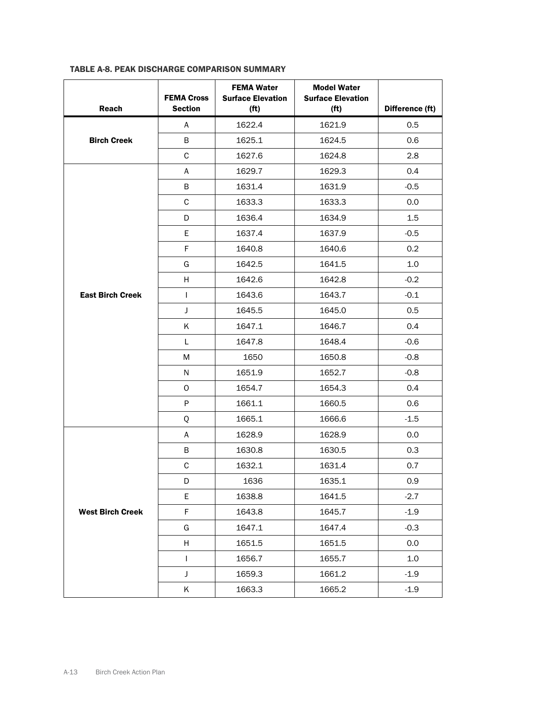| Reach                   | <b>FEMA Cross</b><br><b>Section</b> | <b>FEMA Water</b><br><b>Surface Elevation</b><br>(f <sup>t</sup> ) | <b>Model Water</b><br><b>Surface Elevation</b><br>(f <sup>t</sup> ) | Difference (ft) |
|-------------------------|-------------------------------------|--------------------------------------------------------------------|---------------------------------------------------------------------|-----------------|
|                         | A                                   | 1622.4                                                             | 1621.9                                                              | 0.5             |
| <b>Birch Creek</b>      | В                                   | 1625.1                                                             | 1624.5                                                              | 0.6             |
|                         | $\mathsf C$                         | 1627.6                                                             | 1624.8                                                              | 2.8             |
|                         | A                                   | 1629.7                                                             | 1629.3                                                              | 0.4             |
|                         | В                                   | 1631.4                                                             | 1631.9                                                              | $-0.5$          |
|                         | $\mathsf C$                         | 1633.3                                                             | 1633.3                                                              | 0.0             |
|                         | D                                   | 1636.4                                                             | 1634.9                                                              | 1.5             |
|                         | Е                                   | 1637.4                                                             | 1637.9                                                              | $-0.5$          |
|                         | F                                   | 1640.8                                                             | 1640.6                                                              | 0.2             |
|                         | G                                   | 1642.5                                                             | 1641.5                                                              | 1.0             |
|                         | H                                   | 1642.6                                                             | 1642.8                                                              | $-0.2$          |
| <b>East Birch Creek</b> | $\mathbf{I}$                        | 1643.6                                                             | 1643.7                                                              | $-0.1$          |
|                         | J                                   | 1645.5                                                             | 1645.0                                                              | 0.5             |
|                         | Κ                                   | 1647.1                                                             | 1646.7                                                              | 0.4             |
|                         | L                                   | 1647.8                                                             | 1648.4                                                              | $-0.6$          |
|                         | M                                   | 1650                                                               | 1650.8                                                              | $-0.8$          |
|                         | N                                   | 1651.9                                                             | 1652.7                                                              | $-0.8$          |
|                         | 0                                   | 1654.7                                                             | 1654.3                                                              | 0.4             |
|                         | $\sf P$                             | 1661.1                                                             | 1660.5                                                              | 0.6             |
|                         | Q                                   | 1665.1                                                             | 1666.6                                                              | $-1.5$          |
|                         | A                                   | 1628.9                                                             | 1628.9                                                              | 0.0             |
|                         | В                                   | 1630.8                                                             | 1630.5                                                              | 0.3             |
|                         | $\mathsf C$                         | 1632.1                                                             | 1631.4                                                              | 0.7             |
|                         | D                                   | 1636                                                               | 1635.1                                                              | 0.9             |
|                         | E                                   | 1638.8                                                             | 1641.5                                                              | $-2.7$          |
| <b>West Birch Creek</b> | F                                   | 1643.8                                                             | 1645.7                                                              | $-1.9$          |
|                         | G                                   | 1647.1                                                             | 1647.4                                                              | $-0.3$          |
|                         | H                                   | 1651.5                                                             | 1651.5                                                              | 0.0             |
|                         | $\mathbf{I}$                        | 1656.7                                                             | 1655.7                                                              | 1.0             |
|                         | J                                   | 1659.3                                                             | 1661.2                                                              | $-1.9$          |
|                         | Κ                                   | 1663.3                                                             | 1665.2                                                              | $-1.9$          |

# TABLE A-8. PEAK DISCHARGE COMPARISON SUMMARY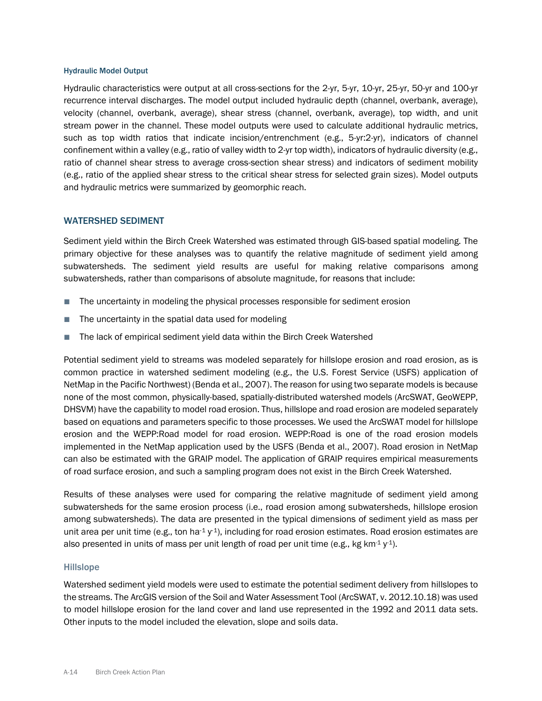#### Hydraulic Model Output

Hydraulic characteristics were output at all cross-sections for the 2-yr, 5-yr, 10-yr, 25-yr, 50-yr and 100-yr recurrence interval discharges. The model output included hydraulic depth (channel, overbank, average), velocity (channel, overbank, average), shear stress (channel, overbank, average), top width, and unit stream power in the channel. These model outputs were used to calculate additional hydraulic metrics, such as top width ratios that indicate incision/entrenchment (e.g., 5-yr:2-yr), indicators of channel confinement within a valley (e.g., ratio of valley width to 2-yr top width), indicators of hydraulic diversity (e.g., ratio of channel shear stress to average cross-section shear stress) and indicators of sediment mobility (e.g., ratio of the applied shear stress to the critical shear stress for selected grain sizes). Model outputs and hydraulic metrics were summarized by geomorphic reach.

#### WATERSHED SEDIMENT

Sediment yield within the Birch Creek Watershed was estimated through GIS-based spatial modeling. The primary objective for these analyses was to quantify the relative magnitude of sediment yield among subwatersheds. The sediment yield results are useful for making relative comparisons among subwatersheds, rather than comparisons of absolute magnitude, for reasons that include:

- The uncertainty in modeling the physical processes responsible for sediment erosion
- The uncertainty in the spatial data used for modeling
- The lack of empirical sediment yield data within the Birch Creek Watershed

Potential sediment yield to streams was modeled separately for hillslope erosion and road erosion, as is common practice in watershed sediment modeling (e.g., the U.S. Forest Service (USFS) application of NetMap in the Pacific Northwest) (Benda et al., 2007). The reason for using two separate models is because none of the most common, physically-based, spatially-distributed watershed models (ArcSWAT, GeoWEPP, DHSVM) have the capability to model road erosion. Thus, hillslope and road erosion are modeled separately based on equations and parameters specific to those processes. We used the ArcSWAT model for hillslope erosion and the WEPP:Road model for road erosion. WEPP:Road is one of the road erosion models implemented in the NetMap application used by the USFS (Benda et al., 2007). Road erosion in NetMap can also be estimated with the GRAIP model. The application of GRAIP requires empirical measurements of road surface erosion, and such a sampling program does not exist in the Birch Creek Watershed.

Results of these analyses were used for comparing the relative magnitude of sediment yield among subwatersheds for the same erosion process (i.e., road erosion among subwatersheds, hillslope erosion among subwatersheds). The data are presented in the typical dimensions of sediment yield as mass per unit area per unit time (e.g., ton ha $-1$  y<sup>-1</sup>), including for road erosion estimates. Road erosion estimates are also presented in units of mass per unit length of road per unit time (e.g., kg km<sup>-1</sup> y<sup>-1</sup>).

#### Hillslope

Watershed sediment yield models were used to estimate the potential sediment delivery from hillslopes to the streams. The ArcGIS version of the Soil and Water Assessment Tool (ArcSWAT, v. 2012.10.18) was used to model hillslope erosion for the land cover and land use represented in the 1992 and 2011 data sets. Other inputs to the model included the elevation, slope and soils data.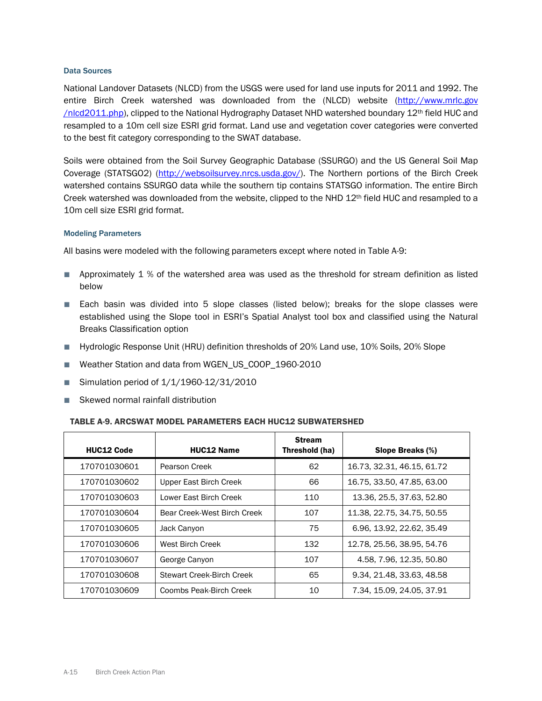#### Data Sources

National Landover Datasets (NLCD) from the USGS were used for land use inputs for 2011 and 1992. The entire Birch Creek watershed was downloaded from the (NLCD) website [\(http://www.mrlc.gov](http://www.mrlc.gov/nlcd2011.php) [/nlcd2011.php\)](http://www.mrlc.gov/nlcd2011.php), clipped to the National Hydrography Dataset NHD watershed boundary 12th field HUC and resampled to a 10m cell size ESRI grid format. Land use and vegetation cover categories were converted to the best fit category corresponding to the SWAT database.

Soils were obtained from the Soil Survey Geographic Database (SSURGO) and the US General Soil Map Coverage (STATSGO2) [\(http://websoilsurvey.nrcs.usda.gov/\)](http://websoilsurvey.nrcs.usda.gov/). The Northern portions of the Birch Creek watershed contains SSURGO data while the southern tip contains STATSGO information. The entire Birch Creek watershed was downloaded from the website, clipped to the NHD  $12<sup>th</sup>$  field HUC and resampled to a 10m cell size ESRI grid format.

#### Modeling Parameters

All basins were modeled with the following parameters except where noted in Table A-9:

- Approximately 1 % of the watershed area was used as the threshold for stream definition as listed below
- Each basin was divided into 5 slope classes (listed below); breaks for the slope classes were established using the Slope tool in ESRI's Spatial Analyst tool box and classified using the Natural Breaks Classification option
- Hydrologic Response Unit (HRU) definition thresholds of 20% Land use, 10% Soils, 20% Slope
- Weather Station and data from WGEN\_US\_COOP\_1960-2010
- Simulation period of 1/1/1960-12/31/2010
- Skewed normal rainfall distribution

#### TABLE A-9. ARCSWAT MODEL PARAMETERS EACH HUC12 SUBWATERSHED

| <b>HUC12 Code</b> | <b>HUC12 Name</b>                | <b>Stream</b><br>Threshold (ha) | Slope Breaks (%)           |
|-------------------|----------------------------------|---------------------------------|----------------------------|
| 170701030601      | Pearson Creek                    | 62                              | 16.73, 32.31, 46.15, 61.72 |
| 170701030602      | Upper East Birch Creek           | 66                              | 16.75, 33.50, 47.85, 63.00 |
| 170701030603      | Lower East Birch Creek           | 110                             | 13.36, 25.5, 37.63, 52.80  |
| 170701030604      | Bear Creek-West Birch Creek      | 107                             | 11.38, 22.75, 34.75, 50.55 |
| 170701030605      | Jack Canyon                      | 75                              | 6.96, 13.92, 22.62, 35.49  |
| 170701030606      | West Birch Creek                 | 132                             | 12.78, 25.56, 38.95, 54.76 |
| 170701030607      | George Canyon                    | 107                             | 4.58, 7.96, 12.35, 50.80   |
| 170701030608      | <b>Stewart Creek-Birch Creek</b> | 65                              | 9.34, 21.48, 33.63, 48.58  |
| 170701030609      | Coombs Peak-Birch Creek          | 10                              | 7.34, 15.09, 24.05, 37.91  |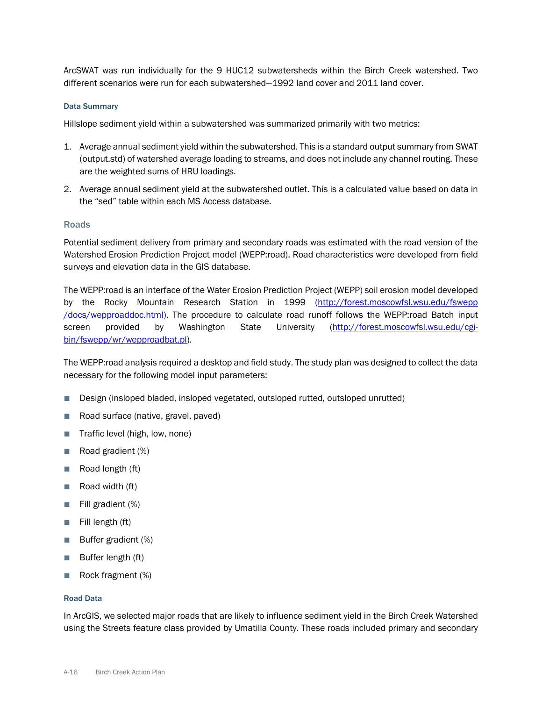ArcSWAT was run individually for the 9 HUC12 subwatersheds within the Birch Creek watershed. Two different scenarios were run for each subwatershed—1992 land cover and 2011 land cover.

#### Data Summary

Hillslope sediment yield within a subwatershed was summarized primarily with two metrics:

- 1. Average annual sediment yield within the subwatershed. This is a standard output summary from SWAT (output.std) of watershed average loading to streams, and does not include any channel routing. These are the weighted sums of HRU loadings.
- 2. Average annual sediment yield at the subwatershed outlet. This is a calculated value based on data in the "sed" table within each MS Access database.

#### Roads

Potential sediment delivery from primary and secondary roads was estimated with the road version of the Watershed Erosion Prediction Project model (WEPP:road). Road characteristics were developed from field surveys and elevation data in the GIS database.

The WEPP:road is an interface of the Water Erosion Prediction Project (WEPP) soil erosion model developed by the Rocky Mountain Research Station in 1999 [\(http://forest.moscowfsl.wsu.edu/fswepp](http://forest.moscowfsl.wsu.edu/fswepp/docs/wepproaddoc.html) [/docs/wepproaddoc.html\)](http://forest.moscowfsl.wsu.edu/fswepp/docs/wepproaddoc.html). The procedure to calculate road runoff follows the WEPP:road Batch input screen provided by Washington State University [\(http://forest.moscowfsl.wsu.edu/cgi](http://forest.moscowfsl.wsu.edu/cgi-bin/fswepp/wr/wepproadbat.pl)[bin/fswepp/wr/wepproadbat.pl\)](http://forest.moscowfsl.wsu.edu/cgi-bin/fswepp/wr/wepproadbat.pl).

The WEPP:road analysis required a desktop and field study. The study plan was designed to collect the data necessary for the following model input parameters:

- Design (insloped bladed, insloped vegetated, outsloped rutted, outsloped unrutted)
- Road surface (native, gravel, paved)
- Traffic level (high, low, none)
- Road gradient (%)
- Road length (ft)
- Road width (ft)
- Fill gradient (%)
- Fill length (ft)
- Buffer gradient (%)
- Buffer length (ft)
- Rock fragment (%)

#### Road Data

In ArcGIS, we selected major roads that are likely to influence sediment yield in the Birch Creek Watershed using the Streets feature class provided by Umatilla County. These roads included primary and secondary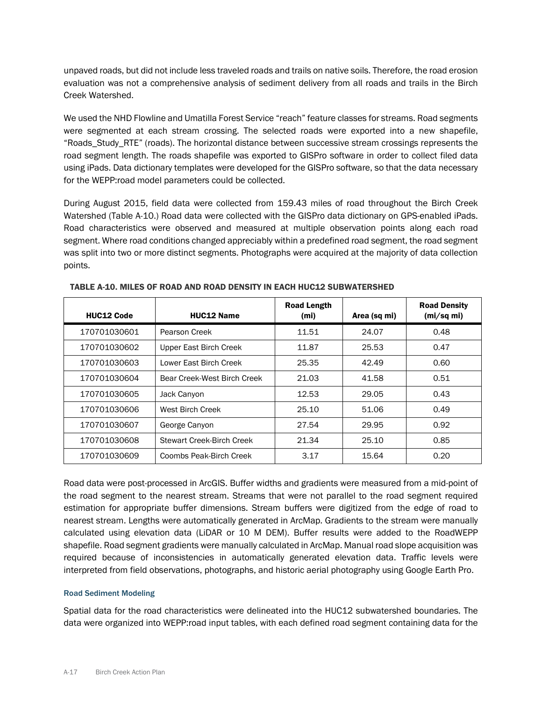unpaved roads, but did not include less traveled roads and trails on native soils. Therefore, the road erosion evaluation was not a comprehensive analysis of sediment delivery from all roads and trails in the Birch Creek Watershed.

We used the NHD Flowline and Umatilla Forest Service "reach" feature classes for streams. Road segments were segmented at each stream crossing. The selected roads were exported into a new shapefile, "Roads\_Study\_RTE" (roads). The horizontal distance between successive stream crossings represents the road segment length. The roads shapefile was exported to GISPro software in order to collect filed data using iPads. Data dictionary templates were developed for the GISPro software, so that the data necessary for the WEPP:road model parameters could be collected.

During August 2015, field data were collected from 159.43 miles of road throughout the Birch Creek Watershed (Table A-10.) Road data were collected with the GISPro data dictionary on GPS-enabled iPads. Road characteristics were observed and measured at multiple observation points along each road segment. Where road conditions changed appreciably within a predefined road segment, the road segment was split into two or more distinct segments. Photographs were acquired at the majority of data collection points.

| <b>HUC12 Code</b> | <b>HUC12 Name</b>                | <b>Road Length</b><br>(m <sub>i</sub> ) | Area (sq mi) | <b>Road Density</b><br>(mi/sq mi) |
|-------------------|----------------------------------|-----------------------------------------|--------------|-----------------------------------|
| 170701030601      | Pearson Creek                    | 11.51                                   | 24.07        | 0.48                              |
| 170701030602      | Upper East Birch Creek           | 11.87                                   | 25.53        | 0.47                              |
| 170701030603      | Lower Fast Birch Creek           | 25.35                                   | 42.49        | 0.60                              |
| 170701030604      | Bear Creek-West Birch Creek      | 21.03                                   | 41.58        | 0.51                              |
| 170701030605      | Jack Canyon                      | 12.53                                   | 29.05        | 0.43                              |
| 170701030606      | West Birch Creek                 | 25.10                                   | 51.06        | 0.49                              |
| 170701030607      | George Canyon                    | 27.54                                   | 29.95        | 0.92                              |
| 170701030608      | <b>Stewart Creek-Birch Creek</b> | 21.34                                   | 25.10        | 0.85                              |
| 170701030609      | Coombs Peak-Birch Creek          | 3.17                                    | 15.64        | 0.20                              |

TABLE A-10. MILES OF ROAD AND ROAD DENSITY IN EACH HUC12 SUBWATERSHED

Road data were post-processed in ArcGIS. Buffer widths and gradients were measured from a mid-point of the road segment to the nearest stream. Streams that were not parallel to the road segment required estimation for appropriate buffer dimensions. Stream buffers were digitized from the edge of road to nearest stream. Lengths were automatically generated in ArcMap. Gradients to the stream were manually calculated using elevation data (LiDAR or 10 M DEM). Buffer results were added to the RoadWEPP shapefile. Road segment gradients were manually calculated in ArcMap. Manual road slope acquisition was required because of inconsistencies in automatically generated elevation data. Traffic levels were interpreted from field observations, photographs, and historic aerial photography using Google Earth Pro.

#### Road Sediment Modeling

Spatial data for the road characteristics were delineated into the HUC12 subwatershed boundaries. The data were organized into WEPP:road input tables, with each defined road segment containing data for the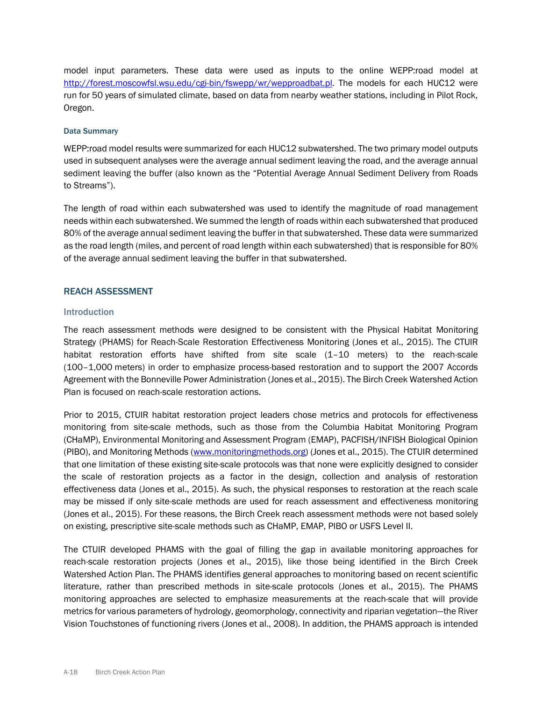model input parameters. These data were used as inputs to the online WEPP:road model at [http://forest.moscowfsl.wsu.edu/cgi-bin/fswepp/wr/wepproadbat.pl.](http://forest.moscowfsl.wsu.edu/cgi-bin/fswepp/wr/wepproadbat.pl) The models for each HUC12 were run for 50 years of simulated climate, based on data from nearby weather stations, including in Pilot Rock, Oregon.

#### Data Summary

WEPP:road model results were summarized for each HUC12 subwatershed. The two primary model outputs used in subsequent analyses were the average annual sediment leaving the road, and the average annual sediment leaving the buffer (also known as the "Potential Average Annual Sediment Delivery from Roads to Streams").

The length of road within each subwatershed was used to identify the magnitude of road management needs within each subwatershed. We summed the length of roads within each subwatershed that produced 80% of the average annual sediment leaving the buffer in that subwatershed. These data were summarized as the road length (miles, and percent of road length within each subwatershed) that is responsible for 80% of the average annual sediment leaving the buffer in that subwatershed.

#### REACH ASSESSMENT

#### Introduction

The reach assessment methods were designed to be consistent with the Physical Habitat Monitoring Strategy (PHAMS) for Reach-Scale Restoration Effectiveness Monitoring (Jones et al., 2015). The CTUIR habitat restoration efforts have shifted from site scale (1–10 meters) to the reach-scale (100–1,000 meters) in order to emphasize process-based restoration and to support the 2007 Accords Agreement with the Bonneville Power Administration (Jones et al., 2015). The Birch Creek Watershed Action Plan is focused on reach-scale restoration actions.

Prior to 2015, CTUIR habitat restoration project leaders chose metrics and protocols for effectiveness monitoring from site-scale methods, such as those from the Columbia Habitat Monitoring Program (CHaMP), Environmental Monitoring and Assessment Program (EMAP), PACFISH/INFISH Biological Opinion (PIBO), and Monitoring Methods [\(www.monitoringmethods.org\)](http://www.monitoringmethods.org/) (Jones et al., 2015). The CTUIR determined that one limitation of these existing site-scale protocols was that none were explicitly designed to consider the scale of restoration projects as a factor in the design, collection and analysis of restoration effectiveness data (Jones et al., 2015). As such, the physical responses to restoration at the reach scale may be missed if only site-scale methods are used for reach assessment and effectiveness monitoring (Jones et al., 2015). For these reasons, the Birch Creek reach assessment methods were not based solely on existing, prescriptive site-scale methods such as CHaMP, EMAP, PIBO or USFS Level II.

The CTUIR developed PHAMS with the goal of filling the gap in available monitoring approaches for reach-scale restoration projects (Jones et al., 2015), like those being identified in the Birch Creek Watershed Action Plan. The PHAMS identifies general approaches to monitoring based on recent scientific literature, rather than prescribed methods in site-scale protocols (Jones et al., 2015). The PHAMS monitoring approaches are selected to emphasize measurements at the reach-scale that will provide metrics for various parameters of hydrology, geomorphology, connectivity and riparian vegetation—the River Vision Touchstones of functioning rivers (Jones et al., 2008). In addition, the PHAMS approach is intended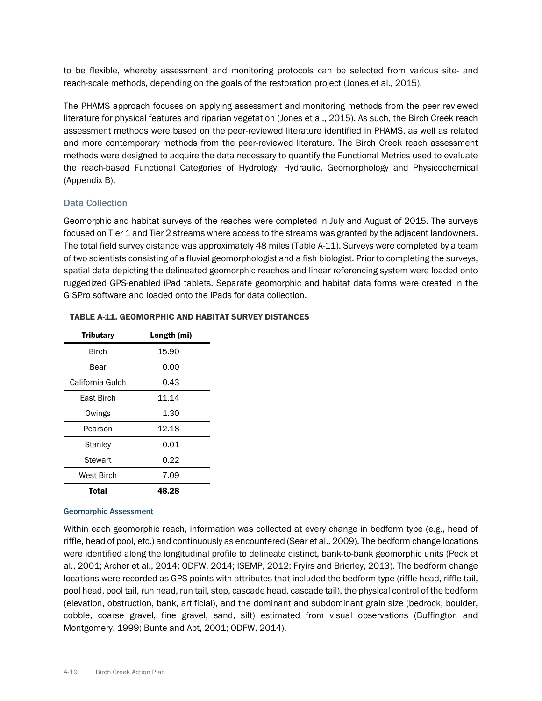to be flexible, whereby assessment and monitoring protocols can be selected from various site- and reach-scale methods, depending on the goals of the restoration project (Jones et al., 2015).

The PHAMS approach focuses on applying assessment and monitoring methods from the peer reviewed literature for physical features and riparian vegetation (Jones et al., 2015). As such, the Birch Creek reach assessment methods were based on the peer-reviewed literature identified in PHAMS, as well as related and more contemporary methods from the peer-reviewed literature. The Birch Creek reach assessment methods were designed to acquire the data necessary to quantify the Functional Metrics used to evaluate the reach-based Functional Categories of Hydrology, Hydraulic, Geomorphology and Physicochemical (Appendix B).

#### Data Collection

Geomorphic and habitat surveys of the reaches were completed in July and August of 2015. The surveys focused on Tier 1 and Tier 2 streams where access to the streams was granted by the adjacent landowners. The total field survey distance was approximately 48 miles (Table A-11). Surveys were completed by a team of two scientists consisting of a fluvial geomorphologist and a fish biologist. Prior to completing the surveys, spatial data depicting the delineated geomorphic reaches and linear referencing system were loaded onto ruggedized GPS-enabled iPad tablets. Separate geomorphic and habitat data forms were created in the GISPro software and loaded onto the iPads for data collection.

| <b>Tributary</b> | Length (mi) |
|------------------|-------------|
| Birch            | 15.90       |
| Bear             | 0.00        |
| California Gulch | 0.43        |
| East Birch       | 11.14       |
| Owings           | 1.30        |
| Pearson          | 12.18       |
| Stanley          | 0.01        |
| Stewart          | 0.22        |
| West Birch       | 7.09        |
| Total            | 48.28       |

#### TABLE A-11. GEOMORPHIC AND HABITAT SURVEY DISTANCES

#### Geomorphic Assessment

Within each geomorphic reach, information was collected at every change in bedform type (e.g., head of riffle, head of pool, etc.) and continuously as encountered (Sear et al., 2009). The bedform change locations were identified along the longitudinal profile to delineate distinct, bank-to-bank geomorphic units (Peck et al., 2001; Archer et al., 2014; ODFW, 2014; ISEMP, 2012; Fryirs and Brierley, 2013). The bedform change locations were recorded as GPS points with attributes that included the bedform type (riffle head, riffle tail, pool head, pool tail, run head, run tail, step, cascade head, cascade tail), the physical control of the bedform (elevation, obstruction, bank, artificial), and the dominant and subdominant grain size (bedrock, boulder, cobble, coarse gravel, fine gravel, sand, silt) estimated from visual observations (Buffington and Montgomery, 1999; Bunte and Abt, 2001; ODFW, 2014).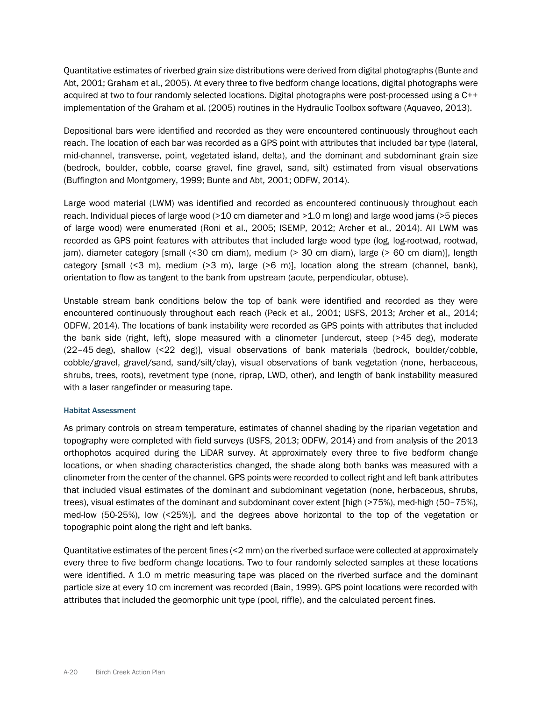Quantitative estimates of riverbed grain size distributions were derived from digital photographs (Bunte and Abt, 2001; Graham et al., 2005). At every three to five bedform change locations, digital photographs were acquired at two to four randomly selected locations. Digital photographs were post-processed using a C++ implementation of the Graham et al. (2005) routines in the Hydraulic Toolbox software (Aquaveo, 2013).

Depositional bars were identified and recorded as they were encountered continuously throughout each reach. The location of each bar was recorded as a GPS point with attributes that included bar type (lateral, mid-channel, transverse, point, vegetated island, delta), and the dominant and subdominant grain size (bedrock, boulder, cobble, coarse gravel, fine gravel, sand, silt) estimated from visual observations (Buffington and Montgomery, 1999; Bunte and Abt, 2001; ODFW, 2014).

Large wood material (LWM) was identified and recorded as encountered continuously throughout each reach. Individual pieces of large wood (>10 cm diameter and >1.0 m long) and large wood jams (>5 pieces of large wood) were enumerated (Roni et al., 2005; ISEMP, 2012; Archer et al., 2014). All LWM was recorded as GPS point features with attributes that included large wood type (log, log-rootwad, rootwad, jam), diameter category [small (<30 cm diam), medium (> 30 cm diam), large (> 60 cm diam)], length category [small (<3 m), medium (>3 m), large (>6 m)], location along the stream (channel, bank), orientation to flow as tangent to the bank from upstream (acute, perpendicular, obtuse).

Unstable stream bank conditions below the top of bank were identified and recorded as they were encountered continuously throughout each reach (Peck et al., 2001; USFS, 2013; Archer et al., 2014; ODFW, 2014). The locations of bank instability were recorded as GPS points with attributes that included the bank side (right, left), slope measured with a clinometer [undercut, steep (>45 deg), moderate (22–45 deg), shallow (<22 deg)], visual observations of bank materials (bedrock, boulder/cobble, cobble/gravel, gravel/sand, sand/silt/clay), visual observations of bank vegetation (none, herbaceous, shrubs, trees, roots), revetment type (none, riprap, LWD, other), and length of bank instability measured with a laser rangefinder or measuring tape.

#### Habitat Assessment

As primary controls on stream temperature, estimates of channel shading by the riparian vegetation and topography were completed with field surveys (USFS, 2013; ODFW, 2014) and from analysis of the 2013 orthophotos acquired during the LiDAR survey. At approximately every three to five bedform change locations, or when shading characteristics changed, the shade along both banks was measured with a clinometer from the center of the channel. GPS points were recorded to collect right and left bank attributes that included visual estimates of the dominant and subdominant vegetation (none, herbaceous, shrubs, trees), visual estimates of the dominant and subdominant cover extent [high (>75%), med-high (50–75%), med-low (50-25%), low (<25%)], and the degrees above horizontal to the top of the vegetation or topographic point along the right and left banks.

Quantitative estimates of the percent fines (<2 mm) on the riverbed surface were collected at approximately every three to five bedform change locations. Two to four randomly selected samples at these locations were identified. A 1.0 m metric measuring tape was placed on the riverbed surface and the dominant particle size at every 10 cm increment was recorded (Bain, 1999). GPS point locations were recorded with attributes that included the geomorphic unit type (pool, riffle), and the calculated percent fines.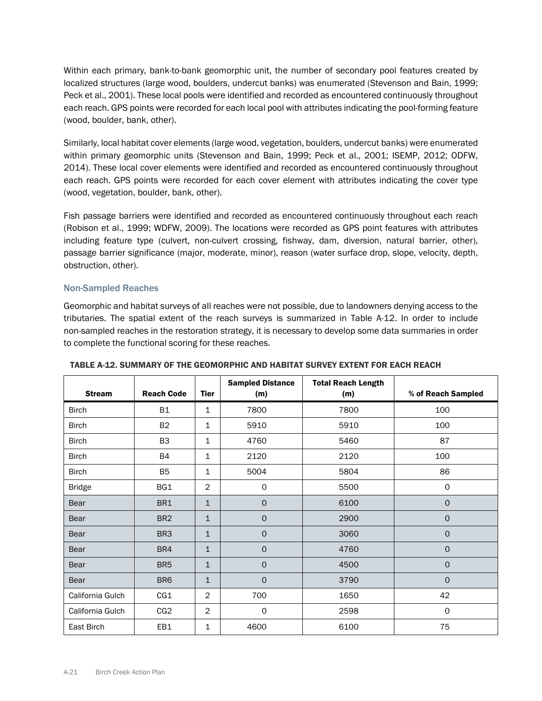Within each primary, bank-to-bank geomorphic unit, the number of secondary pool features created by localized structures (large wood, boulders, undercut banks) was enumerated (Stevenson and Bain, 1999; Peck et al., 2001). These local pools were identified and recorded as encountered continuously throughout each reach. GPS points were recorded for each local pool with attributes indicating the pool-forming feature (wood, boulder, bank, other).

Similarly, local habitat cover elements (large wood, vegetation, boulders, undercut banks) were enumerated within primary geomorphic units (Stevenson and Bain, 1999; Peck et al., 2001; ISEMP, 2012; ODFW, 2014). These local cover elements were identified and recorded as encountered continuously throughout each reach. GPS points were recorded for each cover element with attributes indicating the cover type (wood, vegetation, boulder, bank, other).

Fish passage barriers were identified and recorded as encountered continuously throughout each reach (Robison et al., 1999; WDFW, 2009). The locations were recorded as GPS point features with attributes including feature type (culvert, non-culvert crossing, fishway, dam, diversion, natural barrier, other), passage barrier significance (major, moderate, minor), reason (water surface drop, slope, velocity, depth, obstruction, other).

# Non-Sampled Reaches

Geomorphic and habitat surveys of all reaches were not possible, due to landowners denying access to the tributaries. The spatial extent of the reach surveys is summarized in Table A-12. In order to include non-sampled reaches in the restoration strategy, it is necessary to develop some data summaries in order to complete the functional scoring for these reaches.

| <b>Stream</b>    | <b>Reach Code</b> | Tier           | <b>Sampled Distance</b><br>(m) | <b>Total Reach Length</b><br>(m) | % of Reach Sampled  |
|------------------|-------------------|----------------|--------------------------------|----------------------------------|---------------------|
| <b>Birch</b>     | <b>B1</b>         | $\mathbf 1$    | 7800                           | 7800                             | 100                 |
| <b>Birch</b>     | <b>B2</b>         | $\mathbf{1}$   | 5910                           | 5910                             | 100                 |
| <b>Birch</b>     | B <sub>3</sub>    | $\mathbf{1}$   | 4760                           | 5460                             | 87                  |
| <b>Birch</b>     | <b>B4</b>         | $\mathbf{1}$   | 2120                           | 2120                             | 100                 |
| <b>Birch</b>     | B <sub>5</sub>    | $\mathbf{1}$   | 5004                           | 5804                             | 86                  |
| <b>Bridge</b>    | BG1               | 2              | 0                              | 5500                             | 0                   |
| Bear             | BR1               | $\mathbf{1}$   | $\mathbf 0$                    | 6100                             | $\mathbf{O}$        |
| Bear             | BR <sub>2</sub>   | $\mathbf{1}$   | $\mathbf 0$                    | 2900                             | $\mathsf{O}\xspace$ |
| <b>Bear</b>      | BR <sub>3</sub>   | $\mathbf{1}$   | $\mathbf 0$                    | 3060                             | $\mathsf{O}\xspace$ |
| Bear             | BR4               | $\mathbf{1}$   | $\mathsf{O}\xspace$            | 4760                             | $\mathsf{O}$        |
| <b>Bear</b>      | BR <sub>5</sub>   | $\mathbf{1}$   | $\mathbf 0$                    | 4500                             | $\mathsf{O}$        |
| <b>Bear</b>      | BR <sub>6</sub>   | $\mathbf{1}$   | $\mathbf 0$                    | 3790                             | $\mathbf{O}$        |
| California Gulch | CG1               | $\overline{2}$ | 700                            | 1650                             | 42                  |
| California Gulch | CG2               | $\overline{2}$ | 0                              | 2598                             | $\mathbf 0$         |
| East Birch       | EB1               | $\mathbf{1}$   | 4600                           | 6100                             | 75                  |

TABLE A-12. SUMMARY OF THE GEOMORPHIC AND HABITAT SURVEY EXTENT FOR EACH REACH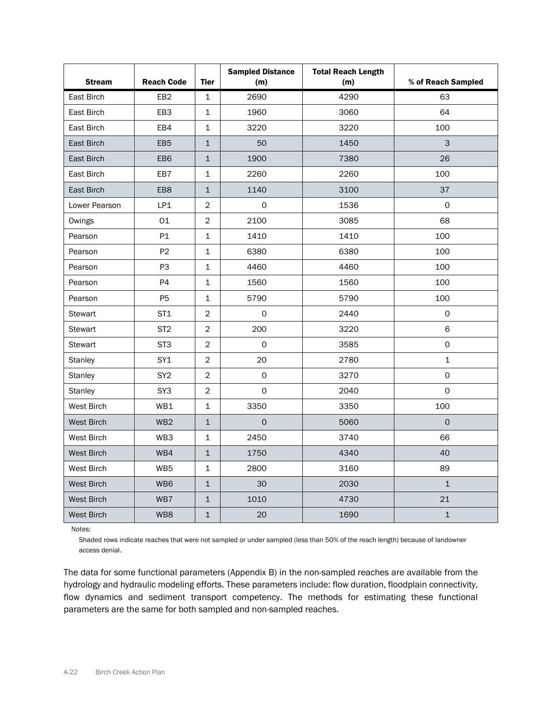| <b>Stream</b>  | <b>Reach Code</b> | <b>Tier</b>    | <b>Sampled Distance</b><br>(m) | <b>Total Reach Length</b><br>(m) | % of Reach Sampled |
|----------------|-------------------|----------------|--------------------------------|----------------------------------|--------------------|
| East Birch     | EB <sub>2</sub>   | 1              | 2690                           | 4290                             | 63                 |
| East Birch     | EB3               | $\mathbf{1}$   | 1960                           | 3060                             | 64                 |
| East Birch     | EB4               | $\mathbf{1}$   | 3220                           | 3220                             | 100                |
| East Birch     | EB <sub>5</sub>   | $\mathbf{1}$   | 50                             | 1450                             | 3                  |
| East Birch     | EB6               | $\mathbf{1}$   | 1900                           | 7380                             | 26                 |
| East Birch     | EB7               | 1              | 2260                           | 2260                             | 100                |
| East Birch     | EB8               | $\mathbf{1}$   | 1140                           | 3100                             | 37                 |
| Lower Pearson  | LP1               | $\overline{2}$ | 0                              | 1536                             | $\mathsf{O}$       |
| Owings         | 01                | $\overline{2}$ | 2100                           | 3085                             | 68                 |
| Pearson        | P1                | $\mathbf{1}$   | 1410                           | 1410                             | 100                |
| Pearson        | P <sub>2</sub>    | $\mathbf{1}$   | 6380                           | 6380                             | 100                |
| Pearson        | P <sub>3</sub>    | 1              | 4460                           | 4460                             | 100                |
| Pearson        | P4                | 1              | 1560                           | 1560                             | 100                |
| Pearson        | P <sub>5</sub>    | 1              | 5790                           | 5790                             | 100                |
| <b>Stewart</b> | ST <sub>1</sub>   | $\overline{2}$ | 0                              | 2440                             | $\mathsf{O}$       |
| <b>Stewart</b> | ST <sub>2</sub>   | $\overline{c}$ | 200                            | 3220                             | 6                  |
| Stewart        | ST <sub>3</sub>   | $\overline{2}$ | $\mathsf{O}$                   | 3585                             | 0                  |
| <b>Stanley</b> | SY <sub>1</sub>   | $\overline{c}$ | 20                             | 2780                             | $\mathbf{1}$       |
| Stanley        | SY <sub>2</sub>   | $\overline{2}$ | $\mathsf{O}\xspace$            | 3270                             | 0                  |
| <b>Stanley</b> | SY3               | $\overline{c}$ | $\mathsf{O}$                   | 2040                             | 0                  |
| West Birch     | WB1               | 1              | 3350                           | 3350                             | 100                |
| West Birch     | WB <sub>2</sub>   | $\mathbf 1$    | $\Omega$                       | 5060                             | $\mathbf{O}$       |
| West Birch     | WB3               | $\mathbf{1}$   | 2450                           | 3740                             | 66                 |
| West Birch     | WB4               | $\mathbf 1$    | 1750                           | 4340                             | 40                 |
| West Birch     | WB5               | 1              | 2800                           | 3160                             | 89                 |
| West Birch     | WB <sub>6</sub>   | $\mathbf 1$    | 30                             | 2030                             | $\mathbf 1$        |
| West Birch     | WB7               | $\mathbf{1}$   | 1010                           | 4730                             | 21                 |
| West Birch     | WB8               | $\mathbf{1}$   | 20                             | 1690                             | $\mathbf{1}$       |

Notes:

Shaded rows indicate reaches that were not sampled or under sampled (less than 50% of the reach length) because of landowner access denial.

The data for some functional parameters (Appendix B) in the non-sampled reaches are available from the hydrology and hydraulic modeling efforts. These parameters include: flow duration, floodplain connectivity, flow dynamics and sediment transport competency. The methods for estimating these functional parameters are the same for both sampled and non-sampled reaches.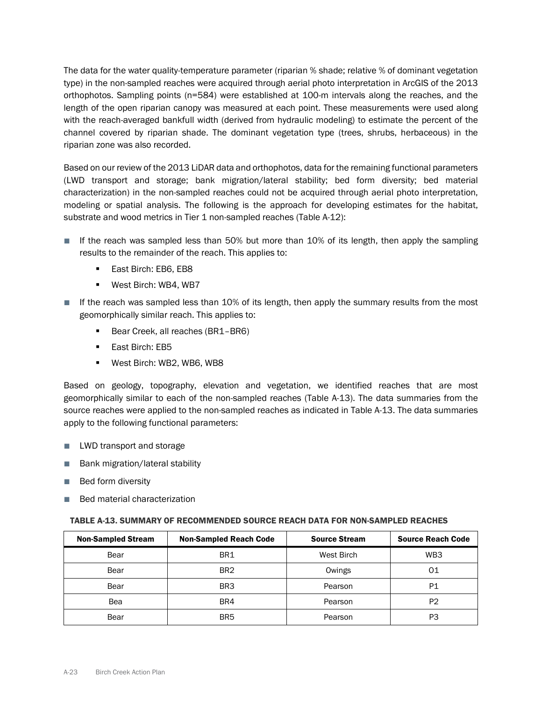The data for the water quality-temperature parameter (riparian % shade; relative % of dominant vegetation type) in the non-sampled reaches were acquired through aerial photo interpretation in ArcGIS of the 2013 orthophotos. Sampling points (n=584) were established at 100-m intervals along the reaches, and the length of the open riparian canopy was measured at each point. These measurements were used along with the reach-averaged bankfull width (derived from hydraulic modeling) to estimate the percent of the channel covered by riparian shade. The dominant vegetation type (trees, shrubs, herbaceous) in the riparian zone was also recorded.

Based on our review of the 2013 LiDAR data and orthophotos, data for the remaining functional parameters (LWD transport and storage; bank migration/lateral stability; bed form diversity; bed material characterization) in the non-sampled reaches could not be acquired through aerial photo interpretation, modeling or spatial analysis. The following is the approach for developing estimates for the habitat, substrate and wood metrics in Tier 1 non-sampled reaches (Table A-12):

- If the reach was sampled less than 50% but more than 10% of its length, then apply the sampling results to the remainder of the reach. This applies to:
	- **East Birch: EB6, EB8**
	- **West Birch: WB4, WB7**
- If the reach was sampled less than 10% of its length, then apply the summary results from the most geomorphically similar reach. This applies to:
	- Bear Creek, all reaches (BR1-BR6)
	- **East Birch: EB5**
	- West Birch: WB2, WB6, WB8

Based on geology, topography, elevation and vegetation, we identified reaches that are most geomorphically similar to each of the non-sampled reaches (Table A-13). The data summaries from the source reaches were applied to the non-sampled reaches as indicated in Table A-13. The data summaries apply to the following functional parameters:

- LWD transport and storage
- Bank migration/lateral stability
- Bed form diversity
- Bed material characterization

#### TABLE A-13. SUMMARY OF RECOMMENDED SOURCE REACH DATA FOR NON-SAMPLED REACHES

| <b>Non-Sampled Stream</b> | <b>Non-Sampled Reach Code</b> | <b>Source Stream</b> | <b>Source Reach Code</b> |
|---------------------------|-------------------------------|----------------------|--------------------------|
| Bear                      | BR1                           | West Birch           | WB <sub>3</sub>          |
| Bear                      | BR <sub>2</sub>               | Owings               | 01                       |
| Bear                      | BR <sub>3</sub>               | Pearson              | P <sub>1</sub>           |
| Bea                       | BR4                           | Pearson              | P <sub>2</sub>           |
| Bear                      | BR <sub>5</sub>               | Pearson              | P3                       |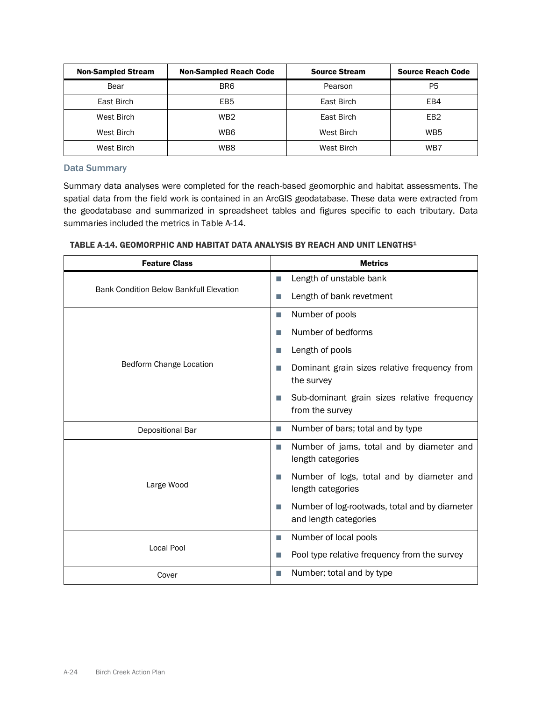| <b>Non-Sampled Stream</b> | <b>Non-Sampled Reach Code</b> | <b>Source Stream</b> | <b>Source Reach Code</b> |
|---------------------------|-------------------------------|----------------------|--------------------------|
| Bear                      | BR <sub>6</sub>               | Pearson              | P5                       |
| East Birch                | EB <sub>5</sub>               | East Birch           | EB4                      |
| West Birch                | WB <sub>2</sub>               | East Birch           | EB <sub>2</sub>          |
| West Birch                | WB6                           | West Birch           | WB <sub>5</sub>          |
| West Birch                | WB8                           | West Birch           | WB7                      |

### Data Summary

Summary data analyses were completed for the reach-based geomorphic and habitat assessments. The spatial data from the field work is contained in an ArcGIS geodatabase. These data were extracted from the geodatabase and summarized in spreadsheet tables and figures specific to each tributary. Data summaries included the metrics in Table A-14.

| <b>Feature Class</b>                           | <b>Metrics</b>                                                               |  |  |
|------------------------------------------------|------------------------------------------------------------------------------|--|--|
|                                                | Length of unstable bank<br>П                                                 |  |  |
| <b>Bank Condition Below Bankfull Elevation</b> | Length of bank revetment                                                     |  |  |
|                                                | Number of pools<br>T.                                                        |  |  |
|                                                | Number of bedforms<br>m.                                                     |  |  |
|                                                | Length of pools<br>u.                                                        |  |  |
| Bedform Change Location                        | Dominant grain sizes relative frequency from<br>the survey                   |  |  |
|                                                | Sub-dominant grain sizes relative frequency<br>ш<br>from the survey          |  |  |
| Depositional Bar                               | Number of bars; total and by type<br>П                                       |  |  |
|                                                | Number of jams, total and by diameter and<br>T.<br>length categories         |  |  |
| Large Wood                                     | Number of logs, total and by diameter and<br>m.<br>length categories         |  |  |
|                                                | Number of log-rootwads, total and by diameter<br>n.<br>and length categories |  |  |
|                                                | Number of local pools<br>T.                                                  |  |  |
| Local Pool                                     | Pool type relative frequency from the survey                                 |  |  |
| Cover                                          | Number; total and by type<br>П                                               |  |  |

# TABLE A-14. GEOMORPHIC AND HABITAT DATA ANALYSIS BY REACH AND UNIT LENGTHS1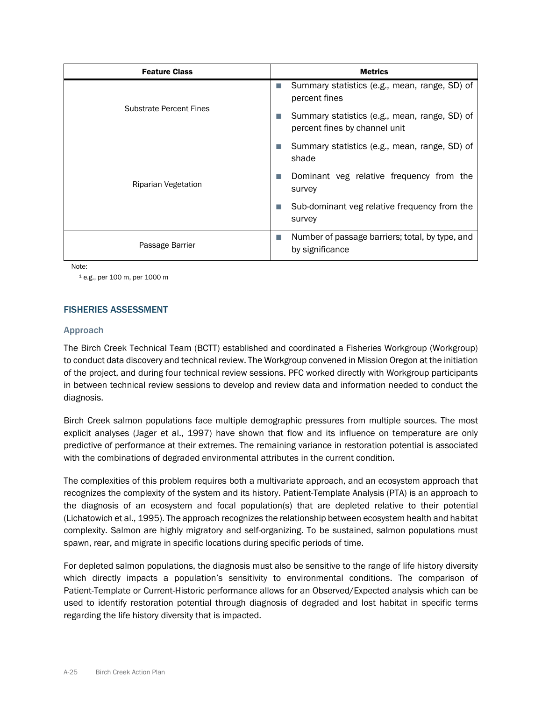| <b>Feature Class</b>           | <b>Metrics</b>                                                                 |
|--------------------------------|--------------------------------------------------------------------------------|
|                                | Summary statistics (e.g., mean, range, SD) of<br>T.<br>percent fines           |
| <b>Substrate Percent Fines</b> | Summary statistics (e.g., mean, range, SD) of<br>percent fines by channel unit |
|                                | Summary statistics (e.g., mean, range, SD) of<br>shade                         |
| Riparian Vegetation            | Dominant veg relative frequency from the<br>survey                             |
|                                | Sub-dominant veg relative frequency from the<br>survey                         |
| Passage Barrier                | Number of passage barriers; total, by type, and<br>H<br>by significance        |

Note:

<sup>1</sup> e.g., per 100 m, per 1000 m

### FISHERIES ASSESSMENT

#### Approach

The Birch Creek Technical Team (BCTT) established and coordinated a Fisheries Workgroup (Workgroup) to conduct data discovery and technical review. The Workgroup convened in Mission Oregon at the initiation of the project, and during four technical review sessions. PFC worked directly with Workgroup participants in between technical review sessions to develop and review data and information needed to conduct the diagnosis.

Birch Creek salmon populations face multiple demographic pressures from multiple sources. The most explicit analyses (Jager et al., 1997) have shown that flow and its influence on temperature are only predictive of performance at their extremes. The remaining variance in restoration potential is associated with the combinations of degraded environmental attributes in the current condition.

The complexities of this problem requires both a multivariate approach, and an ecosystem approach that recognizes the complexity of the system and its history. Patient-Template Analysis (PTA) is an approach to the diagnosis of an ecosystem and focal population(s) that are depleted relative to their potential (Lichatowich et al., 1995). The approach recognizes the relationship between ecosystem health and habitat complexity. Salmon are highly migratory and self-organizing. To be sustained, salmon populations must spawn, rear, and migrate in specific locations during specific periods of time.

For depleted salmon populations, the diagnosis must also be sensitive to the range of life history diversity which directly impacts a population's sensitivity to environmental conditions. The comparison of Patient-Template or Current-Historic performance allows for an Observed/Expected analysis which can be used to identify restoration potential through diagnosis of degraded and lost habitat in specific terms regarding the life history diversity that is impacted.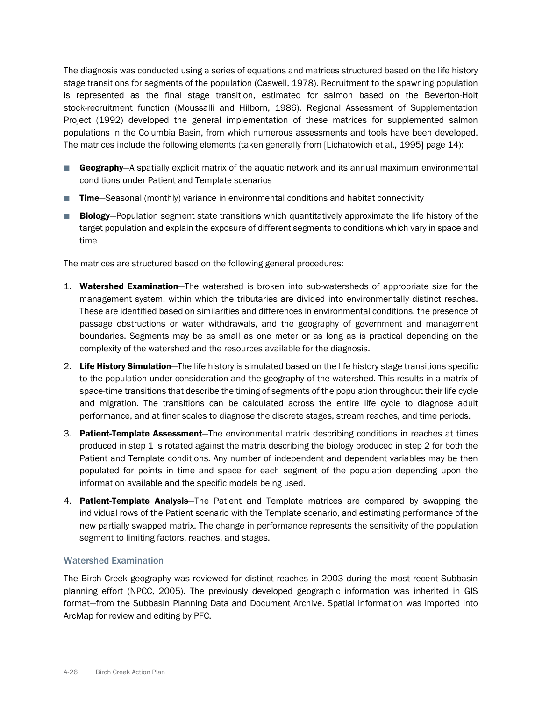The diagnosis was conducted using a series of equations and matrices structured based on the life history stage transitions for segments of the population (Caswell, 1978). Recruitment to the spawning population is represented as the final stage transition, estimated for salmon based on the Beverton-Holt stock-recruitment function (Moussalli and Hilborn, 1986). Regional Assessment of Supplementation Project (1992) developed the general implementation of these matrices for supplemented salmon populations in the Columbia Basin, from which numerous assessments and tools have been developed. The matrices include the following elements (taken generally from [Lichatowich et al., 1995] page 14):

- Geography—A spatially explicit matrix of the aquatic network and its annual maximum environmental conditions under Patient and Template scenarios
- Time—Seasonal (monthly) variance in environmental conditions and habitat connectivity
- Biology–Population segment state transitions which quantitatively approximate the life history of the target population and explain the exposure of different segments to conditions which vary in space and time

The matrices are structured based on the following general procedures:

- 1. Watershed Examination-The watershed is broken into sub-watersheds of appropriate size for the management system, within which the tributaries are divided into environmentally distinct reaches. These are identified based on similarities and differences in environmental conditions, the presence of passage obstructions or water withdrawals, and the geography of government and management boundaries. Segments may be as small as one meter or as long as is practical depending on the complexity of the watershed and the resources available for the diagnosis.
- 2. Life History Simulation—The life history is simulated based on the life history stage transitions specific to the population under consideration and the geography of the watershed. This results in a matrix of space-time transitions that describe the timing of segments of the population throughout their life cycle and migration. The transitions can be calculated across the entire life cycle to diagnose adult performance, and at finer scales to diagnose the discrete stages, stream reaches, and time periods.
- 3. Patient-Template Assessment-The environmental matrix describing conditions in reaches at times produced in step 1 is rotated against the matrix describing the biology produced in step 2 for both the Patient and Template conditions. Any number of independent and dependent variables may be then populated for points in time and space for each segment of the population depending upon the information available and the specific models being used.
- 4. Patient-Template Analysis–The Patient and Template matrices are compared by swapping the individual rows of the Patient scenario with the Template scenario, and estimating performance of the new partially swapped matrix. The change in performance represents the sensitivity of the population segment to limiting factors, reaches, and stages.

#### Watershed Examination

The Birch Creek geography was reviewed for distinct reaches in 2003 during the most recent Subbasin planning effort (NPCC, 2005). The previously developed geographic information was inherited in GIS format—from the Subbasin Planning Data and Document Archive. Spatial information was imported into ArcMap for review and editing by PFC.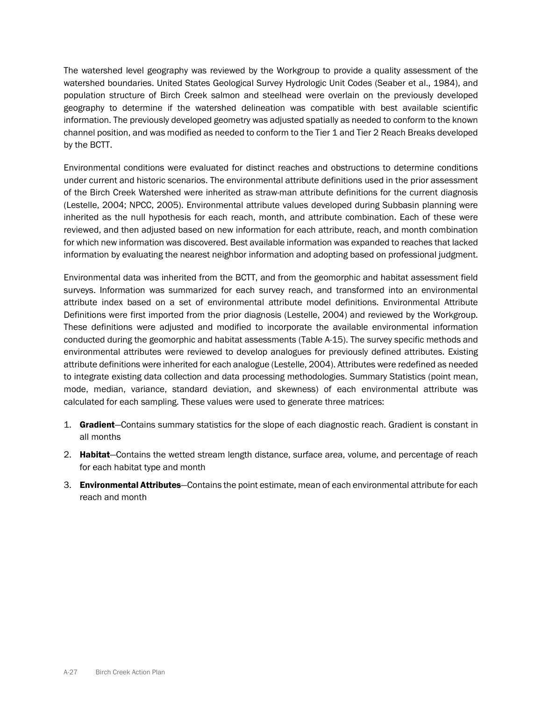The watershed level geography was reviewed by the Workgroup to provide a quality assessment of the watershed boundaries. United States Geological Survey Hydrologic Unit Codes (Seaber et al., 1984), and population structure of Birch Creek salmon and steelhead were overlain on the previously developed geography to determine if the watershed delineation was compatible with best available scientific information. The previously developed geometry was adjusted spatially as needed to conform to the known channel position, and was modified as needed to conform to the Tier 1 and Tier 2 Reach Breaks developed by the BCTT.

Environmental conditions were evaluated for distinct reaches and obstructions to determine conditions under current and historic scenarios. The environmental attribute definitions used in the prior assessment of the Birch Creek Watershed were inherited as straw-man attribute definitions for the current diagnosis (Lestelle, 2004; NPCC, 2005). Environmental attribute values developed during Subbasin planning were inherited as the null hypothesis for each reach, month, and attribute combination. Each of these were reviewed, and then adjusted based on new information for each attribute, reach, and month combination for which new information was discovered. Best available information was expanded to reaches that lacked information by evaluating the nearest neighbor information and adopting based on professional judgment.

Environmental data was inherited from the BCTT, and from the geomorphic and habitat assessment field surveys. Information was summarized for each survey reach, and transformed into an environmental attribute index based on a set of environmental attribute model definitions. Environmental Attribute Definitions were first imported from the prior diagnosis (Lestelle, 2004) and reviewed by the Workgroup. These definitions were adjusted and modified to incorporate the available environmental information conducted during the geomorphic and habitat assessments (Table A-15). The survey specific methods and environmental attributes were reviewed to develop analogues for previously defined attributes. Existing attribute definitions were inherited for each analogue (Lestelle, 2004). Attributes were redefined as needed to integrate existing data collection and data processing methodologies. Summary Statistics (point mean, mode, median, variance, standard deviation, and skewness) of each environmental attribute was calculated for each sampling. These values were used to generate three matrices:

- 1. Gradient-Contains summary statistics for the slope of each diagnostic reach. Gradient is constant in all months
- 2. Habitat—Contains the wetted stream length distance, surface area, volume, and percentage of reach for each habitat type and month
- 3. Environmental Attributes—Contains the point estimate, mean of each environmental attribute for each reach and month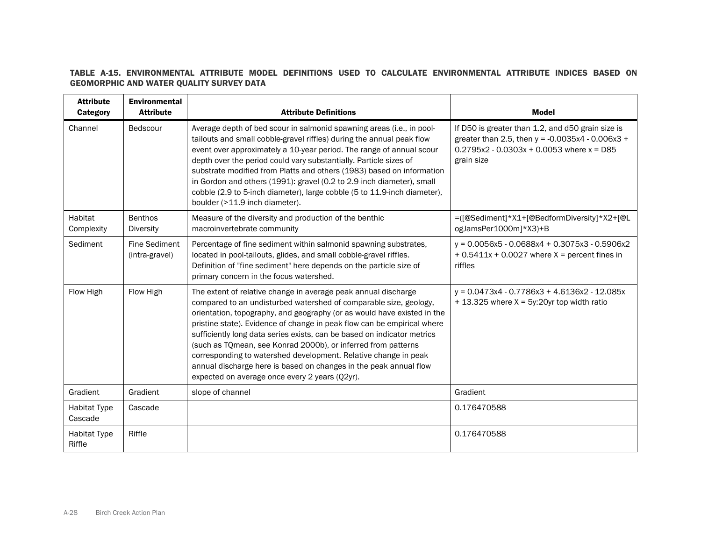# TABLE A-15. ENVIRONMENTAL ATTRIBUTE MODEL DEFINITIONS USED TO CALCULATE ENVIRONMENTAL ATTRIBUTE INDICES BASED ON GEOMORPHIC AND WATER QUALITY SURVEY DATA

| <b>Attribute</b><br>Category   | <b>Environmental</b><br><b>Attribute</b> | <b>Attribute Definitions</b>                                                                                                                                                                                                                                                                                                                                                                                                                                                                                                                                                                                                    | <b>Model</b>                                                                                                                                                           |
|--------------------------------|------------------------------------------|---------------------------------------------------------------------------------------------------------------------------------------------------------------------------------------------------------------------------------------------------------------------------------------------------------------------------------------------------------------------------------------------------------------------------------------------------------------------------------------------------------------------------------------------------------------------------------------------------------------------------------|------------------------------------------------------------------------------------------------------------------------------------------------------------------------|
| Channel                        | Bedscour                                 | Average depth of bed scour in salmonid spawning areas (i.e., in pool-<br>tailouts and small cobble-gravel riffles) during the annual peak flow<br>event over approximately a 10-year period. The range of annual scour<br>depth over the period could vary substantially. Particle sizes of<br>substrate modified from Platts and others (1983) based on information<br>in Gordon and others (1991): gravel (0.2 to 2.9-inch diameter), small<br>cobble (2.9 to 5-inch diameter), large cobble (5 to 11.9-inch diameter),<br>boulder (>11.9-inch diameter).                                                                     | If D50 is greater than 1.2, and d50 grain size is<br>greater than 2.5, then $y = -0.0035x4 - 0.006x3 +$<br>$0.2795x2 - 0.0303x + 0.0053$ where $x = D85$<br>grain size |
| Habitat<br>Complexity          | <b>Benthos</b><br><b>Diversity</b>       | Measure of the diversity and production of the benthic<br>macroinvertebrate community                                                                                                                                                                                                                                                                                                                                                                                                                                                                                                                                           | =([@Sediment]*X1+[@BedformDiversity]*X2+[@L<br>ogJamsPer1000m]*X3)+B                                                                                                   |
| Sediment                       | <b>Fine Sediment</b><br>(intra-gravel)   | Percentage of fine sediment within salmonid spawning substrates,<br>located in pool-tailouts, glides, and small cobble-gravel riffles.<br>Definition of "fine sediment" here depends on the particle size of<br>primary concern in the focus watershed.                                                                                                                                                                                                                                                                                                                                                                         | $y = 0.0056x5 - 0.0688x4 + 0.3075x3 - 0.5906x2$<br>$+ 0.5411x + 0.0027$ where X = percent fines in<br>riffles                                                          |
| Flow High                      | Flow High                                | The extent of relative change in average peak annual discharge<br>compared to an undisturbed watershed of comparable size, geology,<br>orientation, topography, and geography (or as would have existed in the<br>pristine state). Evidence of change in peak flow can be empirical where<br>sufficiently long data series exists, can be based on indicator metrics<br>(such as TQmean, see Konrad 2000b), or inferred from patterns<br>corresponding to watershed development. Relative change in peak<br>annual discharge here is based on changes in the peak annual flow<br>expected on average once every 2 years (Q2yr). | $y = 0.0473x4 - 0.7786x3 + 4.6136x2 - 12.085x$<br>$+ 13.325$ where X = 5y:20yr top width ratio                                                                         |
| Gradient                       | Gradient                                 | slope of channel                                                                                                                                                                                                                                                                                                                                                                                                                                                                                                                                                                                                                | Gradient                                                                                                                                                               |
| <b>Habitat Type</b><br>Cascade | Cascade                                  |                                                                                                                                                                                                                                                                                                                                                                                                                                                                                                                                                                                                                                 | 0.176470588                                                                                                                                                            |
| <b>Habitat Type</b><br>Riffle  | Riffle                                   |                                                                                                                                                                                                                                                                                                                                                                                                                                                                                                                                                                                                                                 | 0.176470588                                                                                                                                                            |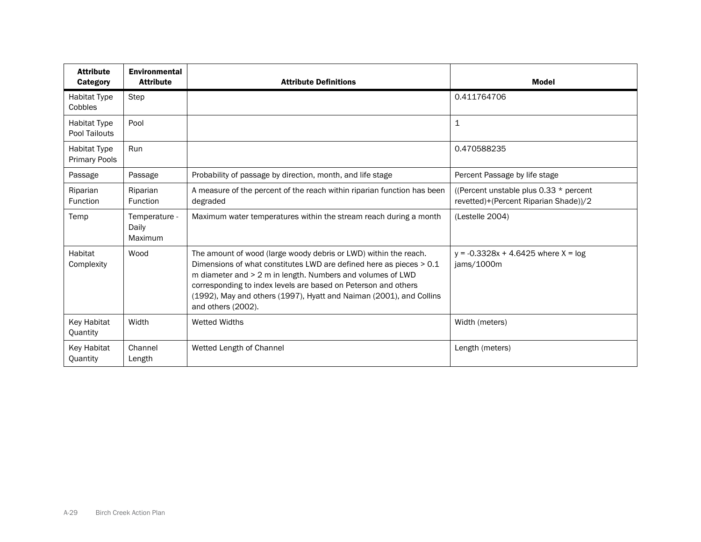| <b>Attribute</b><br><b>Category</b>         | <b>Environmental</b><br><b>Attribute</b> | <b>Attribute Definitions</b>                                                                                                                                                                                                                                                                                                                                         | <b>Model</b>                                                                     |
|---------------------------------------------|------------------------------------------|----------------------------------------------------------------------------------------------------------------------------------------------------------------------------------------------------------------------------------------------------------------------------------------------------------------------------------------------------------------------|----------------------------------------------------------------------------------|
| <b>Habitat Type</b><br>Cobbles              | Step                                     |                                                                                                                                                                                                                                                                                                                                                                      | 0.411764706                                                                      |
| <b>Habitat Type</b><br>Pool Tailouts        | Pool                                     |                                                                                                                                                                                                                                                                                                                                                                      | $\mathbf 1$                                                                      |
| <b>Habitat Type</b><br><b>Primary Pools</b> | <b>Run</b>                               |                                                                                                                                                                                                                                                                                                                                                                      | 0.470588235                                                                      |
| Passage                                     | Passage                                  | Probability of passage by direction, month, and life stage                                                                                                                                                                                                                                                                                                           | Percent Passage by life stage                                                    |
| Riparian<br>Function                        | Riparian<br>Function                     | A measure of the percent of the reach within riparian function has been<br>degraded                                                                                                                                                                                                                                                                                  | ((Percent unstable plus 0.33 * percent)<br>revetted)+(Percent Riparian Shade))/2 |
| Temp                                        | Temperature -<br>Daily<br>Maximum        | Maximum water temperatures within the stream reach during a month                                                                                                                                                                                                                                                                                                    | (Lestelle 2004)                                                                  |
| Habitat<br>Complexity                       | Wood                                     | The amount of wood (large woody debris or LWD) within the reach.<br>Dimensions of what constitutes LWD are defined here as pieces > 0.1<br>m diameter and > 2 m in length. Numbers and volumes of LWD<br>corresponding to index levels are based on Peterson and others<br>(1992), May and others (1997), Hyatt and Naiman (2001), and Collins<br>and others (2002). | $y = -0.3328x + 4.6425$ where $X = log$<br>jams/1000m                            |
| Key Habitat<br>Quantity                     | Width                                    | <b>Wetted Widths</b>                                                                                                                                                                                                                                                                                                                                                 | Width (meters)                                                                   |
| Key Habitat<br>Quantity                     | Channel<br>Length                        | Wetted Length of Channel                                                                                                                                                                                                                                                                                                                                             | Length (meters)                                                                  |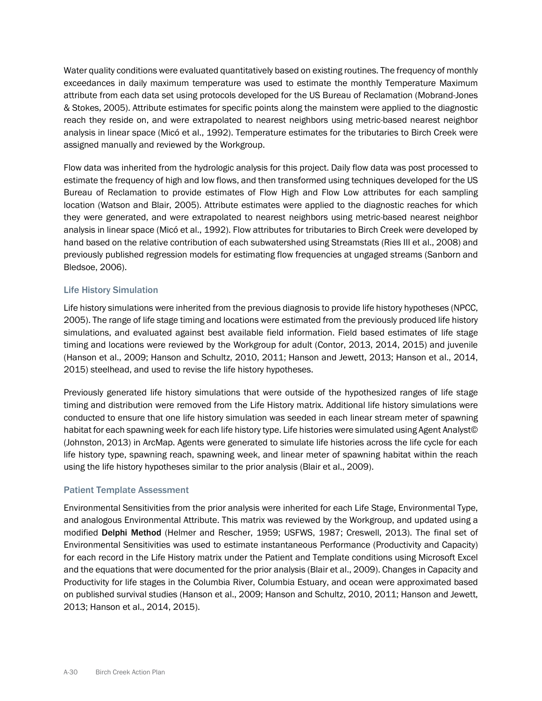Water quality conditions were evaluated quantitatively based on existing routines. The frequency of monthly exceedances in daily maximum temperature was used to estimate the monthly Temperature Maximum attribute from each data set using protocols developed for the US Bureau of Reclamation (Mobrand-Jones & Stokes, 2005). Attribute estimates for specific points along the mainstem were applied to the diagnostic reach they reside on, and were extrapolated to nearest neighbors using metric-based nearest neighbor analysis in linear space (Micó et al., 1992). Temperature estimates for the tributaries to Birch Creek were assigned manually and reviewed by the Workgroup.

Flow data was inherited from the hydrologic analysis for this project. Daily flow data was post processed to estimate the frequency of high and low flows, and then transformed using techniques developed for the US Bureau of Reclamation to provide estimates of Flow High and Flow Low attributes for each sampling location (Watson and Blair, 2005). Attribute estimates were applied to the diagnostic reaches for which they were generated, and were extrapolated to nearest neighbors using metric-based nearest neighbor analysis in linear space (Micó et al., 1992). Flow attributes for tributaries to Birch Creek were developed by hand based on the relative contribution of each subwatershed using Streamstats (Ries III et al., 2008) and previously published regression models for estimating flow frequencies at ungaged streams (Sanborn and Bledsoe, 2006).

# Life History Simulation

Life history simulations were inherited from the previous diagnosis to provide life history hypotheses (NPCC, 2005). The range of life stage timing and locations were estimated from the previously produced life history simulations, and evaluated against best available field information. Field based estimates of life stage timing and locations were reviewed by the Workgroup for adult (Contor, 2013, 2014, 2015) and juvenile (Hanson et al., 2009; Hanson and Schultz, 2010, 2011; Hanson and Jewett, 2013; Hanson et al., 2014, 2015) steelhead, and used to revise the life history hypotheses.

Previously generated life history simulations that were outside of the hypothesized ranges of life stage timing and distribution were removed from the Life History matrix. Additional life history simulations were conducted to ensure that one life history simulation was seeded in each linear stream meter of spawning habitat for each spawning week for each life history type. Life histories were simulated using Agent Analyst© (Johnston, 2013) in ArcMap. Agents were generated to simulate life histories across the life cycle for each life history type, spawning reach, spawning week, and linear meter of spawning habitat within the reach using the life history hypotheses similar to the prior analysis (Blair et al., 2009).

# Patient Template Assessment

Environmental Sensitivities from the prior analysis were inherited for each Life Stage, Environmental Type, and analogous Environmental Attribute. This matrix was reviewed by the Workgroup, and updated using a modified Delphi Method (Helmer and Rescher, 1959; USFWS, 1987; Creswell, 2013). The final set of Environmental Sensitivities was used to estimate instantaneous Performance (Productivity and Capacity) for each record in the Life History matrix under the Patient and Template conditions using Microsoft Excel and the equations that were documented for the prior analysis (Blair et al., 2009). Changes in Capacity and Productivity for life stages in the Columbia River, Columbia Estuary, and ocean were approximated based on published survival studies (Hanson et al., 2009; Hanson and Schultz, 2010, 2011; Hanson and Jewett, 2013; Hanson et al., 2014, 2015).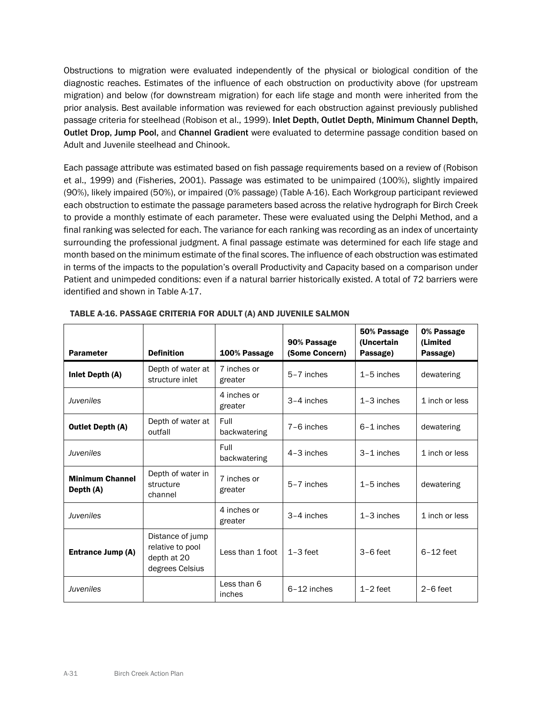Obstructions to migration were evaluated independently of the physical or biological condition of the diagnostic reaches. Estimates of the influence of each obstruction on productivity above (for upstream migration) and below (for downstream migration) for each life stage and month were inherited from the prior analysis. Best available information was reviewed for each obstruction against previously published passage criteria for steelhead (Robison et al., 1999). Inlet Depth, Outlet Depth, Minimum Channel Depth, Outlet Drop, Jump Pool, and Channel Gradient were evaluated to determine passage condition based on Adult and Juvenile steelhead and Chinook.

Each passage attribute was estimated based on fish passage requirements based on a review of (Robison et al., 1999) and (Fisheries, 2001). Passage was estimated to be unimpaired (100%), slightly impaired (90%), likely impaired (50%), or impaired (0% passage) (Table A-16). Each Workgroup participant reviewed each obstruction to estimate the passage parameters based across the relative hydrograph for Birch Creek to provide a monthly estimate of each parameter. These were evaluated using the Delphi Method, and a final ranking was selected for each. The variance for each ranking was recording as an index of uncertainty surrounding the professional judgment. A final passage estimate was determined for each life stage and month based on the minimum estimate of the final scores. The influence of each obstruction was estimated in terms of the impacts to the population's overall Productivity and Capacity based on a comparison under Patient and unimpeded conditions: even if a natural barrier historically existed. A total of 72 barriers were identified and shown in Table A-17.

| <b>Parameter</b>                    | <b>Definition</b>                                                      | 100% Passage           | 90% Passage<br>(Some Concern) | 50% Passage<br>(Uncertain<br>Passage) | 0% Passage<br>(Limited<br>Passage) |
|-------------------------------------|------------------------------------------------------------------------|------------------------|-------------------------------|---------------------------------------|------------------------------------|
| Inlet Depth (A)                     | Depth of water at<br>structure inlet                                   | 7 inches or<br>greater | 5-7 inches                    | $1-5$ inches                          | dewatering                         |
| Juveniles                           |                                                                        | 4 inches or<br>greater | 3-4 inches                    | $1-3$ inches                          | 1 inch or less                     |
| <b>Outlet Depth (A)</b>             | Depth of water at<br>outfall                                           | Full<br>backwatering   | 7-6 inches                    | $6-1$ inches                          | dewatering                         |
| Juveniles                           |                                                                        | Full<br>backwatering   | $4-3$ inches                  | 3-1 inches                            | 1 inch or less                     |
| <b>Minimum Channel</b><br>Depth (A) | Depth of water in<br>structure<br>channel                              | 7 inches or<br>greater | 5-7 inches                    | $1-5$ inches                          | dewatering                         |
| <b>Juveniles</b>                    |                                                                        | 4 inches or<br>greater | 3-4 inches                    | $1-3$ inches                          | 1 inch or less                     |
| Entrance Jump (A)                   | Distance of jump<br>relative to pool<br>depth at 20<br>degrees Celsius | Less than 1 foot       | $1 - 3$ feet                  | $3-6$ feet                            | $6-12$ feet                        |
| Juveniles                           |                                                                        | Less than 6<br>inches  | $6-12$ inches                 | $1-2$ feet                            | $2-6$ feet                         |

TABLE A-16. PASSAGE CRITERIA FOR ADULT (A) AND JUVENILE SALMON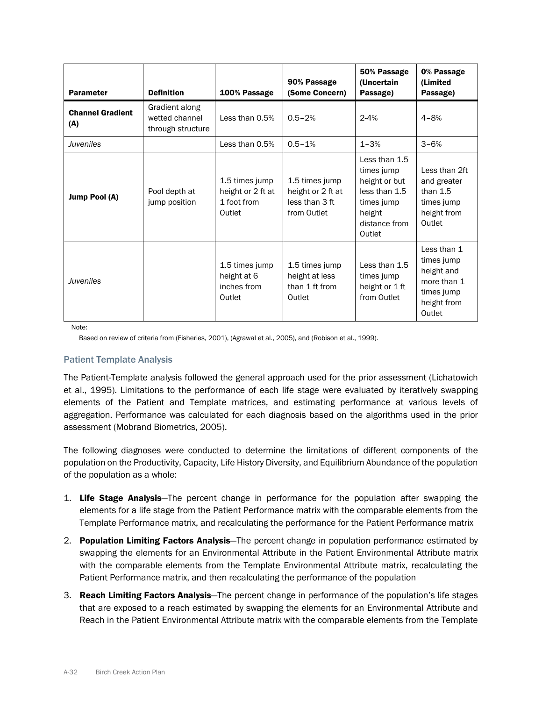| <b>Parameter</b>               | <b>Definition</b>                                     | 100% Passage                                                 | 90% Passage<br>(Some Concern)                                        | 50% Passage<br>(Uncertain<br>Passage)                                                                            | 0% Passage<br>(Limited<br>Passage)                                                            |
|--------------------------------|-------------------------------------------------------|--------------------------------------------------------------|----------------------------------------------------------------------|------------------------------------------------------------------------------------------------------------------|-----------------------------------------------------------------------------------------------|
| <b>Channel Gradient</b><br>(A) | Gradient along<br>wetted channel<br>through structure | Less than 0.5%                                               | $0.5 - 2%$                                                           | $2 - 4%$                                                                                                         | $4 - 8%$                                                                                      |
| Juveniles                      |                                                       | Less than 0.5%                                               | $0.5 - 1%$                                                           | $1 - 3%$                                                                                                         | $3 - 6%$                                                                                      |
| Jump Pool (A)                  | Pool depth at<br>jump position                        | 1.5 times jump<br>height or 2 ft at<br>1 foot from<br>Outlet | 1.5 times jump<br>height or 2 ft at<br>less than 3 ft<br>from Outlet | Less than 1.5<br>times jump<br>height or but<br>less than 1.5<br>times jump<br>height<br>distance from<br>Outlet | Less than 2ft<br>and greater<br>than $1.5$<br>times jump<br>height from<br>Outlet             |
| Juveniles                      |                                                       | 1.5 times jump<br>height at 6<br>inches from<br>Outlet       | 1.5 times jump<br>height at less<br>than 1 ft from<br>Outlet         | Less than 1.5<br>times jump<br>height or 1 ft<br>from Outlet                                                     | Less than 1<br>times jump<br>height and<br>more than 1<br>times jump<br>height from<br>Outlet |

Note:

Based on review of criteria from (Fisheries, 2001), (Agrawal et al., 2005), and (Robison et al., 1999).

# Patient Template Analysis

The Patient-Template analysis followed the general approach used for the prior assessment (Lichatowich et al., 1995). Limitations to the performance of each life stage were evaluated by iteratively swapping elements of the Patient and Template matrices, and estimating performance at various levels of aggregation. Performance was calculated for each diagnosis based on the algorithms used in the prior assessment (Mobrand Biometrics, 2005).

The following diagnoses were conducted to determine the limitations of different components of the population on the Productivity, Capacity, Life History Diversity, and Equilibrium Abundance of the population of the population as a whole:

- 1. Life Stage Analysis—The percent change in performance for the population after swapping the elements for a life stage from the Patient Performance matrix with the comparable elements from the Template Performance matrix, and recalculating the performance for the Patient Performance matrix
- 2. Population Limiting Factors Analysis-The percent change in population performance estimated by swapping the elements for an Environmental Attribute in the Patient Environmental Attribute matrix with the comparable elements from the Template Environmental Attribute matrix, recalculating the Patient Performance matrix, and then recalculating the performance of the population
- 3. **Reach Limiting Factors Analysis**—The percent change in performance of the population's life stages that are exposed to a reach estimated by swapping the elements for an Environmental Attribute and Reach in the Patient Environmental Attribute matrix with the comparable elements from the Template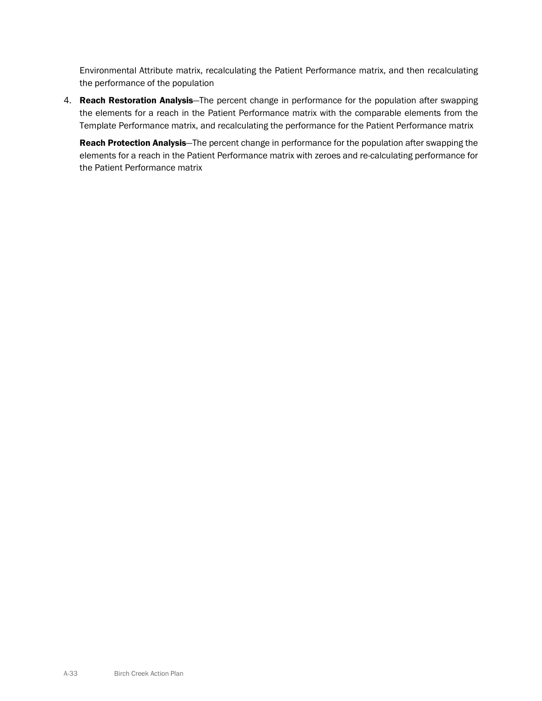Environmental Attribute matrix, recalculating the Patient Performance matrix, and then recalculating the performance of the population

4. Reach Restoration Analysis-The percent change in performance for the population after swapping the elements for a reach in the Patient Performance matrix with the comparable elements from the Template Performance matrix, and recalculating the performance for the Patient Performance matrix

Reach Protection Analysis-The percent change in performance for the population after swapping the elements for a reach in the Patient Performance matrix with zeroes and re-calculating performance for the Patient Performance matrix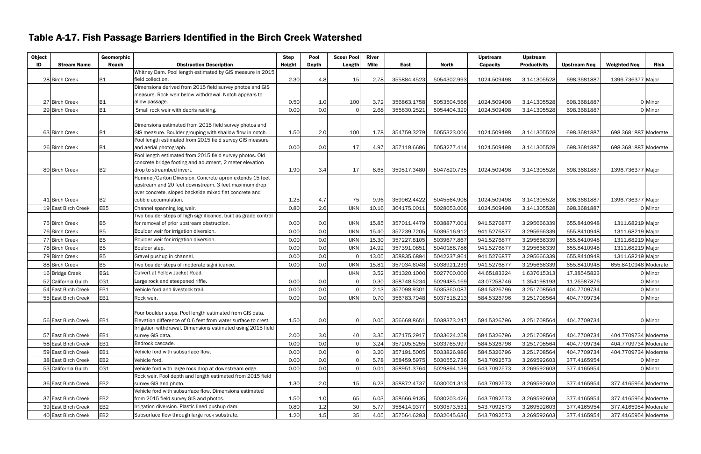# Table A-17. Fish Passage Barriers Identified in the Birch Creek Watershed

| <b>Object</b> |                     | Geomorphic      |                                                                               | <b>Step</b> | Pool         | <b>Scour Pool</b> | <b>River</b> |             |              | <b>Upstream</b> | <b>Upstream</b>     |                     |                      |         |
|---------------|---------------------|-----------------|-------------------------------------------------------------------------------|-------------|--------------|-------------------|--------------|-------------|--------------|-----------------|---------------------|---------------------|----------------------|---------|
| ID            | <b>Stream Name</b>  | Reach           | <b>Obstruction Description</b>                                                | Height      | <b>Depth</b> | Length            | Mile         | East        | <b>North</b> | Capacity        | <b>Productivity</b> | <b>Upstream Neq</b> | <b>Weighted Neq</b>  | Risk    |
|               |                     |                 | Whitney Dam. Pool length estimated by GIS measure in 2015                     | 2.30        |              |                   |              |             |              |                 |                     |                     |                      |         |
|               | 28 Birch Creek      | <b>B1</b>       | field collection.<br>Dimensions derived from 2015 field survey photos and GIS |             | 4.8          | 15                | 2.78         | 355884.4523 | 5054302.993  | 1024.509498     | 3.141305528         | 698.3681887         | 1396.736377 Major    |         |
|               |                     |                 | measure. Rock weir below withdrawal. Notch appears to                         |             |              |                   |              |             |              |                 |                     |                     |                      |         |
|               | 27 Birch Creek      | <b>B1</b>       | allow passage.                                                                | 0.50        | 1.0          | 100               | 3.72         | 356863.1758 | 5053504.566  | 1024.509498     | 3.141305528         | 698.3681887         |                      | 0 Minor |
|               | 29 Birch Creek      | <b>B1</b>       | Small rock weir with debris racking.                                          | 0.00        | 0.0          |                   | 2.68         | 355830.252  | 5054404.329  | 1024.509498     | 3.141305528         | 698.3681887         |                      | 0 Minor |
|               |                     |                 |                                                                               |             |              |                   |              |             |              |                 |                     |                     |                      |         |
|               |                     |                 | Dimensions estimated from 2015 field survey photos and                        |             |              |                   |              |             |              |                 |                     |                     |                      |         |
|               | 63 Birch Creek      | B1              | GIS measure. Boulder grouping with shallow flow in notch.                     | 1.50        | 2.0          | 100               | 1.78         | 354759.3279 | 5055323.006  | 1024.509498     | 3.141305528         | 698.3681887         | 698.3681887 Moderate |         |
|               |                     |                 | Pool length estimated from 2015 field survey GIS measure                      |             |              |                   |              |             |              |                 |                     |                     |                      |         |
|               | 26 Birch Creek      | <b>B1</b>       | and aerial photograph.                                                        | 0.00        | 0.0          | 17                | 4.97         | 357118.6686 | 5053277.414  | 1024.509498     | 3.141305528         | 698.3681887         | 698.3681887 Moderate |         |
|               |                     |                 | Pool length estimated from 2015 field survey photos. Old                      |             |              |                   |              |             |              |                 |                     |                     |                      |         |
|               |                     |                 | concrete bridge footing and abutment, 2 meter elevation                       |             |              |                   |              |             |              |                 |                     |                     |                      |         |
|               | 80 Birch Creek      | B2              | drop to streambed invert.                                                     | 1.90        | 3.4          | 17                | 8.65         | 359517.3480 | 5047820.735  | 1024.509498     | 3.141305528         | 698.3681887         | 1396.736377 Major    |         |
|               |                     |                 | Hummel/Garton Diversion. Concrete apron extends 15 feet                       |             |              |                   |              |             |              |                 |                     |                     |                      |         |
|               |                     |                 | upstream and 20 feet downstream. 3 feet maximum drop                          |             |              |                   |              |             |              |                 |                     |                     |                      |         |
|               |                     |                 | over concrete, sloped backside mixed flat concrete and                        |             |              |                   |              |             |              |                 |                     |                     |                      |         |
|               | 41 Birch Creek      | <b>B2</b>       | cobble accumulation.                                                          | 1.25        | 4.7          | 75                | 9.96         | 359962.4422 | 5045564.908  | 1024.509498     | 3.141305528         | 698.3681887         | 1396.736377 Major    |         |
|               | 19 East Birch Creek | EB <sub>5</sub> | Channel spanning log weir.                                                    | 0.80        | 2.6          | <b>UKN</b>        | 10.16        | 364175.001  | 5028653.006  | 1024.509498     | 3.141305528         | 698.3681887         |                      | 0 Minor |
|               |                     |                 | Two boulder steps of high significance, built as grade control                |             |              |                   |              |             |              |                 |                     |                     |                      |         |
|               | 75 Birch Creek      | <b>B5</b>       | for removal of prior upstream obstruction.                                    | 0.00        | 0.0          | <b>UKN</b>        | 15.85        | 357011.4479 | 5038877.001  | 941.527687      | 3.295666339         | 655.8410948         | 1311.68219 Major     |         |
|               | 76 Birch Creek      | <b>B5</b>       | Boulder weir for irrigation diversion.                                        | 0.00        | 0.0          | <b>UKN</b>        | 15.40        | 357239.7205 | 5039516.912  | 941.527687      | 3.295666339         | 655.8410948         | 1311.68219 Major     |         |
|               | 77 Birch Creek      | <b>B5</b>       | Boulder weir for irrigation diversion.                                        | 0.00        | 0.0          | <b>UKN</b>        | 15.30        | 357227.8105 | 5039677.867  | 941.527687      | 3.295666339         | 655.8410948         | 1311.68219 Major     |         |
|               | 78 Birch Creek      | <b>B5</b>       | Boulder step.                                                                 | 0.00        | 0.0          | <b>UKN</b>        | 14.92        | 357391.085  | 5040188.786  | 941.527687      | 3.295666339         | 655.8410948         | 1311.68219 Major     |         |
|               | 79 Birch Creek      | <b>B5</b>       | Gravel pushup in channel.                                                     | 0.00        | 0.0          |                   | 13.05        | 358835.6894 | 5042237.861  | 941.527687      | 3.295666339         | 655.8410948         | 1311.68219 Major     |         |
|               | 88 Birch Creek      | <b>B5</b>       | Two boulder steps of moderate significance.                                   | 0.00        | 0.0          | <b>UKN</b>        | 15.81        | 357034.6048 | 5038921.239  | 941.5276877     | 3.295666339         | 655.8410948         | 655.8410948 Moderate |         |
|               | 16 Bridge Creek     | BG1             | Culvert at Yellow Jacket Road.                                                |             |              | <b>UKN</b>        | 3.52         | 351320.1000 | 5027700.000  | 44.65183324     | 1.637615313         | 17.38545823         |                      | 0 Minor |
|               | 52 California Gulch | CG1             | Large rock and steepened riffle.                                              | 0.00        | 0.0          |                   | 0.30         | 358748.5234 | 5029485.169  | 43.07258746     | 1.354198193         | 11.26587876         |                      | 0 Minor |
|               | 54 East Birch Creek | EB1             | Vehicle ford and livestock trail.                                             | 0.00        | 0.0          |                   | 2.13         | 357098.9301 | 5035360.087  | 584.5326796     | 3.251708564         | 404.7709734         |                      | 0 Minor |
|               | 55 East Birch Creek | EB1             | Rock weir.                                                                    | 0.00        | 0.0          | <b>UKN</b>        | 0.70         | 356783.7948 | 5037518.213  | 584.5326796     | 3.251708564         | 404.7709734         |                      | 0 Minor |
|               |                     |                 |                                                                               |             |              |                   |              |             |              |                 |                     |                     |                      |         |
|               |                     |                 | Four boulder steps. Pool length estimated from GIS data.                      |             |              |                   |              |             |              |                 |                     |                     |                      |         |
|               | 56 East Birch Creek | EB1             | Elevation difference of 0.6 feet from water surface to crest.                 | 1.50        | 0.0          | 0                 | 0.05         | 356668.865  | 5038373.247  | 584.5326796     | 3.251708564         | 404.7709734         |                      | 0 Minor |
|               |                     |                 | Irrigation withdrawal. Dimensions estimated using 2015 field                  |             |              |                   |              |             |              |                 |                     |                     |                      |         |
|               | 57 East Birch Creek | EB1             | survey GIS data.                                                              | 2.00        | 3.0          | 40                | 3.35         | 357175.2917 | 5033624.258  | 584.5326796     | 3.251708564         | 404.7709734         | 404.7709734 Moderate |         |
|               | 58 East Birch Creek | EB1             | Bedrock cascade.                                                              | 0.00        | 0.0          |                   | 3.24         | 357205.5255 | 5033765.997  | 584.5326796     | 3.251708564         | 404.7709734         | 404.7709734 Moderate |         |
|               | 59 East Birch Creek | EB1             | Vehicle ford with subsurface flow.                                            | 0.00        | 0.0          |                   | 3.2C         | 357191.5005 | 5033826.986  | 584.5326796     | 3.251708564         | 404.7709734         | 404.7709734 Moderate |         |
|               | 38 East Birch Creek | EB <sub>2</sub> | Vehicle ford.                                                                 | 0.00        | 0.0          |                   | 5.78         | 358459.5975 | 5030552.736  | 543.7092573     | 3.269592603         | 377.4165954         |                      | 0 Minor |
|               | 53 California Gulch | CG1             | Vehicle ford with large rock drop at downstream edge.                         | 0.00        | 0.0          |                   | 0.01         | 358951.3764 | 5029894.139  | 543.7092573     | 3.269592603         | 377.4165954         |                      | 0 Minor |
|               |                     |                 | Rock weir. Pool depth and length estimated from 2015 field                    |             |              |                   |              |             |              |                 |                     |                     |                      |         |
|               | 36 East Birch Creek | EB <sub>2</sub> | survey GIS and photo.                                                         | 1.30        | 2.0          | 15                | 6.23         | 358872.4737 | 5030001.313  | 543.7092573     | 3.269592603         | 377.4165954         | 377.4165954 Moderate |         |
|               |                     |                 | Vehicle ford with subsurface flow. Dimensions estimated                       |             |              |                   |              |             |              |                 |                     |                     |                      |         |
|               | 37 East Birch Creek | EB <sub>2</sub> | from 2015 field survey GIS and photos.                                        | 1.50        | 1.0          | 65                | 6.03         | 358666.9135 | 5030203.426  | 543.7092573     | 3.269592603         | 377.4165954         | 377.4165954 Moderate |         |
|               | 39 East Birch Creek | EB <sub>2</sub> | Irrigation diversion. Plastic lined pushup dam.                               | 0.80        | 1.2          | 30                | 5.77         | 358414.9377 | 5030573.531  | 543.7092573     | 3.269592603         | 377.4165954         | 377.4165954 Moderate |         |
|               | 40 East Birch Creek | EB <sub>2</sub> | Subsurface flow through large rock substrate.                                 | 1.20        | 1.5          | 35                | 4.05         | 357564.6293 | 5032645.636  | 543.7092573     | 3.269592603         | 377.4165954         | 377.4165954 Moderate |         |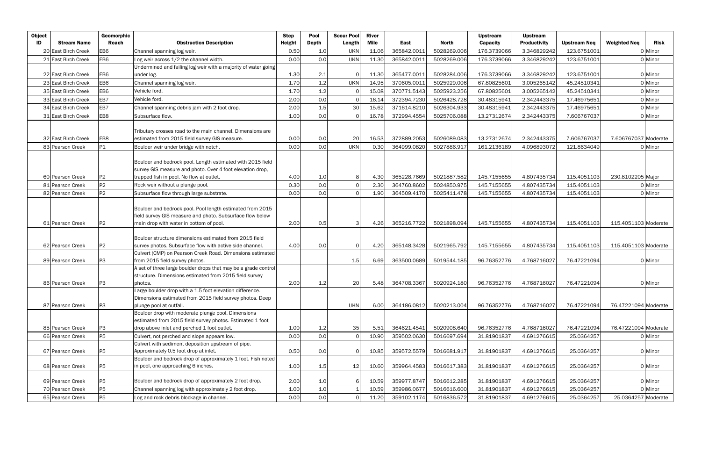| <b>Object</b> |                     | Geomorphic      |                                                                                                                                                                     | <b>Step</b>   | Pool         | <b>Scour Pool</b> | <b>River</b> |             |             | <b>Upstream</b> | <b>Upstream</b>     |                     |                      |         |
|---------------|---------------------|-----------------|---------------------------------------------------------------------------------------------------------------------------------------------------------------------|---------------|--------------|-------------------|--------------|-------------|-------------|-----------------|---------------------|---------------------|----------------------|---------|
| ID            | <b>Stream Name</b>  | Reach           | <b>Obstruction Description</b>                                                                                                                                      | <b>Height</b> | <b>Depth</b> | Length            | Mile         | East        | North       | <b>Capacity</b> | <b>Productivity</b> | <b>Upstream Neq</b> | <b>Weighted Neq</b>  | Risk    |
|               | 20 East Birch Creek | EB6             | Channel spanning log weir.                                                                                                                                          | 0.50          | 1.0          | <b>UKN</b>        | 11.06        | 365842.001: | 5028269.006 | 176.3739066     | 3.346829242         | 123.6751001         |                      | 0 Minor |
|               | 21 East Birch Creek | EB6             | Log weir across 1/2 the channel width.                                                                                                                              | 0.00          | 0.0          | <b>UKN</b>        | 11.30        | 365842.001  | 5028269.006 | 176.3739066     | 3.346829242         | 123.6751001         |                      | 0 Minor |
|               |                     |                 | Undermined and failing log weir with a majority of water going                                                                                                      |               |              |                   |              |             |             |                 |                     |                     |                      |         |
|               | 22 East Birch Creek | EB <sub>6</sub> | under log.                                                                                                                                                          | 1.30          | 2.1          | C                 | 11.30        | 365477.0011 | 5028284.006 | 176.3739066     | 3.346829242         | 123.6751001         |                      | 0 Minor |
|               | 23 East Birch Creek | EB6             | Channel spanning log weir.                                                                                                                                          | 1.70          | 1.2          | <b>UKN</b>        | 14.95        | 370605.001  | 5025929.006 | 67.80825601     | 3.005265142         | 45.24510341         |                      | 0 Minor |
|               | 35 East Birch Creek | EB <sub>6</sub> | Vehicle ford.                                                                                                                                                       | 1.70          | 1.2          | $\Omega$          | 15.08        | 370771.5143 | 5025923.256 | 67.80825601     | 3.005265142         | 45.24510341         |                      | 0 Minor |
|               | 33 East Birch Creek | EB7             | Vehicle ford.                                                                                                                                                       | 2.00          | 0.0          | $\Omega$          | 16.14        | 372394.7230 | 5026428.728 | 30.48315941     | 2.342443375         | 17.46975651         |                      | 0 Minor |
|               | 34 East Birch Creek | EB7             | Channel spanning debris jam with 2 foot drop.                                                                                                                       | 2.00          | 1.5          | 30                | 15.62        | 371614.8210 | 5026304.933 | 30.48315941     | 2.342443375         | 17.46975651         |                      | 0 Minor |
|               | 31 East Birch Creek | EB8             | Subsurface flow.                                                                                                                                                    | 1.00          | 0.0          |                   | 16.78        | 372994.4554 | 5025706.088 | 13.27312674     | 2.342443375         | 7.606767037         |                      | 0 Minor |
|               | 32 East Birch Creek | EB8             | Tributary crosses road to the main channel. Dimensions are<br>estimated from 2015 field survey GIS measure.                                                         | 0.00          | 0.0          | 20                | 16.53        | 372889.2053 | 5026089.083 | 13.27312674     | 2.342443375         | 7.606767037         | 7.606767037 Moderate |         |
|               | 83 Pearson Creek    | P1              | Boulder weir under bridge with notch.                                                                                                                               | 0.00          | 0.0          | <b>UKN</b>        | 0.30         | 364999.082  | 5027886.917 | 161.2136189     | 4.096893072         | 121.8634049         |                      | 0 Minor |
|               | 60 Pearson Creek    | P <sub>2</sub>  | Boulder and bedrock pool. Length estimated with 2015 field<br>survey GIS measure and photo. Over 4 foot elevation drop,<br>trapped fish in pool. No flow at outlet. | 4.00          | 1.0          | 8                 | 4.30         | 365228.7669 | 5021887.582 | 145.7155655     | 4.807435734         | 115.4051103         | 230.8102205 Major    |         |
|               | 81 Pearson Creek    | P <sub>2</sub>  | Rock weir without a plunge pool.                                                                                                                                    | 0.30          | 0.0          | $\Omega$          | 2.30         | 364760.8602 | 5024850.975 | 145.7155655     | 4.807435734         | 115.4051103         |                      | 0 Minor |
|               | 82 Pearson Creek    | <b>P2</b>       | Subsurface flow through large substrate.                                                                                                                            | 0.00          | 0.0          | $\Omega$          | 1.90         | 364509.4170 | 5025411.478 | 145.7155655     | 4.807435734         | 115.4051103         |                      | 0 Minor |
|               | 61 Pearson Creek    | P <sub>2</sub>  | Boulder and bedrock pool. Pool length estimated from 2015<br>field survey GIS measure and photo. Subsurface flow below<br>main drop with water in bottom of pool.   | 2.00          | 0.5          |                   | 4.26         | 365216.7722 | 5021898.094 | 145.7155655     | 4.807435734         | 115.4051103         | 115.4051103 Moderate |         |
|               |                     |                 |                                                                                                                                                                     |               |              |                   |              |             |             |                 |                     |                     |                      |         |
|               | 62 Pearson Creek    | P <sub>2</sub>  | Boulder structure dimensions estimated from 2015 field<br>survey photos. Subsurface flow with active side channel.                                                  | 4.00          | 0.0          | $\Omega$          | 4.20         | 365148.3428 | 5021965.792 | 145.7155655     | 4.807435734         | 115.4051103         | 115.4051103 Moderate |         |
|               | 89 Pearson Creek    | P3              | Culvert (CMP) on Pearson Creek Road. Dimensions estimated<br>from 2015 field survey photos.                                                                         |               |              | 1.5               | 6.69         | 363500.0689 | 5019544.185 | 96.76352776     | 4.768716027         | 76.47221094         |                      | 0 Minor |
|               | 86 Pearson Creek    | P3              | A set of three large boulder drops that may be a grade control<br>structure. Dimensions estimated from 2015 field survey<br>photos.                                 | 2.00          | 1.2          | 20                | 5.48         | 364708.3367 | 5020924.180 | 96.76352776     | 4.768716027         | 76.47221094         |                      | 0 Minor |
|               |                     |                 | Large boulder drop with a 1.5 foot elevation difference.                                                                                                            |               |              |                   |              |             |             |                 |                     |                     |                      |         |
|               |                     |                 | Dimensions estimated from 2015 field survey photos. Deep                                                                                                            |               |              |                   |              |             |             |                 |                     |                     |                      |         |
|               | 87 Pearson Creek    | P <sub>3</sub>  | plunge pool at outfall.                                                                                                                                             |               |              | <b>UKN</b>        | 6.00         | 364186.0812 | 5020213.004 | 96.76352776     | 4.768716027         | 76.47221094         | 76.47221094 Moderate |         |
|               |                     |                 | Boulder drop with moderate plunge pool. Dimensions<br>estimated from 2015 field survey photos. Estimated 1 foot                                                     |               |              |                   |              |             |             |                 |                     |                     |                      |         |
|               | 85 Pearson Creek    | P3              | drop above inlet and perched 1 foot outlet.                                                                                                                         | 1.00          | 1.2          | 35                | 5.51         | 364621.4541 | 5020908.640 | 96.76352776     | 4.768716027         | 76.47221094         | 76.47221094 Moderate |         |
|               | 66 Pearson Creek    | <b>P5</b>       | Culvert, not perched and slope appears low.                                                                                                                         | 0.00          | 0.0          |                   | 10.90        | 359502.0630 | 5016697.694 | 31.81901837     | 4.691276615         | 25.0364257          |                      | 0 Minor |
|               | 67 Pearson Creek    |                 | Culvert with sediment deposition upstream of pipe.<br>Approximately 0.5 foot drop at inlet.                                                                         |               |              | C                 |              |             |             | 31.81901837     | 4.691276615         | 25.0364257          |                      |         |
|               |                     | P <sub>5</sub>  | Boulder and bedrock drop of approximately 1 foot. Fish noted                                                                                                        | 0.50          | 0.0          |                   | 10.85        | 359572.5579 | 5016681.917 |                 |                     |                     |                      | 0 Minor |
|               | 68 Pearson Creek    | <b>P5</b>       | in pool, one approaching 6 inches.                                                                                                                                  | 1.00          | 1.5          | 12                | 10.60        | 359964.4583 | 5016617.383 | 31.81901837     | 4.691276615         | 25.0364257          |                      | 0 Minor |
|               |                     |                 |                                                                                                                                                                     |               |              |                   |              |             |             |                 |                     |                     |                      |         |
|               | 69 Pearson Creek    | P5              | Boulder and bedrock drop of approximately 2 foot drop.                                                                                                              | 2.00          | 1.0          |                   | 10.59        | 359977.8747 | 5016612.285 | 31.81901837     | 4.691276615         | 25.0364257          |                      | 0 Minor |
|               | 70 Pearson Creek    | <b>P5</b>       | Channel spanning log with approximately 2 foot drop.                                                                                                                | 1.00          | $1.0\,$      |                   | 10.59        | 359986.067  | 5016616.600 | 31.81901837     | 4.691276615         | 25.0364257          |                      | 0 Minor |
|               | 65 Pearson Creek    | <b>P5</b>       | Log and rock debris blockage in channel.                                                                                                                            | 0.00          | 0.0          | $\Omega$          | 11.20        | 359102.1174 | 5016836.572 | 31.81901837     | 4.691276615         | 25.0364257          | 25.0364257 Moderate  |         |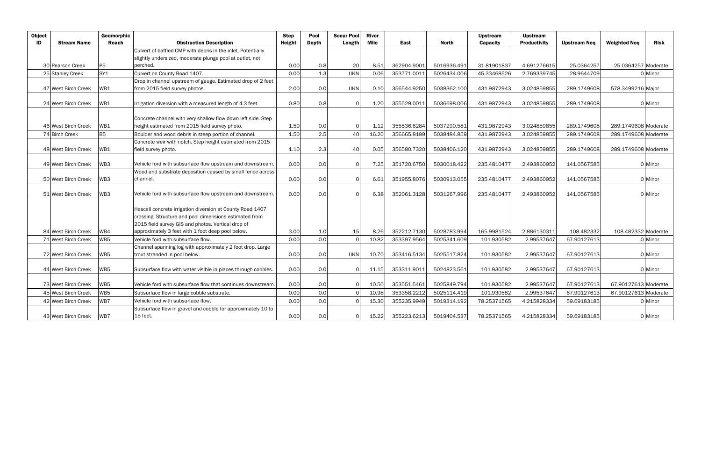| <b>Object</b> |                     | Geomorphic      |                                                               | <b>Step</b> | Pool         | <b>Scour Pool</b> | <b>River</b> |             |              | <b>Upstream</b> | <b>Upstream</b>     |                     |                      |             |
|---------------|---------------------|-----------------|---------------------------------------------------------------|-------------|--------------|-------------------|--------------|-------------|--------------|-----------------|---------------------|---------------------|----------------------|-------------|
| ID            | <b>Stream Name</b>  | Reach           | <b>Obstruction Description</b>                                | Height      | <b>Depth</b> | Length            | Mile         | East        | <b>North</b> | <b>Capacity</b> | <b>Productivity</b> | <b>Upstream Neg</b> | <b>Weighted Neq</b>  | <b>Risk</b> |
|               |                     |                 | Culvert of baffled CMP with debris in the inlet. Potentially  |             |              |                   |              |             |              |                 |                     |                     |                      |             |
|               |                     |                 | slightly undersized, moderate plunge pool at outlet, not      |             |              |                   |              |             |              |                 |                     |                     |                      |             |
|               | 30 Pearson Creek    | P <sub>5</sub>  | perched.                                                      | 0.00        | 0.8          | 20                | 8.51         | 362904.9001 | 5016936.491  | 31.81901837     | 4.691276615         | 25.0364257          | 25.0364257 Moderate  |             |
|               | 25 Stanley Creek    | SY <sub>1</sub> | Culvert on County Road 1407.                                  | 0.00        | 1.3          | <b>UKN</b>        | 0.06         | 353771.001  | 5026434.006  | 45.33468526     | 2.769339745         | 28.9644709          |                      | 0 Minor     |
|               |                     |                 | Drop in channel upstream of gauge. Estimated drop of 2 feet   |             |              |                   |              |             |              |                 |                     |                     |                      |             |
|               | 47 West Birch Creek | WB1             | from 2015 field survey photos.                                | 2.00        | 0.0          | <b>UKN</b>        | 0.10         | 356544.9250 | 5038362.100  | 431.9872943     | 3.024859855         | 289.1749608         | 578.3499216 Major    |             |
|               |                     |                 |                                                               |             |              |                   |              |             |              |                 |                     |                     |                      |             |
|               | 24 West Birch Creek | WB1             | Irrigation diversion with a measured length of 4.3 feet.      | 0.80        | 0.8          | $\Omega$          | 1.20         | 355529.0011 | 5036698.006  | 431.9872943     | 3.024859855         | 289.1749608         |                      | 0 Minor     |
|               |                     |                 |                                                               |             |              |                   |              |             |              |                 |                     |                     |                      |             |
|               |                     |                 | Concrete channel with very shallow flow down left side. Step  |             |              |                   |              |             |              |                 |                     |                     |                      |             |
|               | 46 West Birch Creek | WB1             | height estimated from 2015 field survey photo.                | 1.50        | 0.0          | $\Omega$          | 1.12         | 355536.6284 | 5037290.581  | 431.9872943     | 3.024859855         | 289.1749608         | 289.1749608 Moderate |             |
|               | 74 Birch Creek      | B <sub>5</sub>  | Boulder and wood debris in steep portion of channel.          | 1.50        | 2.5          | 40                | 16.20        | 356665.8199 | 5038484.859  | 431.9872943     | 3.024859855         | 289.1749608         | 289.1749608 Moderate |             |
|               |                     |                 | Concrete weir with notch. Step height estimated from 2015     |             |              |                   |              |             |              |                 |                     |                     |                      |             |
|               | 48 West Birch Creek | WB1             | field survey photo.                                           | 1.10        | 2.3          | 40                | 0.05         | 356580.7320 | 5038406.120  | 431.9872943     | 3.024859855         | 289.1749608         | 289.1749608 Moderate |             |
|               |                     |                 |                                                               |             |              |                   |              |             |              |                 |                     |                     |                      |             |
|               | 49 West Birch Creek | WB3             | Vehicle ford with subsurface flow upstream and downstream.    | 0.00        | 0.0          | $\Omega$          | 7.25         | 351720.6750 | 5030018.422  | 235.4810477     | 2.493860952         | 141.0567585         |                      | 0 Minor     |
|               |                     |                 | Wood and substrate deposition caused by small fence across    |             |              |                   |              |             |              |                 |                     |                     |                      |             |
|               | 50 West Birch Creek | WB3             | channel.                                                      | 0.00        | 0.0          | $\Omega$          | 6.61         | 351955.8076 | 5030913.055  | 235.4810477     | 2.493860952         | 141.0567585         |                      | 0 Minor     |
|               |                     |                 |                                                               |             |              |                   |              |             |              |                 |                     |                     |                      |             |
|               | 51 West Birch Creek | WB3             | Vehicle ford with subsurface flow upstream and downstream     | 0.00        | 0.0          | $\Omega$          | 6.38         | 352061.3128 | 5031267.996  | 235.4810477     | 2.493860952         | 141.0567585         |                      | 0 Minor     |
|               |                     |                 | Hascall concrete irrigation diversion at County Road 1407     |             |              |                   |              |             |              |                 |                     |                     |                      |             |
|               |                     |                 | crossing. Structure and pool dimensions estimated from        |             |              |                   |              |             |              |                 |                     |                     |                      |             |
|               |                     |                 | 2015 field survey GIS and photos. Vertical drop of            |             |              |                   |              |             |              |                 |                     |                     |                      |             |
|               | 84 West Birch Creek | WB4             | approximately 3 feet with 1 foot deep pool below.             | 3.00        | 1.0          | 15 <sub>l</sub>   | 8.26         | 352212.7130 | 5028783.994  | 165.9981524     | 2.886130311         | 108.482332          | 108.482332 Moderate  |             |
|               | 71 West Birch Creek | WB5             | Vehicle ford with subsurface flow.                            | 0.00        | 0.0          |                   | 10.82        | 353397.9564 | 5025341.609  | 101.930582      | 2.99537647          | 67.90127613         |                      | 0 Minor     |
|               |                     |                 | Channel spanning log with approximately 2 foot drop. Large    |             |              |                   |              |             |              |                 |                     |                     |                      |             |
|               | 72 West Birch Creek | WB5             | trout stranded in pool below.                                 | 0.00        | 0.0          | <b>UKN</b>        | 10.70        | 353416.5134 | 5025517.824  | 101.930582      | 2.99537647          | 67.90127613         |                      | 0 Minor     |
|               |                     |                 |                                                               |             |              |                   |              |             |              |                 |                     |                     |                      |             |
|               | 44 West Birch Creek | WB5             | Subsurface flow with water visible in places through cobbles. | 0.00        | 0.0          | $\Omega$          | 11.15        | 353311.9011 | 5024823.561  | 101.930582      | 2.99537647          | 67.90127613         |                      | 0 Minor     |
|               |                     |                 |                                                               |             |              |                   |              |             |              |                 |                     |                     |                      |             |
|               | 73 West Birch Creek | WB5             | Vehicle ford with subsurface flow that continues downstream.  | 0.00        | 0.0          | $\Omega$          | 10.50        | 353551.5461 | 5025849.794  | 101.930582      | 2.99537647          | 67.90127613         | 67.90127613 Moderate |             |
|               | 45 West Birch Creek | WB5             | Subsurface flow in large cobble substrate.                    | 0.00        | 0.0          | C                 | 10.98        | 353358.2212 | 5025114.419  | 101.930582      | 2.99537647          | 67.90127613         | 67.90127613 Moderate |             |
|               | 42 West Birch Creek | WB7             | Vehicle ford with subsurface flow.                            | 0.00        | 0.0          |                   | 15.30        | 355235.9949 | 5019314.192  | 78.25371565     | 4.215828334         | 59.69183185         |                      | 0 Minor     |
|               |                     |                 | Subsurface flow in gravel and cobble for approximately 10 to  |             |              |                   |              |             |              |                 |                     |                     |                      |             |
|               | 43 West Birch Creek | WB7             | 15 feet.                                                      | 0.00        | 0.0          | $\Omega$          | 15.22        | 355223.6213 | 5019404.537  | 78.25371565     | 4.215828334         | 59.69183185         |                      | 0 Minor     |
|               |                     |                 |                                                               |             |              |                   |              |             |              |                 |                     |                     |                      |             |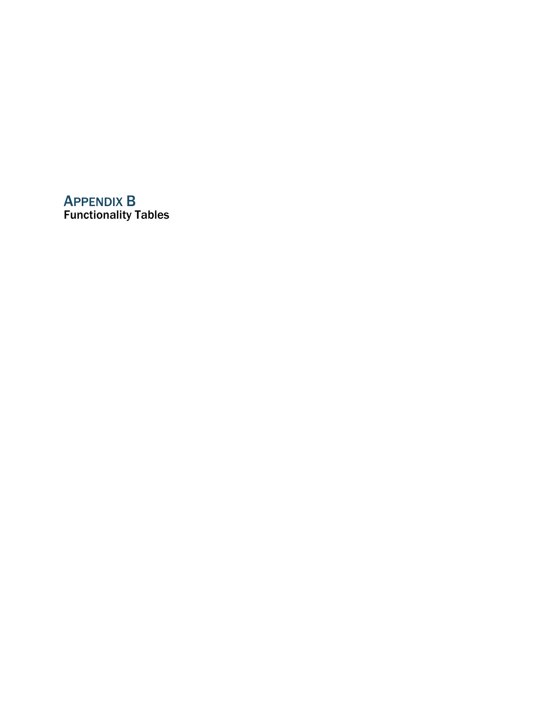# APPENDIX B Functionality Tables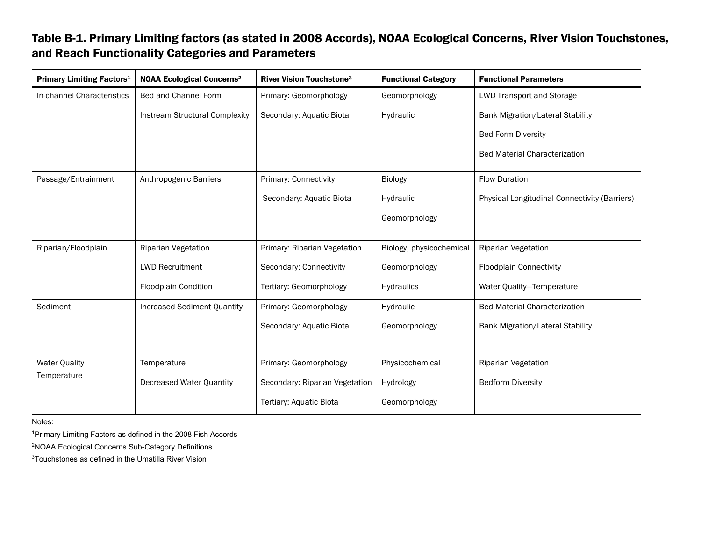# Table B-1. Primary Limiting factors (as stated in 2008 Accords), NOAA Ecological Concerns, River Vision Touchstones, and Reach Functionality Categories and Parameters

| <b>Primary Limiting Factors<sup>1</sup></b> | <b>NOAA Ecological Concerns<sup>2</sup></b> | <b>River Vision Touchstone3</b> | <b>Functional Category</b> | <b>Functional Parameters</b>                         |
|---------------------------------------------|---------------------------------------------|---------------------------------|----------------------------|------------------------------------------------------|
| In-channel Characteristics                  | Bed and Channel Form                        | Primary: Geomorphology          | Geomorphology              | <b>LWD Transport and Storage</b>                     |
|                                             | <b>Instream Structural Complexity</b>       | Secondary: Aquatic Biota        | Hydraulic                  | <b>Bank Migration/Lateral Stability</b>              |
|                                             |                                             |                                 |                            | <b>Bed Form Diversity</b>                            |
|                                             |                                             |                                 |                            | <b>Bed Material Characterization</b>                 |
| Passage/Entrainment                         | Anthropogenic Barriers                      | <b>Primary: Connectivity</b>    | Biology                    | <b>Flow Duration</b>                                 |
|                                             |                                             | Secondary: Aquatic Biota        | Hydraulic                  | <b>Physical Longitudinal Connectivity (Barriers)</b> |
|                                             |                                             |                                 | Geomorphology              |                                                      |
|                                             |                                             |                                 |                            |                                                      |
| Riparian/Floodplain                         | Riparian Vegetation                         | Primary: Riparian Vegetation    | Biology, physicochemical   | <b>Riparian Vegetation</b>                           |
|                                             | <b>LWD Recruitment</b>                      | Secondary: Connectivity         | Geomorphology              | <b>Floodplain Connectivity</b>                       |
|                                             | <b>Floodplain Condition</b>                 | Tertiary: Geomorphology         | Hydraulics                 | Water Quality-Temperature                            |
| Sediment                                    | <b>Increased Sediment Quantity</b>          | Primary: Geomorphology          | Hydraulic                  | <b>Bed Material Characterization</b>                 |
|                                             |                                             | Secondary: Aquatic Biota        | Geomorphology              | <b>Bank Migration/Lateral Stability</b>              |
|                                             |                                             |                                 |                            |                                                      |
| <b>Water Quality</b>                        | Temperature                                 | Primary: Geomorphology          | Physicochemical            | <b>Riparian Vegetation</b>                           |
| Temperature                                 | Decreased Water Quantity                    | Secondary: Riparian Vegetation  | Hydrology                  | <b>Bedform Diversity</b>                             |
|                                             |                                             | <b>Tertiary: Aquatic Biota</b>  | Geomorphology              |                                                      |

Notes:

1Primary Limiting Factors as defined in the 2008 Fish Accords

2NOAA Ecological Concerns Sub-Category Definitions

3Touchstones as defined in the Umatilla River Vision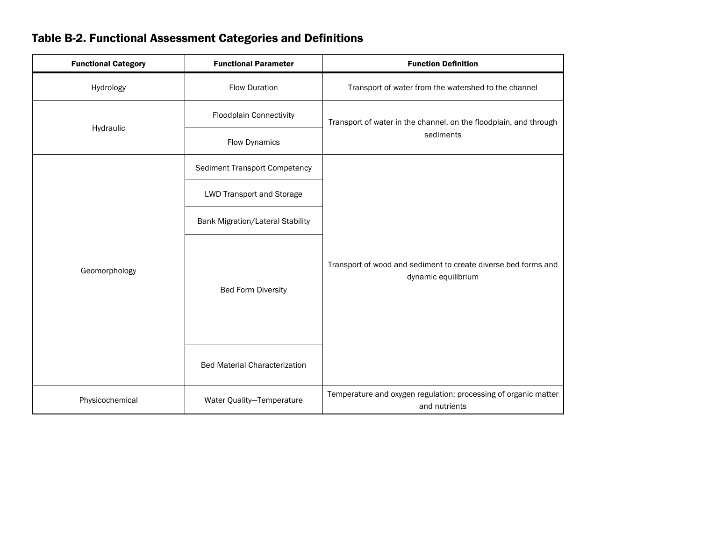|  |  |  |  | <b>Table B-2. Functional Assessment Categories and Definitions</b> |
|--|--|--|--|--------------------------------------------------------------------|
|--|--|--|--|--------------------------------------------------------------------|

| <b>Functional Category</b> | <b>Functional Parameter</b>             | <b>Function Definition</b>                                                            |
|----------------------------|-----------------------------------------|---------------------------------------------------------------------------------------|
| Hydrology                  | <b>Flow Duration</b>                    | Transport of water from the watershed to the channel                                  |
|                            | <b>Floodplain Connectivity</b>          | Transport of water in the channel, on the floodplain, and through                     |
| Hydraulic                  | <b>Flow Dynamics</b>                    | sediments                                                                             |
|                            | <b>Sediment Transport Competency</b>    |                                                                                       |
|                            | <b>LWD Transport and Storage</b>        |                                                                                       |
|                            | <b>Bank Migration/Lateral Stability</b> |                                                                                       |
| Geomorphology              | <b>Bed Form Diversity</b>               | Transport of wood and sediment to create diverse bed forms and<br>dynamic equilibrium |
|                            | <b>Bed Material Characterization</b>    |                                                                                       |
| Physicochemical            | Water Quality-Temperature               | Temperature and oxygen regulation; processing of organic matter<br>and nutrients      |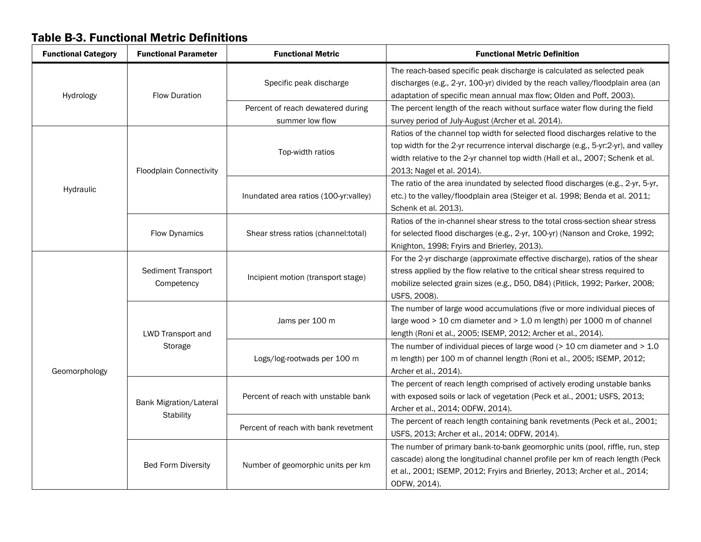#### Functional Category | Functional Parameter | Functional Metric | | Functional Metric Pefinition Hydrology Flow Duration Specific peak discharge The reach-based specific peak discharge is calculated as selected peak discharges (e.g., 2-yr, 100-yr) divided by the reach valley/floodplain area (an adaptation of specific mean annual max flow; Olden and Poff, 2003). Percent of reach dewatered during summer low flow The percent length of the reach without surface water flow during the field survey period of July-August (Archer et al. 2014). Hydraulic Floodplain Connectivity Top-width ratios Ratios of the channel top width for selected flood discharges relative to the top width for the 2-yr recurrence interval discharge (e.g., 5-yr:2-yr), and valley width relative to the 2-yr channel top width (Hall et al., 2007; Schenk et al. 2013; Nagel et al. 2014). Inundated area ratios (100-yr:valley) The ratio of the area inundated by selected flood discharges (e.g., 2-yr, 5-yr, etc.) to the valley/floodplain area (Steiger et al. 1998; Benda et al. 2011; Schenk et al. 2013). Flow Dynamics | Shear stress ratios (channel:total) Ratios of the in-channel shear stress to the total cross-section shear stress for selected flood discharges (e.g., 2-yr, 100-yr) (Nanson and Croke, 1992; Knighton, 1998; Fryirs and Brierley, 2013). Geomorphology Sediment Transport mont deliver is a local lincipient motion (transport stage) For the 2-yr discharge (approximate effective discharge), ratios of the shear stress applied by the flow relative to the critical shear stress required to mobilize selected grain sizes (e.g., D50, D84) (Pitlick, 1992; Parker, 2008; USFS, 2008). LWD Transport and Storage Jams per 100 m The number of large wood accumulations (five or more individual pieces of large wood > 10 cm diameter and > 1.0 m length) per 1000 m of channel length (Roni et al., 2005; ISEMP, 2012; Archer et al., 2014). Logs/log-rootwads per 100 m The number of individual pieces of large wood ( $>$  10 cm diameter and  $>$  1.0 m length) per 100 m of channel length (Roni et al., 2005; ISEMP, 2012; Archer et al., 2014). Bank Migration/Lateral **Stability** Percent of reach with unstable bank The percent of reach length comprised of actively eroding unstable banks with exposed soils or lack of vegetation (Peck et al., 2001; USFS, 2013; Archer et al., 2014; ODFW, 2014). Percent of reach with bank revetment The percent of reach length containing bank revetments (Peck et al., 2001; USFS, 2013; Archer et al., 2014; ODFW, 2014). Bed Form Diversity | Number of geomorphic units per km The number of primary bank-to-bank geomorphic units (pool, riffle, run, step cascade) along the longitudinal channel profile per km of reach length (Peck et al., 2001; ISEMP, 2012; Fryirs and Brierley, 2013; Archer et al., 2014; ODFW, 2014).

# Table B-3. Functional Metric Definitions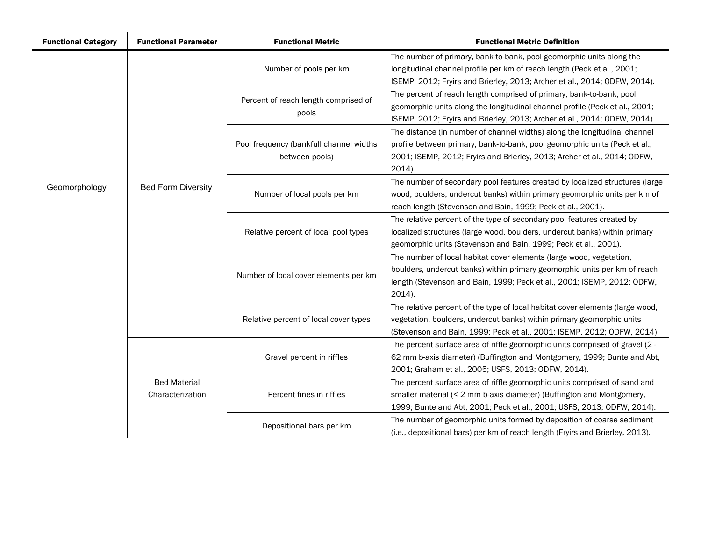| <b>Functional Category</b> | <b>Functional Parameter</b>             | <b>Functional Metric</b>                                  | <b>Functional Metric Definition</b>                                                                                                                                                                                                           |  |  |  |  |  |  |
|----------------------------|-----------------------------------------|-----------------------------------------------------------|-----------------------------------------------------------------------------------------------------------------------------------------------------------------------------------------------------------------------------------------------|--|--|--|--|--|--|
|                            |                                         | Number of pools per km                                    | The number of primary, bank-to-bank, pool geomorphic units along the<br>longitudinal channel profile per km of reach length (Peck et al., 2001;<br>ISEMP, 2012; Fryirs and Brierley, 2013; Archer et al., 2014; ODFW, 2014).                  |  |  |  |  |  |  |
|                            |                                         | Percent of reach length comprised of<br>pools             | The percent of reach length comprised of primary, bank-to-bank, pool<br>geomorphic units along the longitudinal channel profile (Peck et al., 2001;<br>ISEMP, 2012; Fryirs and Brierley, 2013; Archer et al., 2014; ODFW, 2014).              |  |  |  |  |  |  |
|                            |                                         | Pool frequency (bankfull channel widths<br>between pools) | The distance (in number of channel widths) along the longitudinal channel<br>profile between primary, bank-to-bank, pool geomorphic units (Peck et al.,<br>2001; ISEMP, 2012; Fryirs and Brierley, 2013; Archer et al., 2014; ODFW,<br>2014). |  |  |  |  |  |  |
| Geomorphology              | <b>Bed Form Diversity</b>               | Number of local pools per km                              | The number of secondary pool features created by localized structures (large<br>wood, boulders, undercut banks) within primary geomorphic units per km of<br>reach length (Stevenson and Bain, 1999; Peck et al., 2001).                      |  |  |  |  |  |  |
|                            |                                         | Relative percent of local pool types                      | The relative percent of the type of secondary pool features created by<br>localized structures (large wood, boulders, undercut banks) within primary<br>geomorphic units (Stevenson and Bain, 1999; Peck et al., 2001).                       |  |  |  |  |  |  |
|                            |                                         | Number of local cover elements per km                     | The number of local habitat cover elements (large wood, vegetation,<br>boulders, undercut banks) within primary geomorphic units per km of reach<br>length (Stevenson and Bain, 1999; Peck et al., 2001; ISEMP, 2012; ODFW,<br>2014).         |  |  |  |  |  |  |
|                            |                                         | Relative percent of local cover types                     | The relative percent of the type of local habitat cover elements (large wood,<br>vegetation, boulders, undercut banks) within primary geomorphic units<br>(Stevenson and Bain, 1999; Peck et al., 2001; ISEMP, 2012; ODFW, 2014).             |  |  |  |  |  |  |
|                            |                                         | Gravel percent in riffles                                 | The percent surface area of riffle geomorphic units comprised of gravel (2 -<br>62 mm b-axis diameter) (Buffington and Montgomery, 1999; Bunte and Abt,<br>2001; Graham et al., 2005; USFS, 2013; ODFW, 2014).                                |  |  |  |  |  |  |
|                            | <b>Bed Material</b><br>Characterization | Percent fines in riffles                                  | The percent surface area of riffle geomorphic units comprised of sand and<br>smaller material (< 2 mm b-axis diameter) (Buffington and Montgomery,<br>1999; Bunte and Abt, 2001; Peck et al., 2001; USFS, 2013; ODFW, 2014).                  |  |  |  |  |  |  |
|                            |                                         | Depositional bars per km                                  | The number of geomorphic units formed by deposition of coarse sediment<br>(i.e., depositional bars) per km of reach length (Fryirs and Brierley, 2013).                                                                                       |  |  |  |  |  |  |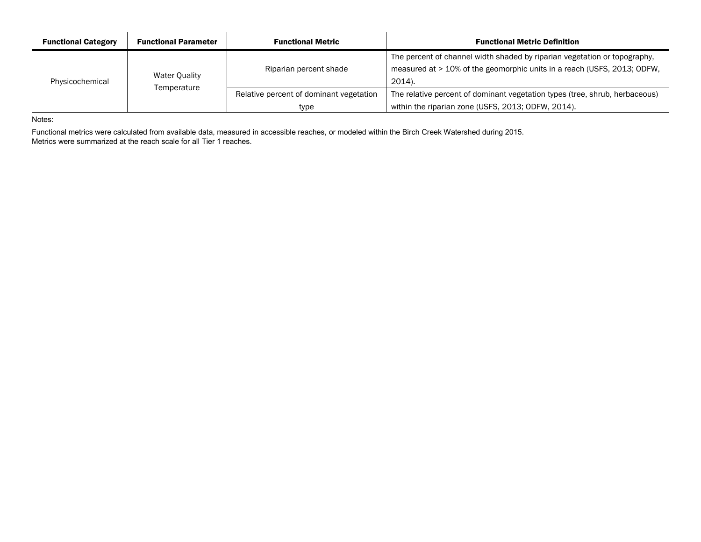| <b>Functional Category</b> | <b>Functional Parameter</b> | <b>Functional Metric</b>                                                                                               | <b>Functional Metric Definition</b>                                                                                                                            |  |  |  |  |
|----------------------------|-----------------------------|------------------------------------------------------------------------------------------------------------------------|----------------------------------------------------------------------------------------------------------------------------------------------------------------|--|--|--|--|
| Physicochemical            | <b>Water Quality</b>        | Riparian percent shade                                                                                                 | The percent of channel width shaded by riparian vegetation or topography,<br>measured at > 10% of the geomorphic units in a reach (USFS, 2013; ODFW,<br>2014). |  |  |  |  |
|                            | Temperature                 | Relative percent of dominant vegetation<br>The relative percent of dominant vegetation types (tree, shrub, herbaceous) |                                                                                                                                                                |  |  |  |  |
|                            |                             | type                                                                                                                   | within the riparian zone (USFS, 2013; ODFW, 2014).                                                                                                             |  |  |  |  |

Notes:

Functional metrics were calculated from available data, measured in accessible reaches, or modeled within the Birch Creek Watershed during 2015. Metrics were summarized at the reach scale for all Tier 1 reaches.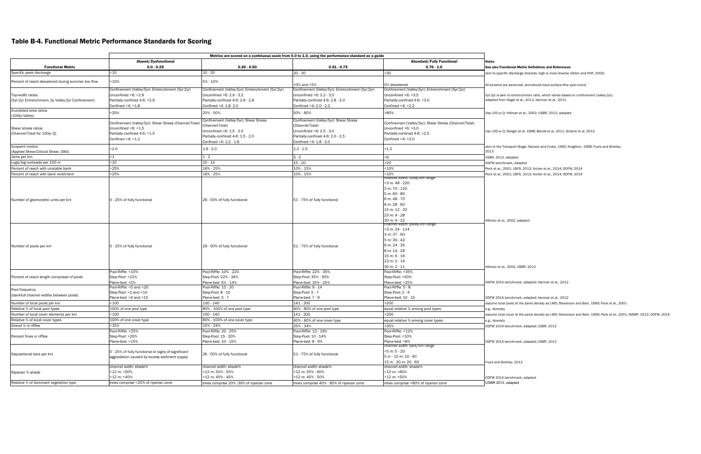# Table B-4. Functional Metric Performance Standards for Scoring

|                                                   | Absent/Dysfunctional                                   |                                                  |                                                  | <b>Abundant/Fully Functional</b>                         | <b>Notes</b>                                                                              |
|---------------------------------------------------|--------------------------------------------------------|--------------------------------------------------|--------------------------------------------------|----------------------------------------------------------|-------------------------------------------------------------------------------------------|
| <b>Functional Metric</b>                          | $0.0 - 0.25$                                           | $0.26 - 0.50$                                    | $0.51 - 0.75$                                    | $0.76 - 1.0$                                             | See also Functional Metric Definitions and References                                     |
| Specific peak discharge                           | ~10                                                    | $10 - 20$                                        | $20 - 30$                                        | >30                                                      | akin to specific discharge diversity; high is more diverse (Olden and Poff, 2003)         |
|                                                   | -10%                                                   | 5% - 10%                                         |                                                  |                                                          |                                                                                           |
| Percent of reach dewatered during summer low flow |                                                        |                                                  | >0% and <5%                                      | 0% dewatered                                             | All streams are perennial, and should have surface flow year-round.                       |
|                                                   | Confinement (Valley:5yr): Entrenchment (5yr:2yr)       | Confinement (Valley:5yr): Entrenchment (5yr:2yr) | Confinement (Valley:5yr): Entrenchment (5yr:2yr) | Confinement (Valley: 5yr): Entrenchment (5yr: 2yr)       |                                                                                           |
| Top-width ratios                                  | Unconfined $>6$ : <2.9                                 | Unconfined >6: 2.9 - 3.2                         | Unconfined >6: 3.2 - 3.5                         | Unconfined $>6$ : $>3.5$                                 | 5yr:2yr is akin to entrenchment ratio, which varies based on confinement (valley:2yr);    |
| (5yr:2yr Entrenchment, by Valley:2yr Confinement) | Partially-confined 4-6: < 2.6                          | Partially-confined 4-6: 2.6 - 2.8                | Partially-confined 4-6: 2.8 - 3.0                | Partially-confined 4-6: >3.0                             | adapted from Nagel et al., 2011; Harman et al., 2012                                      |
|                                                   | Confined <4: $<$ 1.8                                   | Confined <4: 1.8-2.0                             | Confined <4: 2.0 - 2.2                           | Confined <4: $>2.2$                                      |                                                                                           |
| Inundated area ratios                             | <20%                                                   | 20% - 50%                                        | 50% - 80%                                        | >80%                                                     | Use 100-yr Q; Hillman et al., 2002; USBR, 2012; adapted                                   |
| (100yr:Valley)                                    |                                                        | Confinement (Valley:5yr): Shear Stress           | Confinement (Valley: 5yr): Shear Stress          |                                                          |                                                                                           |
|                                                   | Confinement (Valley:5yr): Shear Stress (Channel:Total) | Channel: Total)                                  | (Channel:Total)                                  | Confinement (Valley: 5yr): Shear Stress (Channel: Total) |                                                                                           |
| Shear stress ratios                               | Unconfined >6: <1.5                                    | Unconfined $>6:1.5-2.5$                          | Unconfined >6: 2.5 - 3.0                         | Unconfined $>6$ : $>3.0$                                 | Use 100-yr Q; Steiger et al. 1998; Benda et al. 2011; Schenk et al. 2013                  |
| (Channel: Total for 100yr Q)                      | Partially-confined 4-6: <1.5                           | Partially-confined 4-6: 1.5 - 2.0                | Partially-confined 4-6: 2.0 - 2.5                | Partially-confined 4-6: >2.5                             |                                                                                           |
|                                                   | Confined $<4$ : $<1.2$                                 | Confined <4: 1.2 - 1.8                           | Confined <4: 1.8 - 2.0                           | Confined $<4$ : $>2.0$                                   |                                                                                           |
| Incipient motion                                  |                                                        |                                                  |                                                  |                                                          | akin to the Transport Stage; Nanson and Croke, 1992; Knighton, 1998; Fryirs and Brierley, |
| (Applied Shear: Critical Shear, D84)              | >2.0                                                   | $1.6 - 2.0$                                      | $1.2 - 1.5$                                      | < 1.2                                                    | 2013                                                                                      |
| Jams per km                                       | $\leq 1$                                               | $1 - 2$                                          | $3 - 5$                                          | >6                                                       | USBR, 2012, adapted                                                                       |
| Logs/log-rootwads per 100 m                       | $10$                                                   | $10 - 14$                                        | $15 - 20$                                        | >20                                                      | ODFW benchmark, adapted                                                                   |
| Percent of reach with unstable bank               | >25%                                                   | 16% - 25%                                        | 10% - 15%                                        | 10%                                                      | Peck et al., 2001; USFS, 2013; Archer et al., 2014; ODFW, 2014                            |
| Percent of reach with bank revetment              | >25%                                                   | 16% - 25%                                        | 10% - 15%                                        | <10%                                                     | Peck et al., 2001; USFS, 2013; Archer et al., 2014; ODFW, 2014                            |
|                                                   |                                                        |                                                  |                                                  | nannei width: units/km range:                            |                                                                                           |
|                                                   |                                                        |                                                  |                                                  | <3 m: 48 - 220                                           |                                                                                           |
|                                                   |                                                        |                                                  |                                                  | 3 m: 70 - 120                                            |                                                                                           |
|                                                   |                                                        |                                                  |                                                  | 5 m: 60 - 80                                             |                                                                                           |
| Number of geomorphic units per km                 | 0 - 25% of fully functional                            | 26 - 50% of fully functional                     | 51 - 75% of fully functional                     | 6 m: 48 - 70                                             |                                                                                           |
|                                                   |                                                        |                                                  |                                                  | 8 m: 28 - 60                                             |                                                                                           |
|                                                   |                                                        |                                                  |                                                  | 15 m: 12 - 32                                            |                                                                                           |
|                                                   |                                                        |                                                  |                                                  | 23 m: 4 - 28                                             |                                                                                           |
|                                                   |                                                        |                                                  |                                                  | 30 m: 4 - 22                                             | Hillman et al., 2002, adapted                                                             |
|                                                   |                                                        |                                                  |                                                  | mannei width: pools/km rang                              |                                                                                           |
|                                                   |                                                        |                                                  |                                                  | <3 m: 24 - 114                                           |                                                                                           |
|                                                   |                                                        |                                                  |                                                  | 3 m: 37 - 60                                             |                                                                                           |
|                                                   |                                                        |                                                  |                                                  | 5 m: 30 - 43                                             |                                                                                           |
| Number of pools per km                            | 0 - 25% of fully functional                            | 26 - 50% of fully functional                     | 51 - 75% of fully functional                     | 6 m: 24 - 35                                             |                                                                                           |
|                                                   |                                                        |                                                  |                                                  | 8 m: 14 - 29                                             |                                                                                           |
|                                                   |                                                        |                                                  |                                                  | 15 m: 6 - 16                                             |                                                                                           |
|                                                   |                                                        |                                                  |                                                  | 23 m: 2 - 14                                             |                                                                                           |
|                                                   | Pool-Riffle: <10%                                      | Pool-Riffle: 10% - 22%                           | Pool-Riffle: 22% - 35%                           | 30 m: 2 - 11<br>Pool-Riffle: >35%                        | Hillman et al., 2002; USBR, 2012                                                          |
|                                                   | Step-Pool: <22%                                        | Step-Pool: 22% - 34%                             | Step-Pool: 35% - 50%                             |                                                          |                                                                                           |
| Percent of reach length comprised of pools        | Plane-bed: <5%                                         | Plane-bed: 5% - 14%                              | Plane-bed: 15% - 25%                             | Step-Pool: >50%<br>Plane-bed: >25%                       | ODFW 2014 benchmark, adapted; Harman et al., 2012                                         |
|                                                   | Pool-Riffle: <5 and >20                                | Pool-Riffle: 15 - 20                             | Pool-Riffle: 9 - 14                              | Pool-Riffle: 5 - 8                                       |                                                                                           |
| Pool frequency                                    | Step-Pool: <2 and >10                                  | Step-Pool: 8 - 10                                | Step-Pool: 5 - 7                                 | Step-Pool: 2 - 4                                         |                                                                                           |
| (bankfull channel widths between pools)           | Plane-bed: <4 and >15                                  | Plane-bed: 5 - 7                                 | Plane-bed: 7 - 9                                 | Plane-bed: 10 - 15                                       | ODFW 2014 benchmark, adapted; Harman et al., 2012                                         |
| Number of local pools per km                      | <100                                                   | 100 - 140                                        | 141 - 200                                        | >200                                                     | assume local pools at the same density as LWD; Stevenson and Bain, 1999; Peck et al., 20  |
| Relative % of local pool types                    | 100% of one pool type                                  | 80% - 100% of one pool type                      | 40% - 80% of one pool type                       | equal relative % among pool types                        | e.g., diversity                                                                           |
| Number of local cover elements per km             | $100$                                                  | $100 - 140$                                      | 141 - 200                                        | >200                                                     | assume local cover at the same density as LWD; Stevenson and Bain, 1999; Peck et al., 20  |
| Relative % of local cover types                   | 100% of one cover type                                 | 80% - 100% of one cover type                     | 40% - 80% of one cover type                      | equal relative % among cover types                       | e.g., diversity                                                                           |
| Gravel % in riffles                               | <15%                                                   | 15% - 24%                                        | 25% - 34%                                        | >35%                                                     | ODFW 2014 benchmark, adapted; USBR, 2012                                                  |
|                                                   | Pool-Riffle: >25%                                      | Pool-Riffle: 20 - 25%                            | Pool-Riffle: 12 - 19%                            | Pool-Riffle: <12%                                        |                                                                                           |
| Percent fines in riffles                          | Step-Pool: >20%                                        | Step-Pool: 15 - 20%                              | Step-Pool: 10 - 14%                              | Step-Pool: <10%                                          |                                                                                           |
|                                                   | Plane-bed: >15%                                        | Plane-bed: 10 - 15%                              | Plane-bed: 8 - 9%                                | Plane-bed: <8%                                           | ODFW 2014 benchmark, adapted; USBR, 2012                                                  |
|                                                   |                                                        |                                                  |                                                  | channel width: bars/km range                             |                                                                                           |
|                                                   | 0 - 25% of fully functional or signs of significant    |                                                  |                                                  | <5 m: 5 - 20                                             |                                                                                           |
| Depositional bars per km                          | aggradation caused by excess sediment supply           | 26 - 50% of fully functional                     | 51 - 75% of fully functional                     | 5 m - 15 m: 10 - 40                                      |                                                                                           |
|                                                   |                                                        |                                                  |                                                  | 15 m - 30 m: 20 - 60                                     | Fryirs and Brierley, 2013                                                                 |
|                                                   | channel width: shade%                                  | channel width: shade%                            | channel width: shade%                            | channel width: shade%                                    |                                                                                           |
| Riparian % shade                                  | <12 m: <50%                                            | <12 m: 50% - 55%                                 | <12 m: 55% - 60%                                 | <12 m: >60%                                              |                                                                                           |
|                                                   | >12 m: <40%                                            | >12 m: 40% - 45%                                 | >12 m: 45% - 50%                                 | >12 m: >50%                                              | ODFW 2014 benchmark, adapted                                                              |
| Relative % of dominant vegetation type            | trees comprise <20% of riparian zone                   | rees comprise 20% -39% of riparian zone          | trees comprise 40% - 80% of riparian zone        | trees comprise >80% of riparian zone                     | JSBR 2012, adapted                                                                        |

#### al Metric Definitions and References

omark, adapted; Harman et al., 2012 s at the same density as LWD; Stevenson and Bain, 1999; Peck et al., 2001

r at the same density as LWD; Stevenson and Bain, 1999; Peck et al., 2001; ISEMP, 2012; ODFW, 2014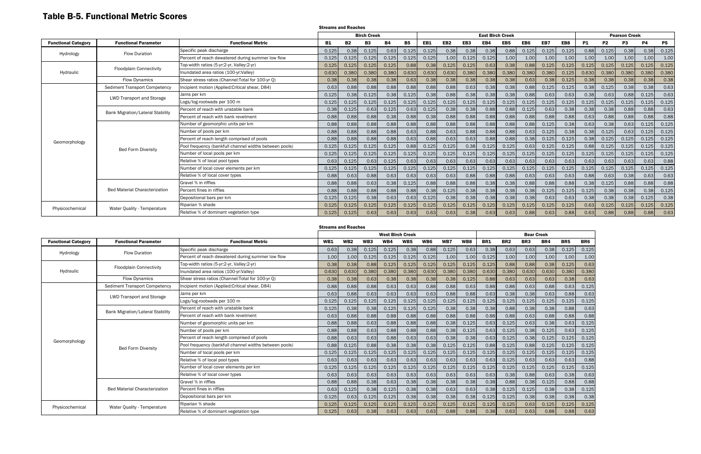# Table B-5. Functional Metric Scores

|                            |                                         |                                                        | <b>Streams and Reaches</b> |           |                    |           |           |       |                 |                 |                         |       |                 |       |       |           |           |                      |           |           |
|----------------------------|-----------------------------------------|--------------------------------------------------------|----------------------------|-----------|--------------------|-----------|-----------|-------|-----------------|-----------------|-------------------------|-------|-----------------|-------|-------|-----------|-----------|----------------------|-----------|-----------|
|                            |                                         |                                                        |                            |           | <b>Birch Creek</b> |           |           |       |                 |                 | <b>East Birch Creek</b> |       |                 |       |       |           |           | <b>Pearson Creek</b> |           |           |
| <b>Functional Category</b> | <b>Functional Parameter</b>             | <b>Functional Metric</b>                               | B1                         | <b>B2</b> | <b>B3</b>          | <b>B4</b> | <b>B5</b> | EB1   | EB <sub>2</sub> | EB <sub>3</sub> | EB4                     | EB5   | EB <sub>6</sub> | EB7   | EB8   | <b>P1</b> | <b>P2</b> | P <sub>3</sub>       | <b>P4</b> | <b>P5</b> |
| Hydrology                  | <b>Flow Duration</b>                    | Specific peak discharge                                | 0.125                      | 0.38      | 0.125              | 0.63      | 0.125     | 0.125 | 0.38            | 0.38            | 0.38                    | 0.88  | 0.125           | 0.125 | 0.125 | 0.88      | 0.125     | 0.38                 | 0.38      | 0.125     |
|                            |                                         | Percent of reach dewatered during summer low flow      | 0.125                      | 0.125     | 0.125              | 0.125     | 0.125     | 0.125 | 1.00            | 0.125           | 0.125                   | 1.00  | 1.00            | 1.00  | 1.00  | 1.00      | 1.00      | 1.00                 | 1.00      | 1.00      |
|                            | <b>Floodplain Connectivity</b>          | Top-width ratios (5-yr:2-yr, Valley:2-yr)              | 0.125                      | 0.125     | 0.125              | 0.125     | 0.88      | 0.38  | 0.125           | 0.125           | 0.63                    | 0.38  | 0.88            | 0.125 | 0.125 | 0.125     | 0.125     | 0.125                | 0.125     | 0.125     |
| Hydraulic                  |                                         | Inundated area ratios (100-yr: Valley)                 | 0.630                      | 0.380     | 0.380              | 0.380     | 0.630     | 0.630 | 0.630           | 0.380           | 0.380                   | 0.380 | 0.380           | 0.380 | 0.125 | 0.630     | 0.380     | 0.380                | 0.380     | 0.380     |
|                            | <b>Flow Dynamics</b>                    | Shear stress ratios (Channel: Total for 100-yr Q)      | 0.38                       | 0.38      | 0.38               | 0.38      | 0.63      | 0.38  | 0.38            | 0.38            | 0.38                    | 0.38  | 0.63            | 0.38  | 0.125 | 0.38      | 0.38      | 0.38                 | 0.38      | 0.38      |
|                            | <b>Sediment Transport Competency</b>    | Incipient motion (Applied: Critical shear, D84)        | 0.63                       | 0.88      | 0.88               | 0.88      | 0.88      | 0.88  | 0.88            | 0.63            | 0.38                    | 0.38  | 0.88            | 0.125 | 0.125 | 0.38      | 0.125     | 0.38                 | 0.38      | 0.63      |
|                            | <b>LWD Transport and Storage</b>        | Jams per km                                            | 0.125                      | 0.38      | 0.125              | 0.38      | 0.125     | 0.38  | 0.88            | 0.38            | 0.38                    | 0.38  | 0.88            | 0.63  | 0.63  | 0.38      | 0.63      | 0.88                 | 0.125     | 0.63      |
|                            |                                         | Logs/log-rootwads per 100 m                            | 0.125                      | 0.125     | 0.125              | 0.125     | 0.125     | 0.125 | 0.125           | 0.125           | 0.125                   | 0.125 | 0.125           | 0.125 | 0.125 | 0.125     | 0.125     | 0.125                | 0.125     | 0.125     |
|                            | <b>Bank Migration/Lateral Stability</b> | Percent of reach with unstable bank                    | 0.38                       | 0.125     | 0.63               | 0.125     | 0.63      | 0.125 | 0.38            | 0.38            | 0.88                    | 0.88  | 0.125           | 0.63  | 0.38  | 0.38      | 0.38      | 0.88                 | 0.88      | 0.63      |
|                            |                                         | Percent of reach with bank revetment                   | 0.88                       | 0.88      | 0.88               | 0.38      | 0.88      | 0.38  | 0.88            | 0.88            | 0.88                    | 0.88  | 0.88            | 0.88  | 0.88  | 0.63      | 0.88      | 0.88                 | 0.88      | 0.88      |
|                            |                                         | Number of geomorphic units per km                      | 0.88                       | 0.88      | 0.88               | 0.88      | 0.88      | 0.88  | 0.88            | 0.88            | 0.88                    | 0.88  | 0.88            | 0.125 | 0.38  | 0.63      | 0.38      | 0.63                 | 0.125     | 0.125     |
|                            |                                         | Number of pools per km                                 | 0.88                       | 0.88      | 0.88               | 0.88      | 0.63      | 0.88  | 0.63            | 0.88            | 0.88                    | 0.88  | 0.63            | 0.125 | 0.38  | 0.38      | 0.125     | 0.63                 | 0.125     | 0.125     |
| Geomorphology              |                                         | Percent of reach length comprised of pools             | 0.88                       | 0.88      | 0.88               | 0.88      | 0.63      | 0.88  | 0.63            | 0.63            | 0.88                    | 0.88  | 0.38            | 0.125 | 0.125 | 0.38      | 0.125     | 0.125                | 0.125     | 0.125     |
|                            | <b>Bed Form Diversity</b>               | Pool frequency (bankfull channel widths between pools) | 0.125                      | 0.125     | 0.125              | 0.125     | 0.88      | 0.125 | 0.125           | 0.38            | 0.125                   | 0.125 | 0.63            | 0.125 | 0.125 | 0.88      | 0.125     | 0.125                | 0.125     | 0.125     |
|                            |                                         | Number of local pools per km                           | 0.125                      | 0.125     | 0.125              | 0.125     | 0.125     | 0.125 | 0.125           | 0.125           | 0.125                   | 0.125 | 0.125           | 0.125 | 0.125 | 0.125     | 0.125     | 0.125                | 0.125     | 0.125     |
|                            |                                         | Relative % of local pool types                         | 0.63                       | 0.125     | 0.63               | 0.125     | 0.63      | 0.63  | 0.63            | 0.63            | 0.63                    | 0.63  | 0.63            | 0.63  | 0.63  | 0.63      | 0.63      | 0.63                 | 0.63      | 0.88      |
|                            |                                         | Number of local cover elements per km                  | 0.125                      | 0.125     | 0.125              | 0.125     | 0.125     | 0.125 | 0.125           | 0.125           | 0.125                   | 0.125 | 0.125           | 0.125 | 0.125 | 0.125     | 0.125     | 0.125                | 0.125     | 0.125     |
|                            |                                         | Relative % of local cover types                        | 0.88                       | 0.63      | 0.88               | 0.63      | 0.63      | 0.63  | 0.63            | 0.88            | 0.88                    | 0.88  | 0.63            | 0.63  | 0.63  | 0.88      | 0.63      | 0.38                 | 0.63      | 0.63      |
|                            |                                         | Gravel % in riffles                                    | 0.88                       | 0.88      | 0.63               | 0.38      | 0.125     | 0.88  | 0.88            | 0.88            | 0.38                    | 0.38  | 0.88            | 0.88  | 0.88  | 0.38      | 0.125     | 0.88                 | 0.88      | 0.88      |
|                            | <b>Bed Material Characterization</b>    | Percent fines in riffles                               | 0.88                       | 0.88      | 0.88               | 0.88      | 0.88      | 0.38  | 0.125           | 0.38            | 0.38                    | 0.38  | 0.38            | 0.125 | 0.125 | 0.125     | 0.38      | 0.38                 | 0.38      | 0.125     |
|                            |                                         | Depositional bars per km                               | 0.125                      | 0.125     | 0.38               | 0.63      | 0.63      | 0.125 | 0.38            | 0.38            | 0.38                    | 0.38  | 0.38            | 0.63  | 0.63  | 0.38      | 0.38      | 0.38                 | 0.125     | 0.38      |
| Physicochemical            | Water Quality - Temperature             | Riparian % shade                                       | 0.125                      | 0.125     | 0.125              | 0.125     | 0.125     | 0.125 | 0.125           | 0.125           | 0.125                   | 0.125 | 0.125           | 0.125 | 0.125 | 0.63      | 0.125     | 0.125                | 0.125     | 0.125     |
|                            |                                         | Relative % of dominant vegetation type                 | 0.125                      | 0.125     | 0.63               | 0.63      | 0.63      | 0.63  | 0.63            | 0.38            | 0.63                    | 0.63  | 0.88            | 0.63  | 0.88  | 0.63      | 0.88      | 0.88                 | 0.88      | 0.63      |

|                            |                                         |                                                        | <b>Streams and Reaches</b> |                 |                 |       |                 |                   |       |       |            |                 |                 |       |                 |       |
|----------------------------|-----------------------------------------|--------------------------------------------------------|----------------------------|-----------------|-----------------|-------|-----------------|-------------------|-------|-------|------------|-----------------|-----------------|-------|-----------------|-------|
|                            |                                         |                                                        |                            |                 |                 |       |                 | <b>Bear Creek</b> |       |       |            |                 |                 |       |                 |       |
| <b>Functional Category</b> | <b>Functional Parameter</b>             | <b>Functional Metric</b>                               | <b>WB1</b>                 | WB <sub>2</sub> | WB <sub>3</sub> | WB4   | WB <sub>5</sub> | WB6               | WB7   | WB8   | <b>BR1</b> | BR <sub>2</sub> | BR <sub>3</sub> | BR4   | BR <sub>5</sub> | BR6   |
| Hydrology                  | <b>Flow Duration</b>                    | Specific peak discharge                                | 0.63                       | 0.38            | 0.125           | 0.125 | 0.38            | 0.88              | 0.125 | 0.63  | 0.38       | 0.63            | 0.63            | 0.38  | 0.125           | 0.125 |
|                            |                                         | Percent of reach dewatered during summer low flow      | 1.00                       | 1.00            | 0.125           | 0.125 | 0.125           | 0.125             | 1.00  | 1.00  | 0.125      | 1.00            | 1.00            | 1.00  | 1.00            | 1.00  |
|                            | <b>Floodplain Connectivity</b>          | Top-width ratios (5-yr:2-yr, Valley:2-yr)              | 0.38                       | 0.38            | 0.88            | 0.125 | 0.125           | 0.125             | 0.125 | 0.125 | 0.125      | 0.88            | 0.88            | 0.38  | 0.125           | 0.63  |
| Hydraulic                  |                                         | Inundated area ratios (100-yr: Valley)                 | 0.630                      | 0.630           | 0.380           | 0.380 | 0.380           | 0.630             | 0.380 | 0.380 | 0.630      | 0.380           | 0.630           | 0.630 | 0.380           | 0.380 |
|                            | <b>Flow Dynamics</b>                    | Shear stress ratios (Channel: Total for 100-yr 0)      | 0.38                       | 0.38            | 0.63            | 0.38  | 0.38            | 0.38              | 0.38  | 0.125 | 0.88       | 0.63            | 0.63            | 0.63  | 0.38            | 0.63  |
|                            | <b>Sediment Transport Competency</b>    | Incipient motion (Applied: Critical shear, D84)        | 0.88                       | 0.88            | 0.88            | 0.63  | 0.63            | 0.88              | 0.88  | 0.63  | 0.88       | 0.88            | 0.63            | 0.88  | 0.63            | 0.125 |
|                            | <b>LWD Transport and Storage</b>        | Jams per km                                            | 0.63                       | 0.88            | 0.63            | 0.63  | 0.63            | 0.63              | 0.88  | 0.88  | 0.63       | 0.38            | 0.38            | 0.63  | 0.88            | 0.63  |
|                            |                                         | Logs/log-rootwads per 100 m                            | 0.125                      | 0.125           | 0.125           | 0.125 | 0.125           | 0.125             | 0.125 | 0.125 | 0.125      | 0.125           | 0.125           | 0.125 | 0.125           | 0.125 |
|                            | <b>Bank Migration/Lateral Stability</b> | Percent of reach with unstable bank                    | 0.125                      | 0.38            | 0.38            | 0.125 | 0.125           | 0.125             | 0.38  | 0.38  | 0.38       | 0.88            | 0.38            | 0.38  | 0.88            | 0.63  |
|                            |                                         | Percent of reach with bank revetment                   | 0.63                       | 0.88            | 0.88            | 0.88  | 0.88            | 0.88              | 0.88  | 0.88  | 0.88       | 0.88            | 0.63            | 0.88  | 0.88            | 0.88  |
|                            |                                         | Number of geomorphic units per km                      | 0.88                       | 0.88            | 0.63            | 0.88  | 0.88            | 0.88              | 0.38  | 0.125 | 0.63       | 0.125           | 0.63            | 0.38  | 0.63            | 0.125 |
|                            |                                         | Number of pools per km                                 | 0.88                       | 0.88            | 0.63            | 0.88  | 0.88            | 0.88              | 0.38  | 0.125 | 0.63       | 0.125           | 0.38            | 0.125 | 0.63            | 0.125 |
| Geomorphology              |                                         | Percent of reach length comprised of pools             | 0.88                       | 0.63            | 0.63            | 0.88  | 0.63            | 0.63              | 0.38  | 0.38  | 0.63       | 0.125           | 0.38            | 0.125 | 0.125           | 0.125 |
|                            | <b>Bed Form Diversity</b>               | Pool frequency (bankfull channel widths between pools) | 0.88                       | 0.125           | 0.88            | 0.38  | 0.38            | 0.38              | 0.125 | 0.125 | 0.88       | 0.125           | 0.88            | 0.125 | 0.125           | 0.125 |
|                            |                                         | Number of local pools per km                           | 0.125                      | 0.125           | 0.125           | 0.125 | 0.125           | 0.125             | 0.125 | 0.125 | 0.125      | 0.125           | 0.125           | 0.125 | 0.125           | 0.125 |
|                            |                                         | Relative % of local pool types                         | 0.63                       | 0.63            | 0.63            | 0.63  | 0.63            | 0.63              | 0.63  | 0.63  | 0.63       | 0.125           | 0.63            | 0.63  | 0.63            | 0.88  |
|                            |                                         | Number of local cover elements per km                  | 0.125                      | 0.125           | 0.125           | 0.125 | 0.125           | 0.125             | 0.125 | 0.125 | 0.125      | 0.125           | 0.125           | 0.125 | 0.125           | 0.125 |
|                            |                                         | Relative % of local cover types                        | 0.63                       | 0.63            | 0.63            | 0.63  | 0.63            | 0.63              | 0.63  | 0.63  | 0.63       | 0.38            | 0.88            | 0.63  | 0.38            | 0.63  |
|                            |                                         | Gravel % in riffles                                    | 0.88                       | 0.88            | 0.38            | 0.63  | 0.38            | 0.38              | 0.38  | 0.38  | 0.38       | 0.88            | 0.38            | 0.125 | 0.88            | 0.88  |
|                            | <b>Bed Material Characterization</b>    | Percent fines in riffles                               | 0.63                       | 0.125           | 0.38            | 0.125 | 0.38            | 0.38              | 0.63  | 0.63  | 0.38       | 0.125           | 0.125           | 0.38  | 0.38            | 0.125 |
|                            |                                         | Depositional bars per km                               | 0.125                      | 0.63            | 0.125           | 0.125 | 0.38            | 0.38              | 0.38  | 0.38  | 0.125      | 0.125           | 0.38            | 0.38  | 0.38            | 0.38  |
| Physicochemical            |                                         | Riparian % shade                                       | 0.125                      | 0.125           | 0.125           | 0.125 | 0.125           | 0.125             | 0.125 | 0.125 | 0.125      | 0.125           | 0.63            | 0.125 | 0.125           | 0.125 |
|                            | Water Quality - Temperature             | Relative % of dominant vegetation type                 | 0.125                      | 0.63            | 0.38            | 0.63  | 0.63            | 0.63              | 0.88  | 0.88  | 0.38       | 0.63            | 0.63            | 0.88  | 0.88            | 0.63  |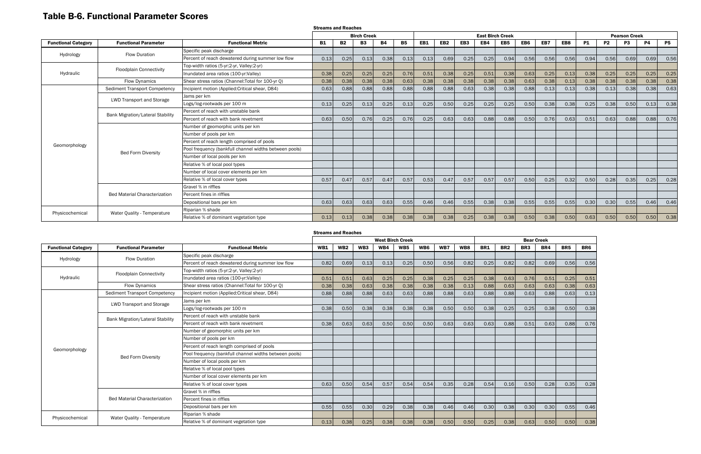# Table B-6. Functional Parameter Scores

|                            |                                         |                                                        | <b>Streams and Reaches</b> |           |                    |           |           |      |                 |      |                         |                 |      |      |      |           |           |                      |           |           |
|----------------------------|-----------------------------------------|--------------------------------------------------------|----------------------------|-----------|--------------------|-----------|-----------|------|-----------------|------|-------------------------|-----------------|------|------|------|-----------|-----------|----------------------|-----------|-----------|
|                            |                                         |                                                        |                            |           | <b>Birch Creek</b> |           |           |      |                 |      | <b>East Birch Creek</b> |                 |      |      |      |           |           | <b>Pearson Creek</b> |           |           |
| <b>Functional Category</b> | <b>Functional Parameter</b>             | <b>Functional Metric</b>                               | <b>B1</b>                  | <b>B2</b> | <b>B3</b>          | <b>B4</b> | <b>B5</b> | EB1  | EB <sub>2</sub> | EB3  | EB4                     | EB <sub>5</sub> | EB6  | EB7  | EB8  | <b>P1</b> | <b>P2</b> | P <sub>3</sub>       | <b>P4</b> | <b>P5</b> |
| Hydrology                  | <b>Flow Duration</b>                    | Specific peak discharge                                |                            |           |                    |           |           |      |                 |      |                         |                 |      |      |      |           |           |                      |           |           |
|                            |                                         | Percent of reach dewatered during summer low flow      | 0.13                       | 0.25      | 0.13               | 0.38      | 0.13      | 0.13 | 0.69            | 0.25 | 0.25                    | 0.94            | 0.56 | 0.56 | 0.56 | 0.94      | 0.56      | 0.69                 | 0.69      | 0.56      |
|                            | <b>Floodplain Connectivity</b>          | Top-width ratios (5-yr:2-yr, Valley:2-yr)              |                            |           |                    |           |           |      |                 |      |                         |                 |      |      |      |           |           |                      |           |           |
| Hydraulic                  |                                         | Inundated area ratios (100-yr:Valley)                  | 0.38                       | 0.25      | 0.25               | 0.25      | 0.76      | 0.51 | 0.38            | 0.25 | 0.51                    | 0.38            | 0.63 | 0.25 | 0.13 | 0.38      | 0.25      | 0.25                 | 0.25      | 0.25      |
|                            | <b>Flow Dynamics</b>                    | Shear stress ratios (Channel: Total for 100-yr Q)      | 0.38                       | 0.38      | 0.38               | 0.38      | 0.63      | 0.38 | 0.38            | 0.38 | 0.38                    | 0.38            | 0.63 | 0.38 | 0.13 | 0.38      | 0.38      | 0.38                 | 0.38      | 0.38      |
|                            | Sediment Transport Competency           | Incipient motion (Applied: Critical shear, D84)        | 0.63                       | 0.88      | 0.88               | 0.88      | 0.88      | 0.88 | 0.88            | 0.63 | 0.38                    | 0.38            | 0.88 | 0.13 | 0.13 | 0.38      | 0.13      | 0.38                 | 0.38      | 0.63      |
|                            | <b>LWD Transport and Storage</b>        | Jams per km                                            |                            |           |                    |           |           |      |                 |      |                         |                 |      |      |      |           |           |                      |           |           |
|                            |                                         | Logs/log-rootwads per 100 m                            | 0.13                       | 0.25      | 0.13               | 0.25      | 0.13      | 0.25 | 0.50            | 0.25 | 0.25                    | 0.25            | 0.50 | 0.38 | 0.38 | 0.25      | 0.38      | 0.50                 | 0.13      | 0.38      |
|                            | <b>Bank Migration/Lateral Stability</b> | Percent of reach with unstable bank                    |                            |           |                    |           |           |      |                 |      |                         |                 |      |      |      |           |           |                      |           |           |
|                            |                                         | Percent of reach with bank revetment                   | 0.63                       | 0.50      | 0.76               | 0.25      | 0.76      | 0.25 | 0.63            | 0.63 | 0.88                    | 0.88            | 0.50 | 0.76 | 0.63 | 0.51      | 0.63      | 0.88                 | 0.88      | 0.76      |
|                            |                                         | Number of geomorphic units per km                      |                            |           |                    |           |           |      |                 |      |                         |                 |      |      |      |           |           |                      |           |           |
|                            |                                         | Number of pools per km                                 |                            |           |                    |           |           |      |                 |      |                         |                 |      |      |      |           |           |                      |           |           |
|                            |                                         | Percent of reach length comprised of pools             |                            |           |                    |           |           |      |                 |      |                         |                 |      |      |      |           |           |                      |           |           |
| Geomorphology              | <b>Bed Form Diversity</b>               | Pool frequency (bankfull channel widths between pools) |                            |           |                    |           |           |      |                 |      |                         |                 |      |      |      |           |           |                      |           |           |
|                            |                                         | Number of local pools per km                           |                            |           |                    |           |           |      |                 |      |                         |                 |      |      |      |           |           |                      |           |           |
|                            |                                         | Relative % of local pool types                         |                            |           |                    |           |           |      |                 |      |                         |                 |      |      |      |           |           |                      |           |           |
|                            |                                         | Number of local cover elements per km                  |                            |           |                    |           |           |      |                 |      |                         |                 |      |      |      |           |           |                      |           |           |
|                            |                                         | Relative % of local cover types                        | 0.57                       | 0.47      | 0.57               | 0.47      | 0.57      | 0.53 | 0.47            | 0.57 | 0.57                    | 0.57            | 0.50 | 0.25 | 0.32 | 0.50      | 0.28      | 0.35                 | 0.25      | 0.28      |
|                            |                                         | Gravel % in riffles                                    |                            |           |                    |           |           |      |                 |      |                         |                 |      |      |      |           |           |                      |           |           |
|                            | <b>Bed Material Characterization</b>    | Percent fines in riffles                               |                            |           |                    |           |           |      |                 |      |                         |                 |      |      |      |           |           |                      |           |           |
|                            |                                         | Depositional bars per km                               | 0.63                       | 0.63      | 0.63               | 0.63      | 0.55      | 0.46 | 0.46            | 0.55 | 0.38                    | 0.38            | 0.55 | 0.55 | 0.55 | 0.30      | 0.30      | 0.55                 | 0.46      | 0.46      |
| Physicochemical            | Water Quality - Temperature             | Riparian % shade                                       |                            |           |                    |           |           |      |                 |      |                         |                 |      |      |      |           |           |                      |           |           |
|                            |                                         | Relative % of dominant vegetation type                 | 0.13                       | 0.13      | 0.38               | 0.38      | 0.38      | 0.38 | 0.38            | 0.25 | 0.38                    | 0.38            | 0.50 | 0.38 | 0.50 | 0.63      | 0.50      | 0.50                 | 0.50      | 0.38      |

|                            |                                         |                                                        | <b>Streams and Reaches</b> |                 |      |      |                 |      |      |      |      |                 |                                                                                                                                                                   |      |                 |     |
|----------------------------|-----------------------------------------|--------------------------------------------------------|----------------------------|-----------------|------|------|-----------------|------|------|------|------|-----------------|-------------------------------------------------------------------------------------------------------------------------------------------------------------------|------|-----------------|-----|
|                            |                                         |                                                        | <b>West Birch Creek</b>    |                 |      |      |                 |      |      |      |      |                 |                                                                                                                                                                   |      |                 |     |
| <b>Functional Category</b> | <b>Functional Parameter</b>             | <b>Functional Metric</b>                               | <b>WB1</b>                 | WB <sub>2</sub> | WB3  | WB4  | WB <sub>5</sub> | WB6  | WB7  | WB8  | BR1  | BR <sub>2</sub> | BR <sub>3</sub>                                                                                                                                                   | BR4  | BR <sub>5</sub> | BR6 |
| Hydrology                  | <b>Flow Duration</b>                    | Specific peak discharge                                |                            |                 |      |      |                 |      |      |      |      |                 |                                                                                                                                                                   |      |                 |     |
|                            |                                         | Percent of reach dewatered during summer low flow      | 0.82                       | 0.69            | 0.13 | 0.13 | 0.25            | 0.50 | 0.56 | 0.82 | 0.25 | 0.82            | 0.82                                                                                                                                                              | 0.69 | 0.56            |     |
|                            | <b>Floodplain Connectivity</b>          | Top-width ratios (5-yr:2-yr, Valley:2-yr)              |                            |                 |      |      |                 |      |      |      |      |                 |                                                                                                                                                                   |      |                 |     |
| Hydraulic                  |                                         | Inundated area ratios (100-yr: Valley)                 | 0.51                       | 0.51            | 0.63 | 0.25 | 0.25            | 0.38 | 0.25 | 0.25 | 0.38 | 0.63            | 0.76                                                                                                                                                              | 0.51 | 0.25            |     |
|                            | <b>Flow Dynamics</b>                    | Shear stress ratios (Channel: Total for 100-yr Q)      | 0.38                       | 0.38            | 0.63 | 0.38 | 0.38            | 0.38 | 0.38 | 0.13 | 0.88 | 0.63            | 0.63                                                                                                                                                              | 0.63 | 0.38            |     |
|                            | Sediment Transport Competency           | Incipient motion (Applied: Critical shear, D84)        | 0.88                       | 0.88            | 0.88 | 0.63 | 0.63            | 0.88 | 0.88 | 0.63 | 0.88 | 0.88            | 0.63                                                                                                                                                              | 0.88 | 0.63            |     |
|                            | <b>LWD Transport and Storage</b>        | Jams per km                                            |                            |                 |      |      |                 |      |      |      |      |                 |                                                                                                                                                                   |      |                 |     |
|                            |                                         | Logs/log-rootwads per 100 m                            | 0.38                       | 0.50            | 0.38 | 0.38 | 0.38            | 0.38 | 0.50 | 0.50 | 0.38 | 0.25            | 0.25                                                                                                                                                              | 0.38 | 0.50            |     |
|                            | <b>Bank Migration/Lateral Stability</b> | Percent of reach with unstable bank                    |                            |                 |      |      |                 |      |      |      |      |                 |                                                                                                                                                                   |      |                 |     |
|                            |                                         | Percent of reach with bank revetment                   | 0.38                       | 0.63            | 0.63 | 0.50 | 0.50            | 0.50 | 0.63 | 0.63 | 0.63 | 0.88            | 0.51                                                                                                                                                              | 0.63 | 0.88            |     |
|                            |                                         | Number of geomorphic units per km                      |                            |                 |      |      |                 |      |      |      |      |                 |                                                                                                                                                                   |      |                 |     |
|                            |                                         | Number of pools per km                                 |                            |                 |      |      |                 |      |      |      |      |                 |                                                                                                                                                                   |      |                 |     |
| Geomorphology              |                                         | Percent of reach length comprised of pools             |                            |                 |      |      |                 |      |      |      |      |                 |                                                                                                                                                                   |      |                 |     |
|                            | <b>Bed Form Diversity</b>               | Pool frequency (bankfull channel widths between pools) |                            |                 |      |      |                 |      |      |      |      |                 | <b>Bear Creek</b><br>0.56<br>0.51<br>0.63<br>0.13<br>0.38<br>0.76<br>0.50<br>0.28<br>0.35<br>0.28<br>0.30<br>0.30<br>0.55<br>0.46<br>0.63<br>0.50<br>0.50<br>0.38 |      |                 |     |
|                            |                                         | Number of local pools per km                           |                            |                 |      |      |                 |      |      |      |      |                 |                                                                                                                                                                   |      |                 |     |
|                            |                                         | Relative % of local pool types                         |                            |                 |      |      |                 |      |      |      |      |                 |                                                                                                                                                                   |      |                 |     |
|                            |                                         | Number of local cover elements per km                  |                            |                 |      |      |                 |      |      |      |      |                 |                                                                                                                                                                   |      |                 |     |
|                            |                                         | Relative % of local cover types                        | 0.63                       | 0.50            | 0.54 | 0.57 | 0.54            | 0.54 | 0.35 | 0.28 | 0.54 | 0.16            |                                                                                                                                                                   |      |                 |     |
|                            |                                         | Gravel % in riffles                                    |                            |                 |      |      |                 |      |      |      |      |                 |                                                                                                                                                                   |      |                 |     |
|                            | <b>Bed Material Characterization</b>    | Percent fines in riffles                               |                            |                 |      |      |                 |      |      |      |      |                 |                                                                                                                                                                   |      |                 |     |
|                            |                                         | Depositional bars per km                               | 0.55                       | 0.55            | 0.30 | 0.29 | 0.38            | 0.38 | 0.46 | 0.46 | 0.30 | 0.38            |                                                                                                                                                                   |      |                 |     |
| Physicochemical            | Water Quality - Temperature             | Riparian % shade                                       |                            |                 |      |      |                 |      |      |      |      |                 |                                                                                                                                                                   |      |                 |     |
|                            |                                         | Relative % of dominant vegetation type                 | 0.13                       | 0.38            | 0.25 | 0.38 | 0.38            | 0.38 | 0.50 | 0.50 | 0.25 | 0.38            |                                                                                                                                                                   |      |                 |     |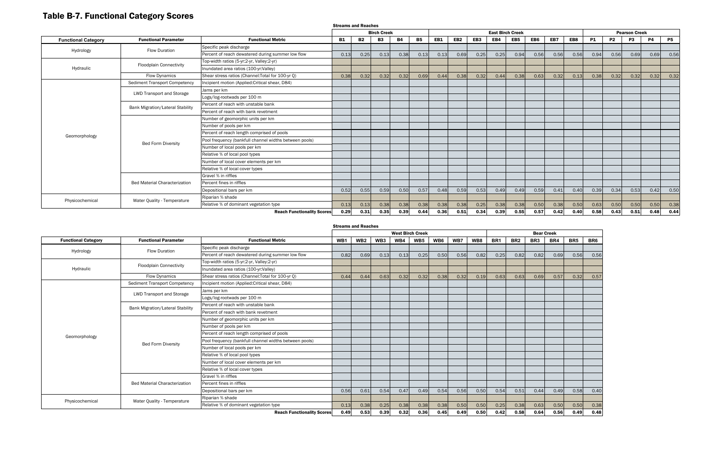# Table B-7. Functional Category Scores

Streams and Reaches

|                            |                                         |                                                        | <b>Streams and Reaches</b> |           |           |           |           |                         |                 |                 |      |                 |                 |      |                      |           |           |           |           |           |
|----------------------------|-----------------------------------------|--------------------------------------------------------|----------------------------|-----------|-----------|-----------|-----------|-------------------------|-----------------|-----------------|------|-----------------|-----------------|------|----------------------|-----------|-----------|-----------|-----------|-----------|
|                            |                                         |                                                        | <b>Birch Creek</b>         |           |           |           |           | <b>East Birch Creek</b> |                 |                 |      |                 |                 |      | <b>Pearson Creek</b> |           |           |           |           |           |
| <b>Functional Category</b> | <b>Functional Parameter</b>             | <b>Functional Metric</b>                               | <b>B1</b>                  | <b>B2</b> | <b>B3</b> | <b>B4</b> | <b>B5</b> | EB1                     | EB <sub>2</sub> | EB <sub>3</sub> | EB4  | EB <sub>5</sub> | EB <sub>6</sub> | EB7  | EB8                  | <b>P1</b> | <b>P2</b> | <b>P3</b> | <b>P4</b> | <b>P5</b> |
| Hydrology                  | <b>Flow Duration</b>                    | Specific peak discharge                                |                            |           |           |           |           |                         |                 |                 |      |                 |                 |      |                      |           |           |           |           |           |
|                            |                                         | Percent of reach dewatered during summer low flow      | 0.13                       | 0.25      | 0.13      | 0.38      | 0.13      | 0.13                    | 0.69            | 0.25            | 0.25 | 0.94            | 0.56            | 0.56 | 0.56                 | 0.94      | 0.56      | 0.69      | 0.69      | 0.56      |
|                            | <b>Floodplain Connectivity</b>          | Top-width ratios (5-yr:2-yr, Valley:2-yr)              |                            |           |           |           |           |                         |                 |                 |      |                 |                 |      |                      |           |           |           |           |           |
| Hydraulic                  |                                         | Inundated area ratios (100-yr:Valley)                  |                            |           |           |           |           |                         |                 |                 |      |                 |                 |      |                      |           |           |           |           |           |
|                            | <b>Flow Dynamics</b>                    | Shear stress ratios (Channel: Total for 100-yr Q)      | 0.38                       | 0.32      | 0.32      | 0.32      | 0.69      | 0.44                    | 0.38            | 0.32            | 0.44 | 0.38            | 0.63            | 0.32 | 0.13                 | 0.38      | 0.32      | 0.32      | 0.32      | 0.32      |
|                            | <b>Sediment Transport Competency</b>    | Incipient motion (Applied:Critical shear, D84)         |                            |           |           |           |           |                         |                 |                 |      |                 |                 |      |                      |           |           |           |           |           |
|                            | LWD Transport and Storage               | Jams per km                                            |                            |           |           |           |           |                         |                 |                 |      |                 |                 |      |                      |           |           |           |           |           |
|                            |                                         | Logs/log-rootwads per 100 m                            |                            |           |           |           |           |                         |                 |                 |      |                 |                 |      |                      |           |           |           |           |           |
|                            | <b>Bank Migration/Lateral Stability</b> | Percent of reach with unstable bank                    |                            |           |           |           |           |                         |                 |                 |      |                 |                 |      |                      |           |           |           |           |           |
|                            |                                         | Percent of reach with bank revetment                   |                            |           |           |           |           |                         |                 |                 |      |                 |                 |      |                      |           |           |           |           |           |
|                            |                                         | Number of geomorphic units per km                      |                            |           |           |           |           |                         |                 |                 |      |                 |                 |      |                      |           |           |           |           |           |
|                            |                                         | Number of pools per km                                 |                            |           |           |           |           |                         |                 |                 |      |                 |                 |      |                      |           |           |           |           |           |
| Geomorphology              |                                         | Percent of reach length comprised of pools             |                            |           |           |           |           |                         |                 |                 |      |                 |                 |      |                      |           |           |           |           |           |
|                            | <b>Bed Form Diversity</b>               | Pool frequency (bankfull channel widths between pools) |                            |           |           |           |           |                         |                 |                 |      |                 |                 |      |                      |           |           |           |           |           |
|                            |                                         | Number of local pools per km                           |                            |           |           |           |           |                         |                 |                 |      |                 |                 |      |                      |           |           |           |           |           |
|                            |                                         | Relative % of local pool types                         |                            |           |           |           |           |                         |                 |                 |      |                 |                 |      |                      |           |           |           |           |           |
|                            |                                         | Number of local cover elements per km                  |                            |           |           |           |           |                         |                 |                 |      |                 |                 |      |                      |           |           |           |           |           |
|                            |                                         | Relative % of local cover types                        |                            |           |           |           |           |                         |                 |                 |      |                 |                 |      |                      |           |           |           |           |           |
|                            |                                         | Gravel % in riffles                                    |                            |           |           |           |           |                         |                 |                 |      |                 |                 |      |                      |           |           |           |           |           |
|                            | <b>Bed Material Characterization</b>    | Percent fines in riffles                               |                            |           |           |           |           |                         |                 |                 |      |                 |                 |      |                      |           |           |           |           |           |
|                            |                                         | Depositional bars per km                               | 0.52                       | 0.55      | 0.59      | 0.50      | 0.57      | 0.48                    | 0.59            | 0.53            | 0.49 | 0.49            | 0.59            | 0.41 | 0.40                 | 0.39      | 0.34      | 0.53      | 0.42      | 0.50      |
| Physicochemical            | Water Quality - Temperature             | Riparian % shade                                       |                            |           |           |           |           |                         |                 |                 |      |                 |                 |      |                      |           |           |           |           |           |
|                            |                                         | Relative % of dominant vegetation type                 | 0.13                       | 0.13      | 0.38      | 0.38      | 0.38      | 0.38                    | 0.38            | 0.25            | 0.38 | 0.38            | 0.50            | 0.38 | 0.50                 | 0.63      | 0.50      | 0.50      | 0.50      | 0.38      |
|                            |                                         | <b>Reach Functionality Scores</b>                      | 0.29                       | 0.31      | 0.35      | 0.39      | 0.44      | 0.36                    | 0.51            | 0.34            | 0.39 | 0.55            | 0.57            | 0.42 | 0.40                 | 0.58      | 0.43      | 0.51      | 0.48      | 0.44      |

|                                   |                                         |                                                        | <b>West Birch Creek</b> |                 |                 |      |                 |      |      | <b>Bear Creek</b> |                 |                 |                 |      |                 |      |
|-----------------------------------|-----------------------------------------|--------------------------------------------------------|-------------------------|-----------------|-----------------|------|-----------------|------|------|-------------------|-----------------|-----------------|-----------------|------|-----------------|------|
| <b>Functional Category</b>        | <b>Functional Parameter</b>             | <b>Functional Metric</b>                               | WB1                     | WB <sub>2</sub> | WB <sub>3</sub> | WB4  | WB <sub>5</sub> | WB6  | WB7  | WB8               | BR <sub>1</sub> | BR <sub>2</sub> | BR <sub>3</sub> | BR4  | BR <sub>5</sub> | BR6  |
| Hydrology                         | <b>Flow Duration</b>                    | Specific peak discharge                                |                         |                 |                 |      |                 |      |      |                   |                 |                 |                 |      |                 |      |
|                                   |                                         | Percent of reach dewatered during summer low flow      | 0.82                    | 0.69            | 0.13            | 0.13 | 0.25            | 0.50 | 0.56 | 0.82              | 0.25            | 0.82            | 0.82            | 0.69 | 0.56            | 0.56 |
|                                   | <b>Floodplain Connectivity</b>          | Top-width ratios (5-yr:2-yr, Valley:2-yr)              |                         |                 |                 |      |                 |      |      |                   |                 |                 |                 |      |                 |      |
| Hydraulic                         |                                         | Inundated area ratios (100-yr:Valley)                  |                         |                 |                 |      |                 |      |      |                   |                 |                 |                 |      |                 |      |
|                                   | <b>Flow Dynamics</b>                    | Shear stress ratios (Channel: Total for 100-yr Q)      | 0.44                    | 0.44            | 0.63            | 0.32 | 0.32            | 0.38 | 0.32 | 0.19              | 0.63            | 0.63            | 0.69            | 0.57 | 0.32            | 0.57 |
|                                   | <b>Sediment Transport Competency</b>    | Incipient motion (Applied: Critical shear, D84)        |                         |                 |                 |      |                 |      |      |                   |                 |                 |                 |      |                 |      |
|                                   | <b>LWD Transport and Storage</b>        | Jams per km                                            |                         |                 |                 |      |                 |      |      |                   |                 |                 |                 |      |                 |      |
|                                   |                                         | Logs/log-rootwads per 100 m                            |                         |                 |                 |      |                 |      |      |                   |                 |                 |                 |      |                 |      |
|                                   | <b>Bank Migration/Lateral Stability</b> | Percent of reach with unstable bank                    |                         |                 |                 |      |                 |      |      |                   |                 |                 |                 |      |                 |      |
|                                   |                                         | Percent of reach with bank revetment                   |                         |                 |                 |      |                 |      |      |                   |                 |                 |                 |      |                 |      |
|                                   |                                         | Number of geomorphic units per km                      |                         |                 |                 |      |                 |      |      |                   |                 |                 |                 |      |                 |      |
|                                   |                                         | Number of pools per km                                 |                         |                 |                 |      |                 |      |      |                   |                 |                 |                 |      |                 |      |
| Geomorphology                     |                                         | Percent of reach length comprised of pools             |                         |                 |                 |      |                 |      |      |                   |                 |                 |                 |      |                 |      |
|                                   | <b>Bed Form Diversity</b>               | Pool frequency (bankfull channel widths between pools) |                         |                 |                 |      |                 |      |      |                   |                 |                 |                 |      |                 |      |
|                                   |                                         | Number of local pools per km                           |                         |                 |                 |      |                 |      |      |                   |                 |                 |                 |      |                 |      |
|                                   |                                         | Relative % of local pool types                         |                         |                 |                 |      |                 |      |      |                   |                 |                 |                 |      |                 |      |
|                                   |                                         | Number of local cover elements per km                  |                         |                 |                 |      |                 |      |      |                   |                 |                 |                 |      |                 |      |
|                                   |                                         | Relative % of local cover types                        |                         |                 |                 |      |                 |      |      |                   |                 |                 |                 |      |                 |      |
|                                   |                                         | Gravel % in riffles                                    |                         |                 |                 |      |                 |      |      |                   |                 |                 |                 |      |                 |      |
|                                   | <b>Bed Material Characterization</b>    | Percent fines in riffles                               |                         |                 |                 |      |                 |      |      |                   |                 |                 |                 |      |                 |      |
|                                   |                                         | Depositional bars per km                               | 0.56                    | 0.61            | 0.54            | 0.47 | 0.49            | 0.54 | 0.56 | 0.50              | 0.54            | 0.51            | 0.44            | 0.49 | 0.58            | 0.40 |
| Physicochemical                   | Water Quality - Temperature             | Riparian % shade                                       |                         |                 |                 |      |                 |      |      |                   |                 |                 |                 |      |                 |      |
|                                   | Relative % of dominant vegetation type  |                                                        | 0.13                    | 0.38            | 0.25            | 0.38 | 0.38            | 0.38 | 0.50 | 0.50              | 0.25            | 0.38            | 0.63            | 0.50 | 0.50            | 0.38 |
| <b>Reach Functionality Scores</b> |                                         |                                                        | 0.49                    | 0.53            | 0.39            | 0.32 | 0.36            | 0.45 | 0.49 | 0.50              | 0.42            | 0.58            | 0.64            | 0.56 | 0.49            | 0.48 |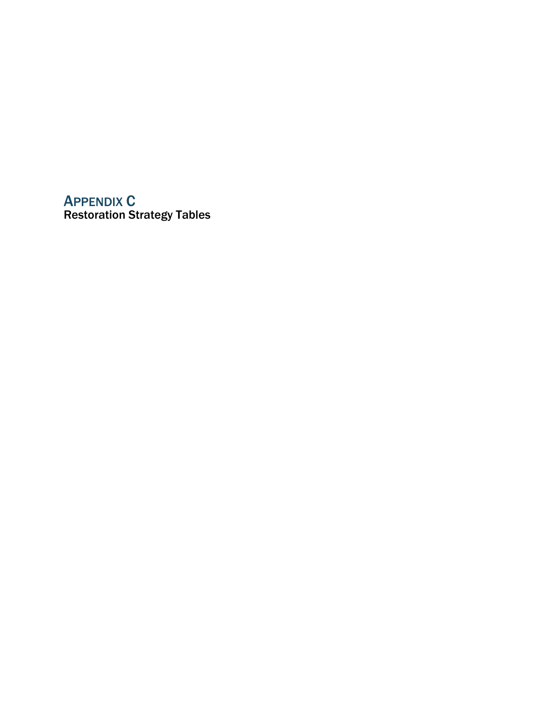# APPENDIX C Restoration Strategy Tables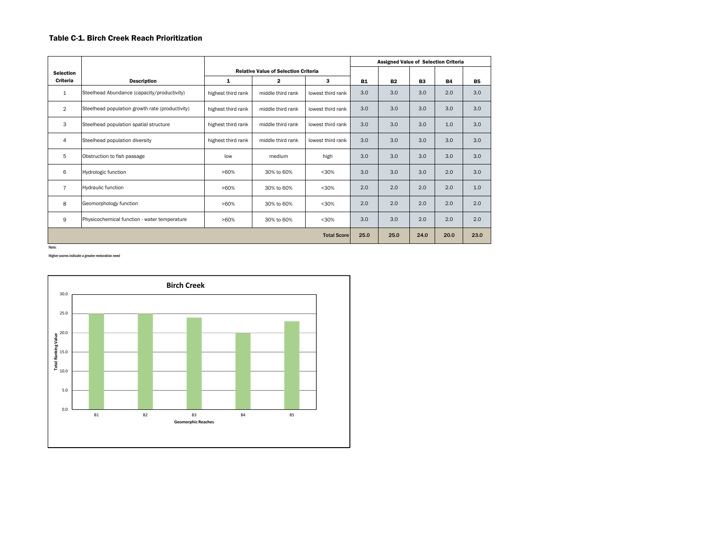#### Table C-1. Birch Creek Reach Prioritization

|                  |                                                 |                    |                                             | <b>Assigned Value of Selection Criteria</b> |           |           |                |           |           |  |
|------------------|-------------------------------------------------|--------------------|---------------------------------------------|---------------------------------------------|-----------|-----------|----------------|-----------|-----------|--|
| <b>Selection</b> |                                                 |                    | <b>Relative Value of Selection Criteria</b> |                                             |           |           |                |           |           |  |
| Criteria         | <b>Description</b>                              | 1                  | $\mathbf{2}$                                | 3                                           | <b>B1</b> | <b>B2</b> | B <sub>3</sub> | <b>B4</b> | <b>B5</b> |  |
| 1                | Steelhead Abundance (capacity/productivity)     | highest third rank | middle third rank                           | lowest third rank                           | 3.0       | 3.0       | 3.0            | 2.0       | 3.0       |  |
| $\overline{2}$   | Steelhead population growth rate (productivity) | highest third rank | middle third rank                           | lowest third rank                           | 3.0       | 3.0       | 3.0            | 3.0       | 3.0       |  |
| 3                | Steelhead population spatial structure          | highest third rank | middle third rank                           | lowest third rank                           | 3.0       | 3.0       | 3.0            | 1.0       | 3.0       |  |
| 4                | Steelhead population diversity                  | highest third rank | middle third rank                           | lowest third rank                           | 3.0       | 3.0       | 3.0            | 3.0       | 3.0       |  |
| 5                | Obstruction to fish passage                     | low                | medium                                      | high                                        | 3.0       | 3.0       | 3.0            | 3.0       | 3.0       |  |
| 6                | <b>Hydrologic function</b>                      | $>60\%$            | 30% to 60%                                  | < 30%                                       | 3.0       | 3.0       | 3.0            | 2.0       | 3.0       |  |
| $\overline{7}$   | <b>Hydraulic function</b>                       | $>60\%$            | 30% to 60%                                  | < 30%                                       | 2.0       | 2.0       | 2.0            | 2.0       | 1.0       |  |
| 8                | Geomorphology function                          | >60%               | 30% to 60%                                  | < 30%                                       | 2.0       | 2.0       | 2.0            | 2.0       | 2.0       |  |
| 9                | Physicochemical function - water temperature    | >60%               | 30% to 60%                                  | < 30%                                       | 3.0       | 3.0       | 2.0            | 2.0       | 2.0       |  |
|                  |                                                 |                    |                                             | <b>Total Score</b>                          | 25.0      | 25.0      | 24.0           | 20.0      | 23.0      |  |

Higher scores indicate a greater restoration need

Note:

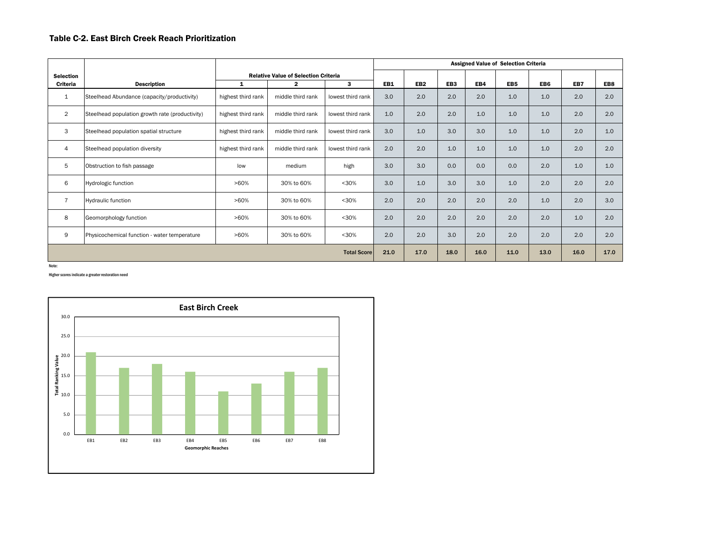#### Table C-2. East Birch Creek Reach Prioritization

|                  |                                                 |                    |                                             | <b>Assigned Value of Selection Criteria</b> |      |                 |                 |      |      |      |     |     |  |  |  |
|------------------|-------------------------------------------------|--------------------|---------------------------------------------|---------------------------------------------|------|-----------------|-----------------|------|------|------|-----|-----|--|--|--|
| <b>Selection</b> |                                                 |                    | <b>Relative Value of Selection Criteria</b> |                                             |      |                 |                 |      |      |      |     |     |  |  |  |
| Criteria         | <b>Description</b>                              | 1                  | $\overline{2}$                              | 3                                           | EB1  | EB <sub>2</sub> | EB <sub>3</sub> | EB4  | EB5  | EB6  | EB7 | EB8 |  |  |  |
| $\mathbf{1}$     | Steelhead Abundance (capacity/productivity)     | highest third rank | middle third rank                           | lowest third rank                           | 3.0  | 2.0             | 2.0             | 2.0  | 1.0  | 1.0  | 2.0 | 2.0 |  |  |  |
| 2                | Steelhead population growth rate (productivity) | highest third rank | middle third rank                           | lowest third rank                           | 1.0  | 2.0             | 2.0             | 1.0  | 1.0  | 1.0  | 2.0 | 2.0 |  |  |  |
| 3                | Steelhead population spatial structure          | highest third rank | middle third rank                           | lowest third rank                           | 3.0  | 1.0             | 3.0             | 3.0  | 1.0  | 1.0  | 2.0 | 1.0 |  |  |  |
| 4                | Steelhead population diversity                  | highest third rank | middle third rank                           | lowest third rank                           | 2.0  | 2.0             | 1.0             | 1.0  | 1.0  | 1.0  | 2.0 | 2.0 |  |  |  |
| 5                | Obstruction to fish passage                     | low                | medium                                      | high                                        | 3.0  | 3.0             | 0.0             | 0.0  | 0.0  | 2.0  | 1.0 | 1.0 |  |  |  |
| 6                | Hydrologic function                             | >60%               | 30% to 60%                                  | $30%$                                       | 3.0  | 1.0             | 3.0             | 3.0  | 1.0  | 2.0  | 2.0 | 2.0 |  |  |  |
| $\overline{7}$   | <b>Hydraulic function</b>                       | >60%               | 30% to 60%                                  | $30%$                                       | 2.0  | 2.0             | 2.0             | 2.0  | 2.0  | 1.0  | 2.0 | 3.0 |  |  |  |
| 8                | Geomorphology function                          | >60%               | 30% to 60%                                  | $30%$                                       | 2.0  | 2.0             | 2.0             | 2.0  | 2.0  | 2.0  | 1.0 | 2.0 |  |  |  |
| 9                | Physicochemical function - water temperature    | >60%               | 30% to 60%                                  | $30%$                                       | 2.0  | 2.0             | 3.0             | 2.0  | 2.0  | 2.0  | 2.0 | 2.0 |  |  |  |
|                  |                                                 | <b>Total Score</b> | 21.0                                        | 17.0                                        | 18.0 | 16.0            | 11.0            | 13.0 | 16.0 | 17.0 |     |     |  |  |  |

Note:

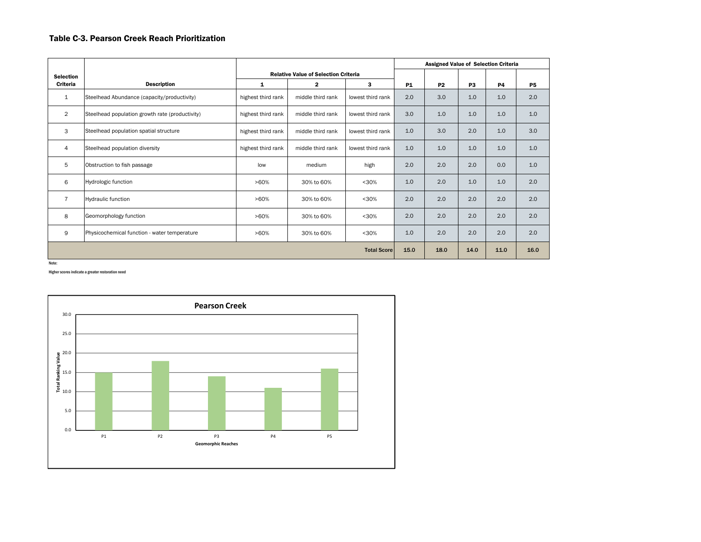# Table C-3. Pearson Creek Reach Prioritization

|                  |                                                 |                    |                                             |                   |           | <b>Assigned Value of Selection Criteria</b> |                |           |           |  |  |  |  |
|------------------|-------------------------------------------------|--------------------|---------------------------------------------|-------------------|-----------|---------------------------------------------|----------------|-----------|-----------|--|--|--|--|
| <b>Selection</b> |                                                 |                    | <b>Relative Value of Selection Criteria</b> |                   |           |                                             |                |           |           |  |  |  |  |
| Criteria         | <b>Description</b>                              | 1                  | 2                                           | 3                 | <b>P1</b> | <b>P2</b>                                   | P <sub>3</sub> | <b>P4</b> | <b>P5</b> |  |  |  |  |
| 1                | Steelhead Abundance (capacity/productivity)     | highest third rank | middle third rank                           | lowest third rank | 2.0       | 3.0                                         | 1.0            | 1.0       | 2.0       |  |  |  |  |
| $\overline{2}$   | Steelhead population growth rate (productivity) | highest third rank | middle third rank                           | lowest third rank | 3.0       | 1.0                                         | 1.0            | 1.0       | 1.0       |  |  |  |  |
| 3                | Steelhead population spatial structure          | highest third rank | middle third rank                           | lowest third rank | 1.0       | 3.0                                         | 2.0            | 1.0       | 3.0       |  |  |  |  |
| 4                | Steelhead population diversity                  | highest third rank | middle third rank                           | lowest third rank | 1.0       | 1.0                                         | 1.0            | 1.0       | 1.0       |  |  |  |  |
| 5                | Obstruction to fish passage                     | low                | medium                                      | high              | 2.0       | 2.0                                         | 2.0            | 0.0       | 1.0       |  |  |  |  |
| 6                | Hydrologic function                             | >60%               | 30% to 60%                                  | $30%$             | 1.0       | 2.0                                         | 1.0            | 1.0       | 2.0       |  |  |  |  |
| $\overline{7}$   | <b>Hydraulic function</b>                       | $>60\%$            | 30% to 60%                                  | $<$ 30%           | 2.0       | 2.0                                         | 2.0            | 2.0       | 2.0       |  |  |  |  |
| 8                | Geomorphology function                          | $>60\%$            | 30% to 60%                                  | $<$ 30%           | 2.0       | 2.0                                         | 2.0            | 2.0       | 2.0       |  |  |  |  |
| 9                | Physicochemical function - water temperature    | $>60\%$            | 30% to 60%                                  | $<$ 30%           | 1.0       | 2.0                                         | 2.0            | 2.0       | 2.0       |  |  |  |  |
|                  |                                                 | <b>Total Score</b> | 15.0                                        | 18.0              | 14.0      | 11.0                                        | 16.0           |           |           |  |  |  |  |

Note:

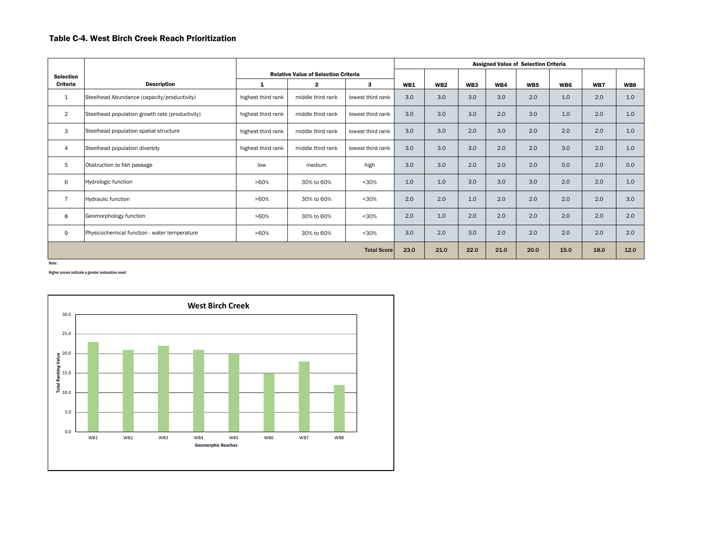# Table C-4. West Birch Creek Reach Prioritization

|                  |                                                 |                    |                                             |                    | <b>Assigned Value of Selection Criteria</b> |                 |                 |      |                 |      |      |      |  |  |  |  |
|------------------|-------------------------------------------------|--------------------|---------------------------------------------|--------------------|---------------------------------------------|-----------------|-----------------|------|-----------------|------|------|------|--|--|--|--|
| <b>Selection</b> |                                                 |                    | <b>Relative Value of Selection Criteria</b> |                    |                                             |                 |                 |      |                 |      |      |      |  |  |  |  |
| <b>Criteria</b>  | <b>Description</b>                              | $\mathbf{1}$       | $\overline{2}$                              | 3                  | <b>WB1</b>                                  | WB <sub>2</sub> | WB <sub>3</sub> | WB4  | WB <sub>5</sub> | WB6  | WB7  | WB8  |  |  |  |  |
| 1                | Steelhead Abundance (capacity/productivity)     | highest third rank | middle third rank                           | lowest third rank  | 3.0                                         | 3.0             | 3.0             | 3.0  | 2.0             | 1.0  | 2.0  | 1.0  |  |  |  |  |
| $\overline{2}$   | Steelhead population growth rate (productivity) | highest third rank | middle third rank                           | lowest third rank  | 3.0                                         | 3.0             | 3.0             | 2.0  | 3.0             | 1.0  | 2.0  | 1.0  |  |  |  |  |
| 3                | Steelhead population spatial structure          | highest third rank | middle third rank                           | lowest third rank  | 3.0                                         | 3.0             | 2.0             | 3.0  | 2.0             | 2.0  | 2.0  | 1.0  |  |  |  |  |
| 4                | Steelhead population diversity                  | highest third rank | middle third rank                           | lowest third rank  | 3.0                                         | 3.0             | 3.0             | 2.0  | 2.0             | 3.0  | 2.0  | 1.0  |  |  |  |  |
| 5                | Obstruction to fish passage                     | low                | medium                                      | high               | 3.0                                         | 3.0             | 2.0             | 2.0  | 2.0             | 0.0  | 2.0  | 0.0  |  |  |  |  |
| 6                | Hydrologic function                             | >60%               | 30% to 60%                                  | < 30%              | 1.0                                         | 1.0             | 3.0             | 3.0  | 3.0             | 2.0  | 2.0  | 1.0  |  |  |  |  |
| $\overline{7}$   | Hydraulic function                              | >60%               | 30% to 60%                                  | $30%$              | 2.0                                         | 2.0             | 1.0             | 2.0  | 2.0             | 2.0  | 2.0  | 3.0  |  |  |  |  |
| 8                | Geomorphology function                          | >60%               | 30% to 60%                                  | $30%$              | 2.0                                         | 1.0             | 2.0             | 2.0  | 2.0             | 2.0  | 2.0  | 2.0  |  |  |  |  |
| 9                | Physicochemical function - water temperature    | >60%               | 30% to 60%                                  | < 30%              | 3.0                                         | 2.0             | 3.0             | 2.0  | 2.0             | 2.0  | 2.0  | 2.0  |  |  |  |  |
|                  |                                                 |                    |                                             | <b>Total Score</b> | 23.0                                        | 21.0            | 22.0            | 21.0 | 20.0            | 15.0 | 18.0 | 12.0 |  |  |  |  |
| Note:            |                                                 |                    |                                             |                    |                                             |                 |                 |      |                 |      |      |      |  |  |  |  |

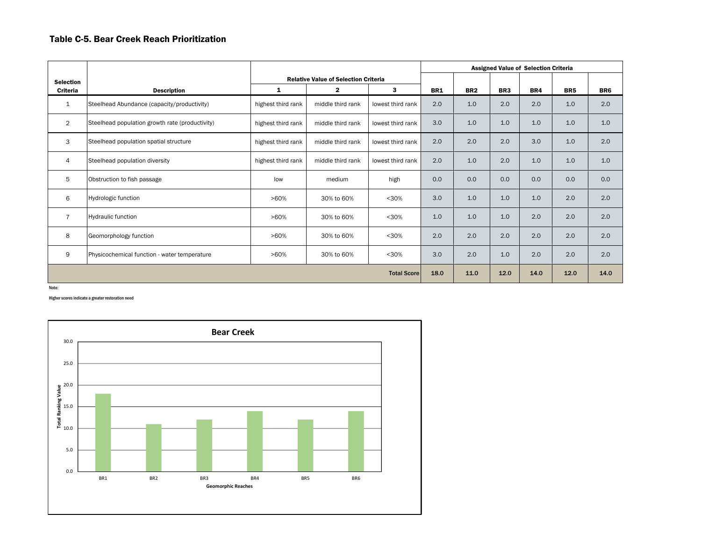#### Table C-5. Bear Creek Reach Prioritization

|                  |                                                 |                    |                                             |                    |            | <b>Assigned Value of Selection Criteria</b> |                 |      |                 |                 |  |  |  |  |  |
|------------------|-------------------------------------------------|--------------------|---------------------------------------------|--------------------|------------|---------------------------------------------|-----------------|------|-----------------|-----------------|--|--|--|--|--|
| <b>Selection</b> |                                                 |                    | <b>Relative Value of Selection Criteria</b> |                    |            |                                             |                 |      |                 |                 |  |  |  |  |  |
| Criteria         | <b>Description</b>                              | 1                  | $\mathbf{2}$                                | 3                  | <b>BR1</b> | BR <sub>2</sub>                             | BR <sub>3</sub> | BR4  | BR <sub>5</sub> | BR <sub>6</sub> |  |  |  |  |  |
| $\mathbf{1}$     | Steelhead Abundance (capacity/productivity)     | highest third rank | middle third rank                           | lowest third rank  | 2.0        | 1.0                                         | 2.0             | 2.0  | 1.0             | 2.0             |  |  |  |  |  |
| $\overline{2}$   | Steelhead population growth rate (productivity) | highest third rank | middle third rank                           | lowest third rank  | 3.0        | 1.0                                         | 1.0             | 1.0  | 1.0             | 1.0             |  |  |  |  |  |
| 3                | Steelhead population spatial structure          | highest third rank | middle third rank                           | lowest third rank  | 2.0        | 2.0                                         | 2.0             | 3.0  | 1.0             | 2.0             |  |  |  |  |  |
| $\overline{4}$   | Steelhead population diversity                  | highest third rank | middle third rank                           | lowest third rank  | 2.0        | 1.0                                         | 2.0             | 1.0  | 1.0             | 1.0             |  |  |  |  |  |
| 5                | Obstruction to fish passage                     | low                | medium                                      | high               | 0.0        | 0.0                                         | 0.0             | 0.0  | 0.0             | 0.0             |  |  |  |  |  |
| 6                | Hydrologic function                             | $>60\%$            | 30% to 60%                                  | $30%$              | 3.0        | 1.0                                         | 1.0             | 1.0  | 2.0             | 2.0             |  |  |  |  |  |
| $\overline{7}$   | Hydraulic function                              | >60%               | 30% to 60%                                  | $30%$              | 1.0        | 1.0                                         | 1.0             | 2.0  | 2.0             | 2.0             |  |  |  |  |  |
| 8                | Geomorphology function                          | $>60\%$            | 30% to 60%                                  | $30%$              | 2.0        | 2.0                                         | 2.0             | 2.0  | 2.0             | 2.0             |  |  |  |  |  |
| 9                | Physicochemical function - water temperature    | $>60\%$            | 30% to 60%                                  | $30%$              | 3.0        | 2.0                                         | 1.0             | 2.0  | 2.0             | 2.0             |  |  |  |  |  |
|                  |                                                 |                    |                                             | <b>Total Score</b> | 18.0       | 11.0                                        | 12.0            | 14.0 | 12.0            | 14.0            |  |  |  |  |  |

Note: